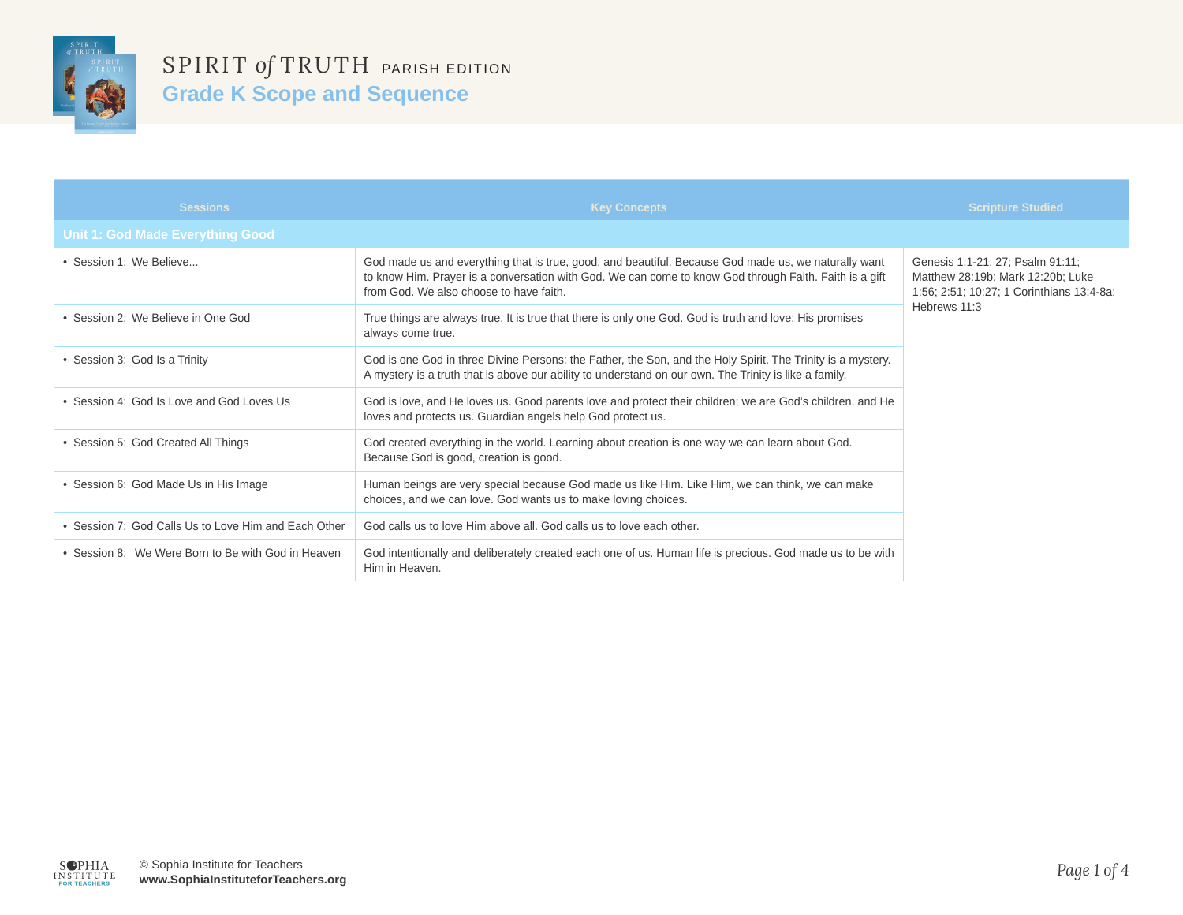

| <b>Sessions</b>                                      | <b>Key Concepts</b>                                                                                                                                                                                                                                       | <b>Scripture Studied</b>                                                                                           |
|------------------------------------------------------|-----------------------------------------------------------------------------------------------------------------------------------------------------------------------------------------------------------------------------------------------------------|--------------------------------------------------------------------------------------------------------------------|
| <b>Unit 1: God Made Everything Good</b>              |                                                                                                                                                                                                                                                           |                                                                                                                    |
| · Session 1: We Believe                              | God made us and everything that is true, good, and beautiful. Because God made us, we naturally want<br>to know Him. Prayer is a conversation with God. We can come to know God through Faith. Faith is a gift<br>from God. We also choose to have faith. | Genesis 1:1-21, 27; Psalm 91:11;<br>Matthew 28:19b; Mark 12:20b; Luke<br>1:56; 2:51; 10:27; 1 Corinthians 13:4-8a; |
| • Session 2: We Believe in One God                   | True things are always true. It is true that there is only one God. God is truth and love: His promises<br>always come true.                                                                                                                              | Hebrews 11:3                                                                                                       |
| • Session 3: God Is a Trinity                        | God is one God in three Divine Persons: the Father, the Son, and the Holy Spirit. The Trinity is a mystery.<br>A mystery is a truth that is above our ability to understand on our own. The Trinity is like a family.                                     |                                                                                                                    |
| • Session 4: God Is Love and God Loves Us            | God is love, and He loves us. Good parents love and protect their children; we are God's children, and He<br>loves and protects us. Guardian angels help God protect us.                                                                                  |                                                                                                                    |
| • Session 5: God Created All Things                  | God created everything in the world. Learning about creation is one way we can learn about God.<br>Because God is good, creation is good.                                                                                                                 |                                                                                                                    |
| • Session 6: God Made Us in His Image                | Human beings are very special because God made us like Him. Like Him, we can think, we can make<br>choices, and we can love. God wants us to make loving choices.                                                                                         |                                                                                                                    |
| • Session 7: God Calls Us to Love Him and Each Other | God calls us to love Him above all. God calls us to love each other.                                                                                                                                                                                      |                                                                                                                    |
| • Session 8: We Were Born to Be with God in Heaven   | God intentionally and deliberately created each one of us. Human life is precious. God made us to be with<br>Him in Heaven.                                                                                                                               |                                                                                                                    |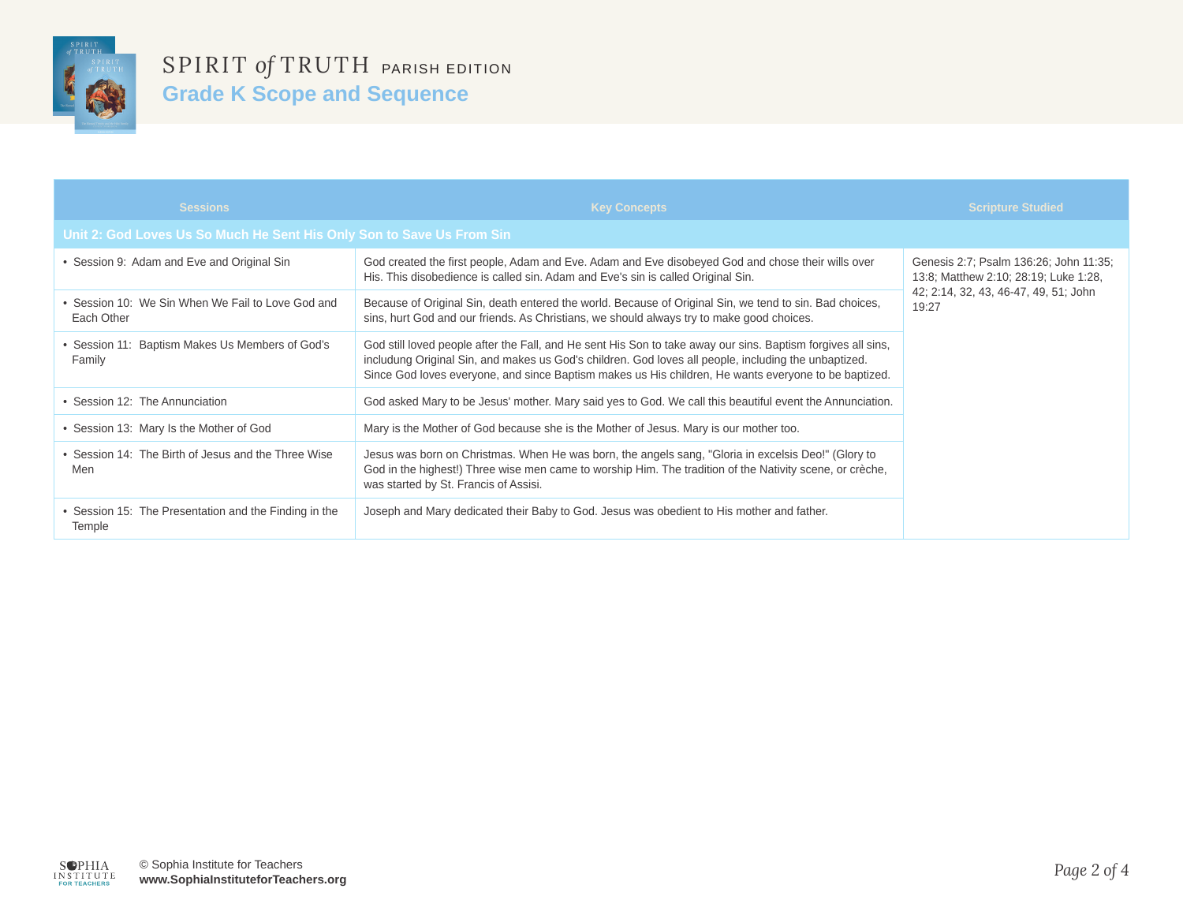

| <b>Sessions</b>                                                       | <b>Key Concepts</b>                                                                                                                                                                                                                                                                                                          | <b>Scripture Studied</b>                                                        |
|-----------------------------------------------------------------------|------------------------------------------------------------------------------------------------------------------------------------------------------------------------------------------------------------------------------------------------------------------------------------------------------------------------------|---------------------------------------------------------------------------------|
| Unit 2: God Loves Us So Much He Sent His Only Son to Save Us From Sin |                                                                                                                                                                                                                                                                                                                              |                                                                                 |
| • Session 9: Adam and Eve and Original Sin                            | God created the first people, Adam and Eve. Adam and Eve disobeyed God and chose their wills over<br>His. This disobedience is called sin. Adam and Eve's sin is called Original Sin.                                                                                                                                        | Genesis 2:7; Psalm 136:26; John 11:35;<br>13:8; Matthew 2:10; 28:19; Luke 1:28, |
| • Session 10: We Sin When We Fail to Love God and<br>Each Other       | Because of Original Sin, death entered the world. Because of Original Sin, we tend to sin. Bad choices,<br>sins, hurt God and our friends. As Christians, we should always try to make good choices.                                                                                                                         | 42; 2:14, 32, 43, 46-47, 49, 51; John<br>19:27                                  |
| • Session 11: Baptism Makes Us Members of God's<br>Family             | God still loved people after the Fall, and He sent His Son to take away our sins. Baptism forgives all sins,<br>includung Original Sin, and makes us God's children. God loves all people, including the unbaptized.<br>Since God loves everyone, and since Baptism makes us His children, He wants everyone to be baptized. |                                                                                 |
| • Session 12: The Annunciation                                        | God asked Mary to be Jesus' mother. Mary said yes to God. We call this beautiful event the Annunciation.                                                                                                                                                                                                                     |                                                                                 |
| • Session 13: Mary Is the Mother of God                               | Mary is the Mother of God because she is the Mother of Jesus. Mary is our mother too.                                                                                                                                                                                                                                        |                                                                                 |
| • Session 14: The Birth of Jesus and the Three Wise<br>Men            | Jesus was born on Christmas. When He was born, the angels sang, "Gloria in excelsis Deo!" (Glory to<br>God in the highest!) Three wise men came to worship Him. The tradition of the Nativity scene, or crèche,<br>was started by St. Francis of Assisi.                                                                     |                                                                                 |
| • Session 15: The Presentation and the Finding in the<br>Temple       | Joseph and Mary dedicated their Baby to God. Jesus was obedient to His mother and father.                                                                                                                                                                                                                                    |                                                                                 |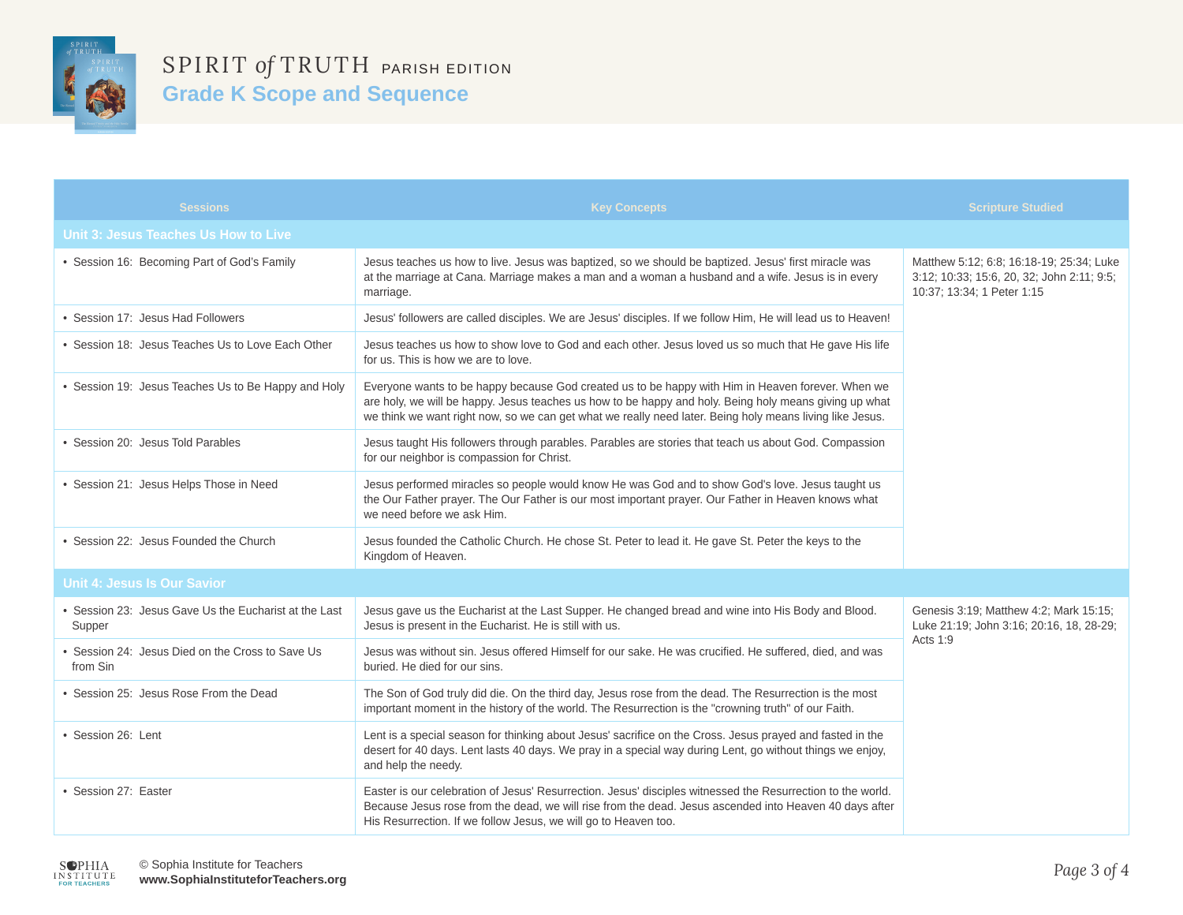

| <b>Sessions</b>                                                 | <b>Key Concepts</b>                                                                                                                                                                                                                                                                                                     | <b>Scripture Studied</b>                                                                                             |
|-----------------------------------------------------------------|-------------------------------------------------------------------------------------------------------------------------------------------------------------------------------------------------------------------------------------------------------------------------------------------------------------------------|----------------------------------------------------------------------------------------------------------------------|
| Unit 3: Jesus Teaches Us How to Live                            |                                                                                                                                                                                                                                                                                                                         |                                                                                                                      |
| • Session 16: Becoming Part of God's Family                     | Jesus teaches us how to live. Jesus was baptized, so we should be baptized. Jesus' first miracle was<br>at the marriage at Cana. Marriage makes a man and a woman a husband and a wife. Jesus is in every<br>marriage.                                                                                                  | Matthew 5:12; 6:8; 16:18-19; 25:34; Luke<br>3:12; 10:33; 15:6, 20, 32; John 2:11; 9:5;<br>10:37; 13:34; 1 Peter 1:15 |
| • Session 17: Jesus Had Followers                               | Jesus' followers are called disciples. We are Jesus' disciples. If we follow Him, He will lead us to Heaven!                                                                                                                                                                                                            |                                                                                                                      |
| • Session 18: Jesus Teaches Us to Love Each Other               | Jesus teaches us how to show love to God and each other. Jesus loved us so much that He gave His life<br>for us. This is how we are to love.                                                                                                                                                                            |                                                                                                                      |
| • Session 19: Jesus Teaches Us to Be Happy and Holy             | Everyone wants to be happy because God created us to be happy with Him in Heaven forever. When we<br>are holy, we will be happy. Jesus teaches us how to be happy and holy. Being holy means giving up what<br>we think we want right now, so we can get what we really need later. Being holy means living like Jesus. |                                                                                                                      |
| • Session 20: Jesus Told Parables                               | Jesus taught His followers through parables. Parables are stories that teach us about God. Compassion<br>for our neighbor is compassion for Christ.                                                                                                                                                                     |                                                                                                                      |
| • Session 21: Jesus Helps Those in Need                         | Jesus performed miracles so people would know He was God and to show God's love. Jesus taught us<br>the Our Father prayer. The Our Father is our most important prayer. Our Father in Heaven knows what<br>we need before we ask Him.                                                                                   |                                                                                                                      |
| • Session 22: Jesus Founded the Church                          | Jesus founded the Catholic Church. He chose St. Peter to lead it. He gave St. Peter the keys to the<br>Kingdom of Heaven.                                                                                                                                                                                               |                                                                                                                      |
| <b>Unit 4: Jesus Is Our Savior</b>                              |                                                                                                                                                                                                                                                                                                                         |                                                                                                                      |
| • Session 23: Jesus Gave Us the Eucharist at the Last<br>Supper | Jesus gave us the Eucharist at the Last Supper. He changed bread and wine into His Body and Blood.<br>Jesus is present in the Eucharist. He is still with us.                                                                                                                                                           | Genesis 3:19; Matthew 4:2; Mark 15:15;<br>Luke 21:19; John 3:16; 20:16, 18, 28-29;                                   |
| • Session 24: Jesus Died on the Cross to Save Us<br>from Sin    | Jesus was without sin. Jesus offered Himself for our sake. He was crucified. He suffered, died, and was<br>buried. He died for our sins.                                                                                                                                                                                | Acts 1:9                                                                                                             |
| • Session 25: Jesus Rose From the Dead                          | The Son of God truly did die. On the third day, Jesus rose from the dead. The Resurrection is the most<br>important moment in the history of the world. The Resurrection is the "crowning truth" of our Faith.                                                                                                          |                                                                                                                      |
| • Session 26: Lent                                              | Lent is a special season for thinking about Jesus' sacrifice on the Cross. Jesus prayed and fasted in the<br>desert for 40 days. Lent lasts 40 days. We pray in a special way during Lent, go without things we enjoy,<br>and help the needy.                                                                           |                                                                                                                      |
| • Session 27: Easter                                            | Easter is our celebration of Jesus' Resurrection. Jesus' disciples witnessed the Resurrection to the world.<br>Because Jesus rose from the dead, we will rise from the dead. Jesus ascended into Heaven 40 days after<br>His Resurrection. If we follow Jesus, we will go to Heaven too.                                |                                                                                                                      |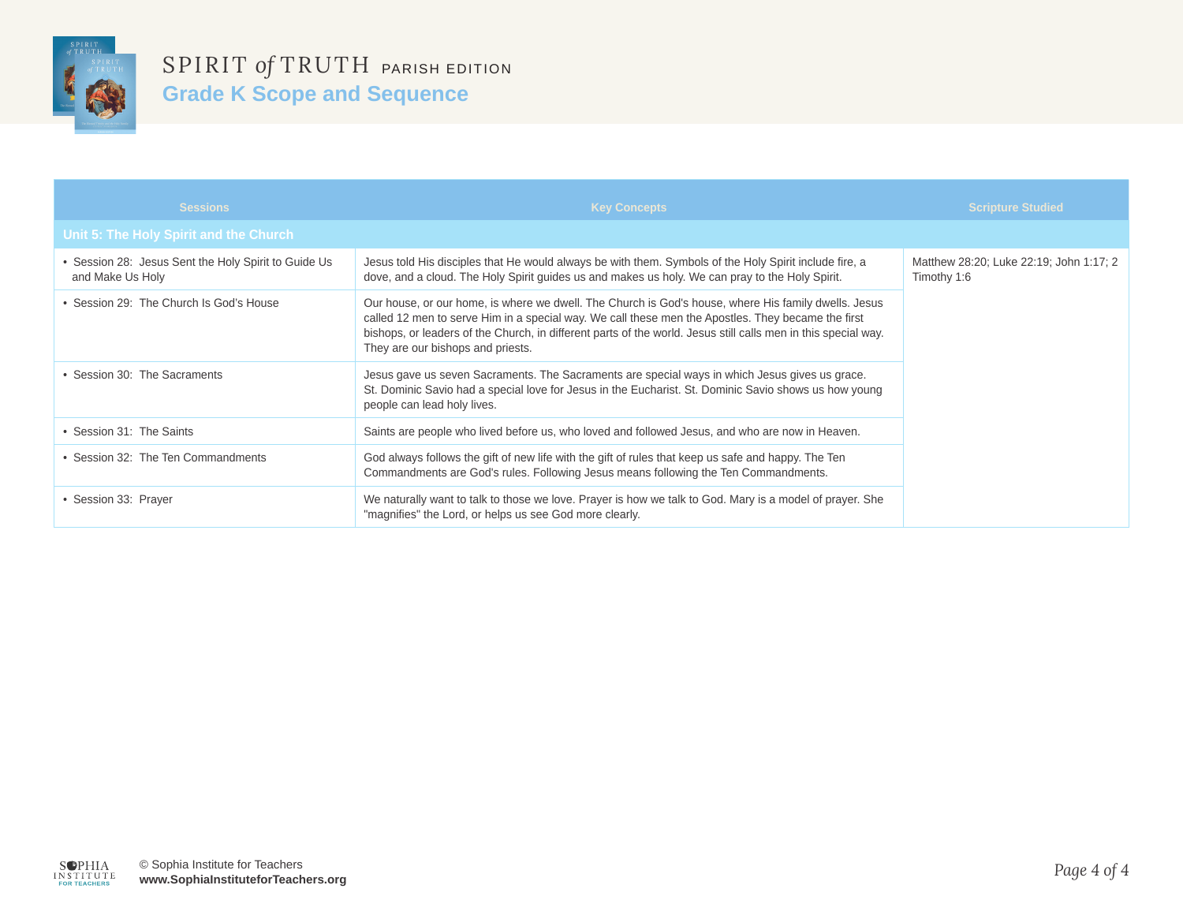

| <b>Sessions</b>                                                        | <b>Key Concepts</b>                                                                                                                                                                                                                                                                                                                                               | <b>Scripture Studied</b>                               |
|------------------------------------------------------------------------|-------------------------------------------------------------------------------------------------------------------------------------------------------------------------------------------------------------------------------------------------------------------------------------------------------------------------------------------------------------------|--------------------------------------------------------|
| Unit 5: The Holy Spirit and the Church                                 |                                                                                                                                                                                                                                                                                                                                                                   |                                                        |
| Session 28: Jesus Sent the Holy Spirit to Guide Us<br>and Make Us Holy | Jesus told His disciples that He would always be with them. Symbols of the Holy Spirit include fire, a<br>dove, and a cloud. The Holy Spirit guides us and makes us holy. We can pray to the Holy Spirit.                                                                                                                                                         | Matthew 28:20; Luke 22:19; John 1:17; 2<br>Timothy 1:6 |
| • Session 29: The Church Is God's House                                | Our house, or our home, is where we dwell. The Church is God's house, where His family dwells. Jesus<br>called 12 men to serve Him in a special way. We call these men the Apostles. They became the first<br>bishops, or leaders of the Church, in different parts of the world. Jesus still calls men in this special way.<br>They are our bishops and priests. |                                                        |
| • Session 30: The Sacraments                                           | Jesus gave us seven Sacraments. The Sacraments are special ways in which Jesus gives us grace.<br>St. Dominic Savio had a special love for Jesus in the Eucharist. St. Dominic Savio shows us how young<br>people can lead holy lives.                                                                                                                            |                                                        |
| • Session 31: The Saints                                               | Saints are people who lived before us, who loved and followed Jesus, and who are now in Heaven.                                                                                                                                                                                                                                                                   |                                                        |
| • Session 32: The Ten Commandments                                     | God always follows the gift of new life with the gift of rules that keep us safe and happy. The Ten<br>Commandments are God's rules. Following Jesus means following the Ten Commandments.                                                                                                                                                                        |                                                        |
| • Session 33: Prayer                                                   | We naturally want to talk to those we love. Prayer is how we talk to God. Mary is a model of prayer. She<br>"magnifies" the Lord, or helps us see God more clearly.                                                                                                                                                                                               |                                                        |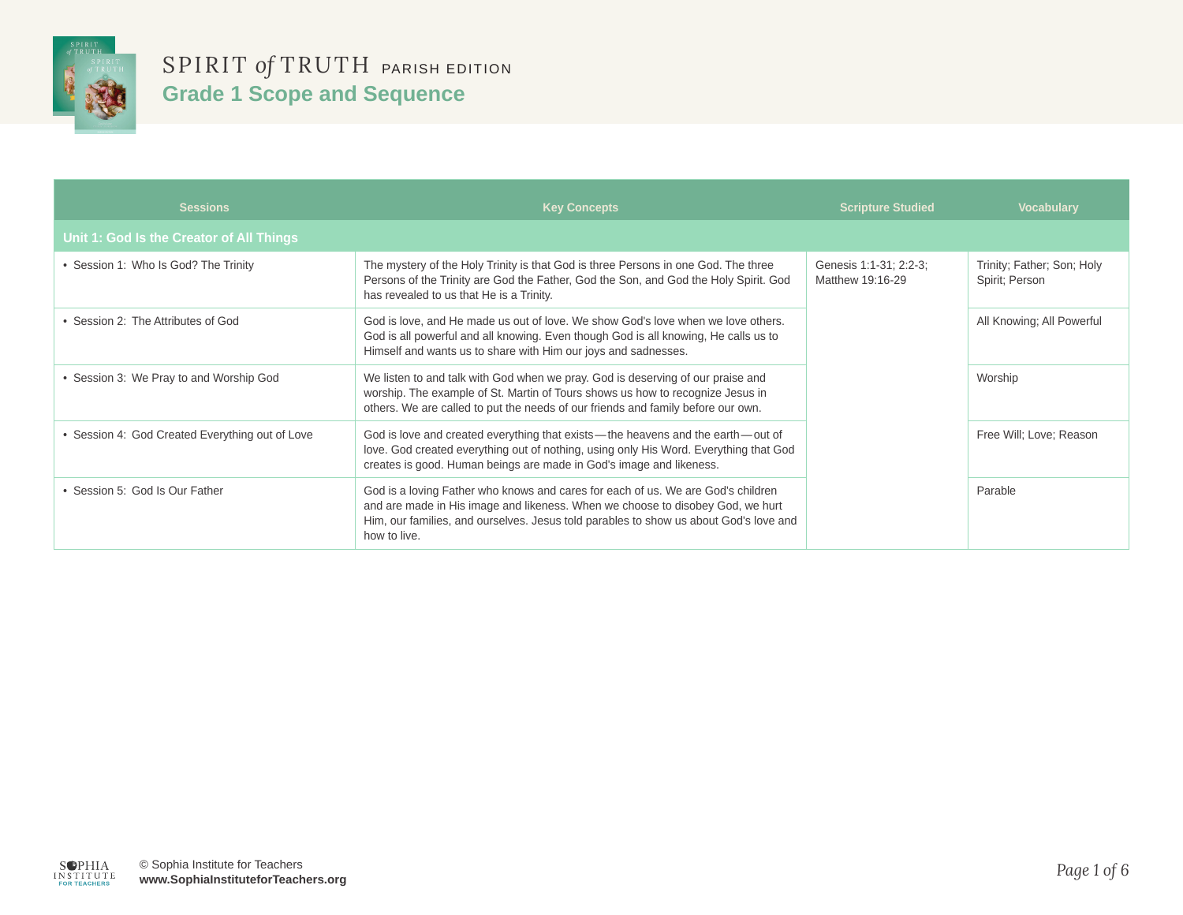

| <b>Sessions</b>                                 | <b>Key Concepts</b>                                                                                                                                                                                                                                                         | <b>Scripture Studied</b>                   | <b>Vocabulary</b>                            |
|-------------------------------------------------|-----------------------------------------------------------------------------------------------------------------------------------------------------------------------------------------------------------------------------------------------------------------------------|--------------------------------------------|----------------------------------------------|
| Unit 1: God Is the Creator of All Things        |                                                                                                                                                                                                                                                                             |                                            |                                              |
| • Session 1: Who Is God? The Trinity            | The mystery of the Holy Trinity is that God is three Persons in one God. The three<br>Persons of the Trinity are God the Father, God the Son, and God the Holy Spirit. God<br>has revealed to us that He is a Trinity.                                                      | Genesis 1:1-31; 2:2-3;<br>Matthew 19:16-29 | Trinity; Father; Son; Holy<br>Spirit: Person |
| Session 2: The Attributes of God                | God is love, and He made us out of love. We show God's love when we love others.<br>God is all powerful and all knowing. Even though God is all knowing, He calls us to<br>Himself and wants us to share with Him our joys and sadnesses.                                   |                                            | All Knowing; All Powerful                    |
| • Session 3: We Pray to and Worship God         | We listen to and talk with God when we pray. God is deserving of our praise and<br>worship. The example of St. Martin of Tours shows us how to recognize Jesus in<br>others. We are called to put the needs of our friends and family before our own.                       |                                            | Worship                                      |
| • Session 4: God Created Everything out of Love | God is love and created everything that exists—the heavens and the earth—out of<br>love. God created everything out of nothing, using only His Word. Everything that God<br>creates is good. Human beings are made in God's image and likeness.                             |                                            | Free Will; Love; Reason                      |
| • Session 5: God Is Our Father                  | God is a loving Father who knows and cares for each of us. We are God's children<br>and are made in His image and likeness. When we choose to disobey God, we hurt<br>Him, our families, and ourselves. Jesus told parables to show us about God's love and<br>how to live. |                                            | Parable                                      |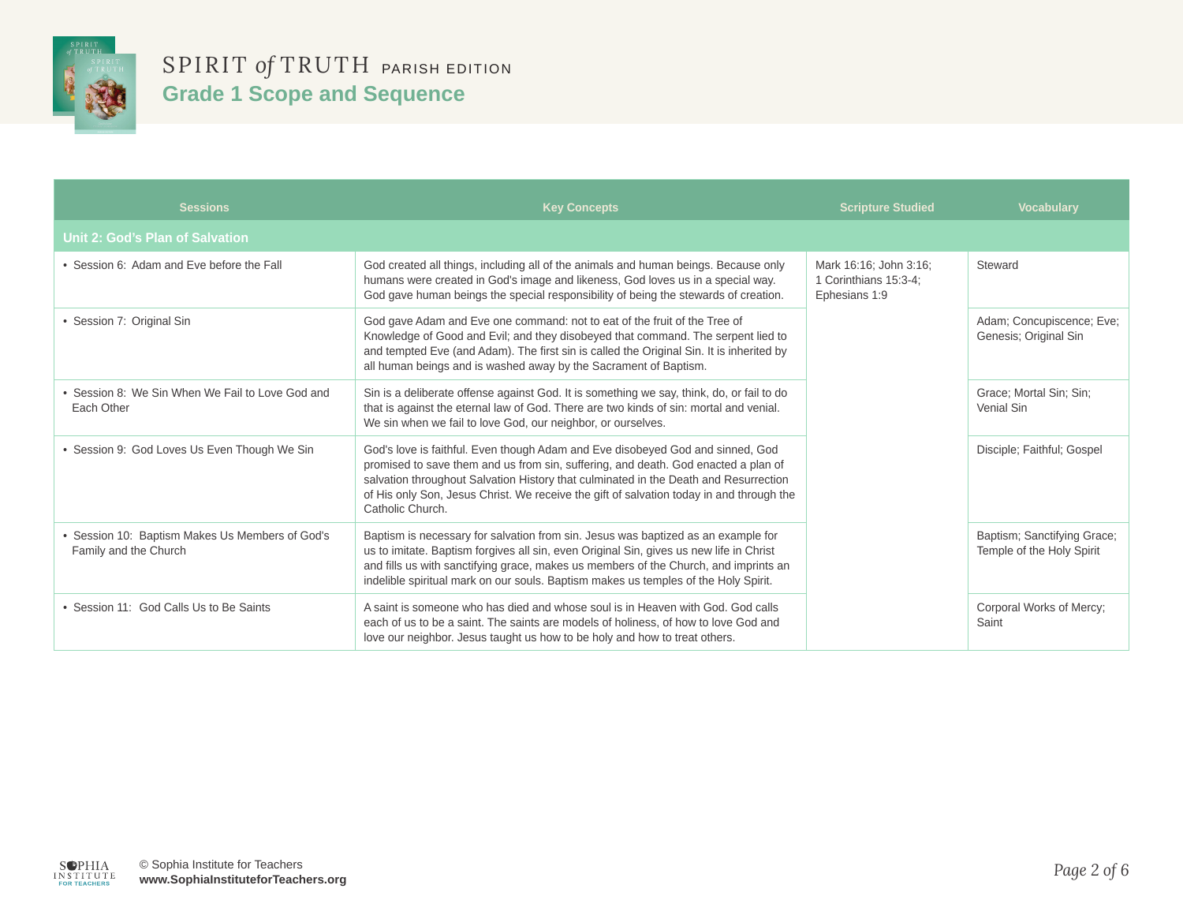

| <b>Sessions</b>                                                          | <b>Key Concepts</b>                                                                                                                                                                                                                                                                                                                                                          | <b>Scripture Studied</b>                                         | <b>Vocabulary</b>                                        |
|--------------------------------------------------------------------------|------------------------------------------------------------------------------------------------------------------------------------------------------------------------------------------------------------------------------------------------------------------------------------------------------------------------------------------------------------------------------|------------------------------------------------------------------|----------------------------------------------------------|
| Unit 2: God's Plan of Salvation                                          |                                                                                                                                                                                                                                                                                                                                                                              |                                                                  |                                                          |
| • Session 6: Adam and Eve before the Fall                                | God created all things, including all of the animals and human beings. Because only<br>humans were created in God's image and likeness, God loves us in a special way.<br>God gave human beings the special responsibility of being the stewards of creation.                                                                                                                | Mark 16:16; John 3:16;<br>1 Corinthians 15:3-4;<br>Ephesians 1:9 | Steward                                                  |
| • Session 7: Original Sin                                                | God gave Adam and Eve one command: not to eat of the fruit of the Tree of<br>Knowledge of Good and Evil; and they disobeyed that command. The serpent lied to<br>and tempted Eve (and Adam). The first sin is called the Original Sin. It is inherited by<br>all human beings and is washed away by the Sacrament of Baptism.                                                |                                                                  | Adam; Concupiscence; Eve;<br>Genesis; Original Sin       |
| • Session 8: We Sin When We Fail to Love God and<br>Each Other           | Sin is a deliberate offense against God. It is something we say, think, do, or fail to do<br>that is against the eternal law of God. There are two kinds of sin: mortal and venial.<br>We sin when we fail to love God, our neighbor, or ourselves.                                                                                                                          |                                                                  | Grace; Mortal Sin; Sin;<br>Venial Sin                    |
| · Session 9: God Loves Us Even Though We Sin                             | God's love is faithful. Even though Adam and Eve disobeyed God and sinned, God<br>promised to save them and us from sin, suffering, and death. God enacted a plan of<br>salvation throughout Salvation History that culminated in the Death and Resurrection<br>of His only Son, Jesus Christ. We receive the gift of salvation today in and through the<br>Catholic Church. |                                                                  | Disciple; Faithful; Gospel                               |
| • Session 10: Baptism Makes Us Members of God's<br>Family and the Church | Baptism is necessary for salvation from sin. Jesus was baptized as an example for<br>us to imitate. Baptism forgives all sin, even Original Sin, gives us new life in Christ<br>and fills us with sanctifying grace, makes us members of the Church, and imprints an<br>indelible spiritual mark on our souls. Baptism makes us temples of the Holy Spirit.                  |                                                                  | Baptism; Sanctifying Grace;<br>Temple of the Holy Spirit |
| • Session 11: God Calls Us to Be Saints                                  | A saint is someone who has died and whose soul is in Heaven with God, God calls<br>each of us to be a saint. The saints are models of holiness, of how to love God and<br>love our neighbor. Jesus taught us how to be holy and how to treat others.                                                                                                                         |                                                                  | Corporal Works of Mercy;<br>Saint                        |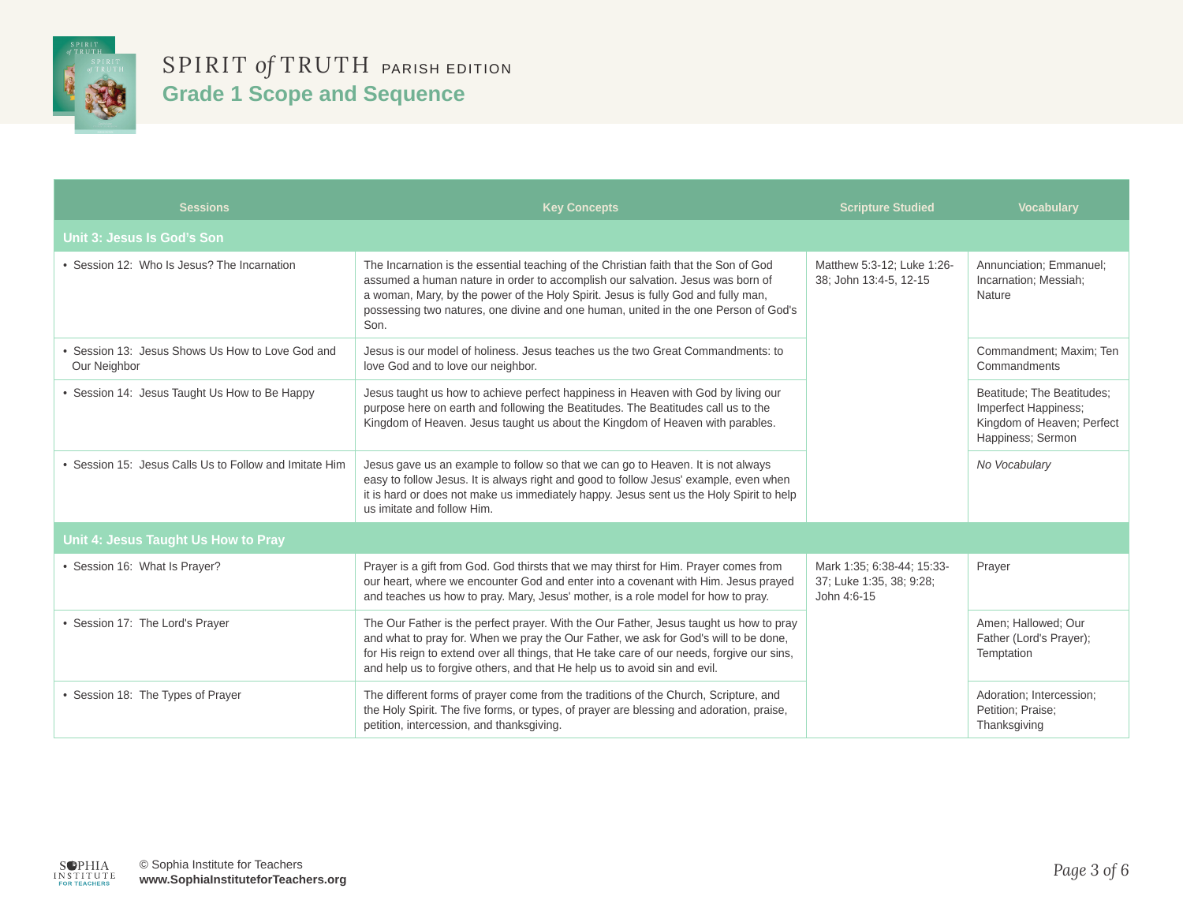

| <b>Sessions</b>                                                | <b>Key Concepts</b>                                                                                                                                                                                                                                                                                                                                        | <b>Scripture Studied</b>                                              | <b>Vocabulary</b>                                                                                     |
|----------------------------------------------------------------|------------------------------------------------------------------------------------------------------------------------------------------------------------------------------------------------------------------------------------------------------------------------------------------------------------------------------------------------------------|-----------------------------------------------------------------------|-------------------------------------------------------------------------------------------------------|
| Unit 3: Jesus Is God's Son                                     |                                                                                                                                                                                                                                                                                                                                                            |                                                                       |                                                                                                       |
| • Session 12: Who Is Jesus? The Incarnation                    | The Incarnation is the essential teaching of the Christian faith that the Son of God<br>assumed a human nature in order to accomplish our salvation. Jesus was born of<br>a woman, Mary, by the power of the Holy Spirit. Jesus is fully God and fully man,<br>possessing two natures, one divine and one human, united in the one Person of God's<br>Son. | Matthew 5:3-12; Luke 1:26-<br>38; John 13:4-5, 12-15                  | Annunciation; Emmanuel;<br>Incarnation; Messiah;<br>Nature                                            |
| Session 13: Jesus Shows Us How to Love God and<br>Our Neighbor | Jesus is our model of holiness. Jesus teaches us the two Great Commandments: to<br>love God and to love our neighbor.                                                                                                                                                                                                                                      |                                                                       | Commandment; Maxim; Ten<br>Commandments                                                               |
| Session 14: Jesus Taught Us How to Be Happy                    | Jesus taught us how to achieve perfect happiness in Heaven with God by living our<br>purpose here on earth and following the Beatitudes. The Beatitudes call us to the<br>Kingdom of Heaven. Jesus taught us about the Kingdom of Heaven with parables.                                                                                                    |                                                                       | Beatitude; The Beatitudes;<br>Imperfect Happiness;<br>Kingdom of Heaven; Perfect<br>Happiness; Sermon |
| • Session 15: Jesus Calls Us to Follow and Imitate Him         | Jesus gave us an example to follow so that we can go to Heaven. It is not always<br>easy to follow Jesus. It is always right and good to follow Jesus' example, even when<br>it is hard or does not make us immediately happy. Jesus sent us the Holy Spirit to help<br>us imitate and follow Him.                                                         |                                                                       | No Vocabulary                                                                                         |
| Unit 4: Jesus Taught Us How to Pray                            |                                                                                                                                                                                                                                                                                                                                                            |                                                                       |                                                                                                       |
| • Session 16: What Is Prayer?                                  | Prayer is a gift from God. God thirsts that we may thirst for Him. Prayer comes from<br>our heart, where we encounter God and enter into a covenant with Him. Jesus prayed<br>and teaches us how to pray. Mary, Jesus' mother, is a role model for how to pray.                                                                                            | Mark 1:35; 6:38-44; 15:33-<br>37; Luke 1:35, 38; 9:28;<br>John 4:6-15 | Prayer                                                                                                |
| • Session 17: The Lord's Prayer                                | The Our Father is the perfect prayer. With the Our Father, Jesus taught us how to pray<br>and what to pray for. When we pray the Our Father, we ask for God's will to be done,<br>for His reign to extend over all things, that He take care of our needs, forgive our sins,<br>and help us to forgive others, and that He help us to avoid sin and evil.  |                                                                       | Amen; Hallowed; Our<br>Father (Lord's Prayer);<br>Temptation                                          |
| • Session 18: The Types of Prayer                              | The different forms of prayer come from the traditions of the Church, Scripture, and<br>the Holy Spirit. The five forms, or types, of prayer are blessing and adoration, praise,<br>petition, intercession, and thanksgiving.                                                                                                                              |                                                                       | Adoration; Intercession;<br>Petition; Praise;<br>Thanksgiving                                         |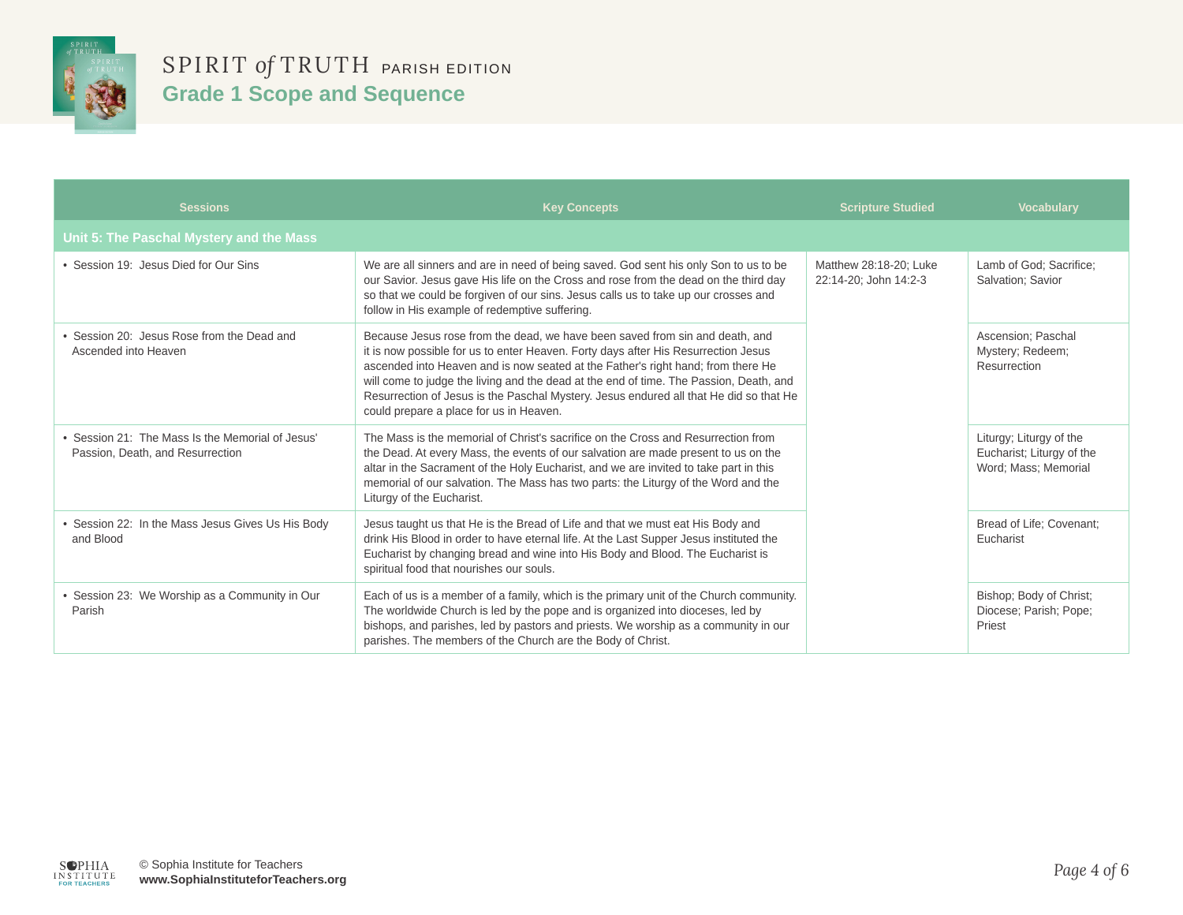

| <b>Sessions</b>                                                                    | <b>Key Concepts</b>                                                                                                                                                                                                                                                                                                                                                                                                                                                                   | <b>Scripture Studied</b>                        | <b>Vocabulary</b>                                                            |
|------------------------------------------------------------------------------------|---------------------------------------------------------------------------------------------------------------------------------------------------------------------------------------------------------------------------------------------------------------------------------------------------------------------------------------------------------------------------------------------------------------------------------------------------------------------------------------|-------------------------------------------------|------------------------------------------------------------------------------|
| Unit 5: The Paschal Mystery and the Mass                                           |                                                                                                                                                                                                                                                                                                                                                                                                                                                                                       |                                                 |                                                                              |
| • Session 19: Jesus Died for Our Sins                                              | We are all sinners and are in need of being saved. God sent his only Son to us to be<br>our Savior. Jesus gave His life on the Cross and rose from the dead on the third day<br>so that we could be forgiven of our sins. Jesus calls us to take up our crosses and<br>follow in His example of redemptive suffering.                                                                                                                                                                 | Matthew 28:18-20; Luke<br>22:14-20; John 14:2-3 | Lamb of God; Sacrifice;<br>Salvation; Savior                                 |
| Session 20: Jesus Rose from the Dead and<br>Ascended into Heaven                   | Because Jesus rose from the dead, we have been saved from sin and death, and<br>it is now possible for us to enter Heaven. Forty days after His Resurrection Jesus<br>ascended into Heaven and is now seated at the Father's right hand; from there He<br>will come to judge the living and the dead at the end of time. The Passion, Death, and<br>Resurrection of Jesus is the Paschal Mystery. Jesus endured all that He did so that He<br>could prepare a place for us in Heaven. |                                                 | Ascension; Paschal<br>Mystery; Redeem;<br>Resurrection                       |
| Session 21: The Mass Is the Memorial of Jesus'<br>Passion, Death, and Resurrection | The Mass is the memorial of Christ's sacrifice on the Cross and Resurrection from<br>the Dead. At every Mass, the events of our salvation are made present to us on the<br>altar in the Sacrament of the Holy Eucharist, and we are invited to take part in this<br>memorial of our salvation. The Mass has two parts: the Liturgy of the Word and the<br>Liturgy of the Eucharist.                                                                                                   |                                                 | Liturgy; Liturgy of the<br>Eucharist; Liturgy of the<br>Word; Mass; Memorial |
| Session 22: In the Mass Jesus Gives Us His Body<br>and Blood                       | Jesus taught us that He is the Bread of Life and that we must eat His Body and<br>drink His Blood in order to have eternal life. At the Last Supper Jesus instituted the<br>Eucharist by changing bread and wine into His Body and Blood. The Eucharist is<br>spiritual food that nourishes our souls.                                                                                                                                                                                |                                                 | Bread of Life; Covenant;<br>Eucharist                                        |
| Session 23: We Worship as a Community in Our<br>Parish                             | Each of us is a member of a family, which is the primary unit of the Church community.<br>The worldwide Church is led by the pope and is organized into dioceses, led by<br>bishops, and parishes, led by pastors and priests. We worship as a community in our<br>parishes. The members of the Church are the Body of Christ.                                                                                                                                                        |                                                 | Bishop; Body of Christ;<br>Diocese; Parish; Pope;<br>Priest                  |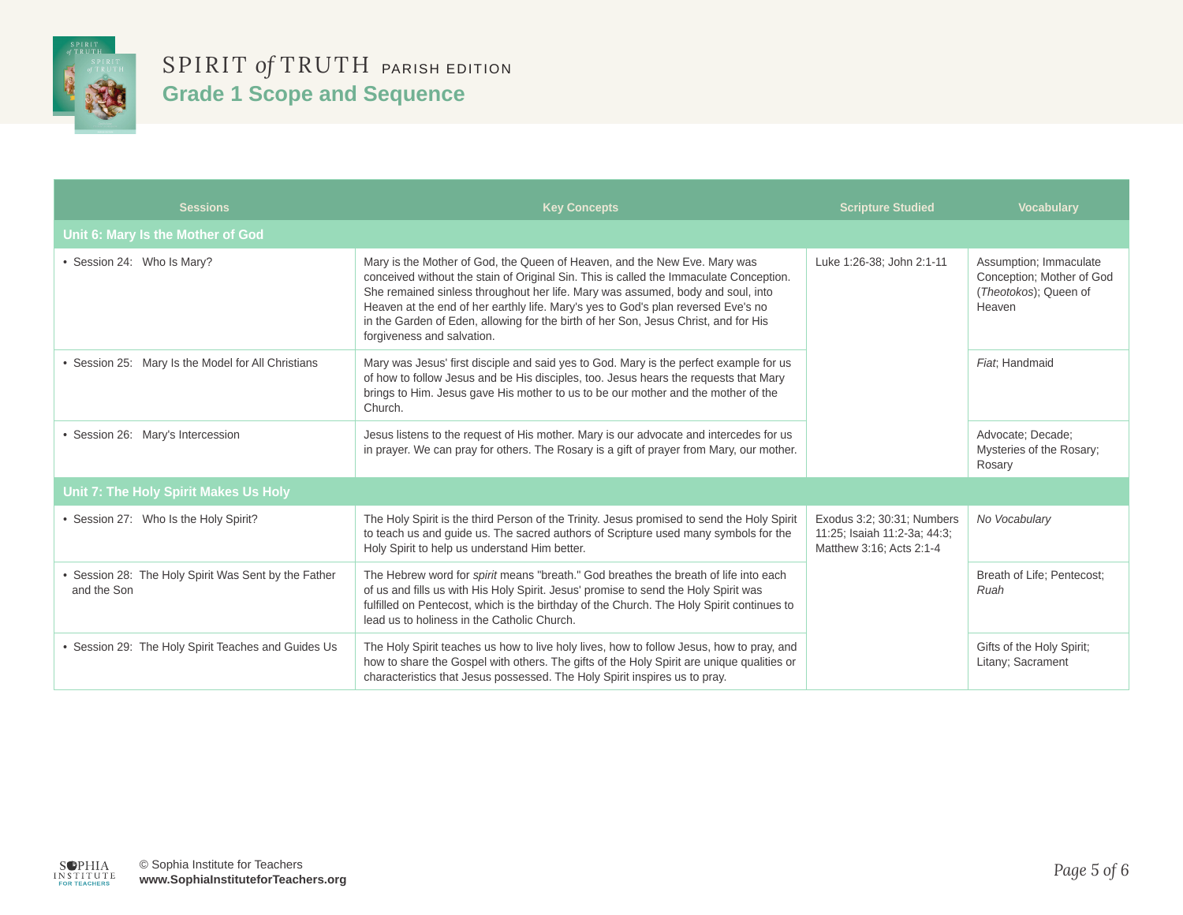

| <b>Sessions</b>                                                   | <b>Key Concepts</b>                                                                                                                                                                                                                                                                                                                                                                                                                                              | <b>Scripture Studied</b>                                                               | <b>Vocabulary</b>                                                                      |
|-------------------------------------------------------------------|------------------------------------------------------------------------------------------------------------------------------------------------------------------------------------------------------------------------------------------------------------------------------------------------------------------------------------------------------------------------------------------------------------------------------------------------------------------|----------------------------------------------------------------------------------------|----------------------------------------------------------------------------------------|
| Unit 6: Mary Is the Mother of God                                 |                                                                                                                                                                                                                                                                                                                                                                                                                                                                  |                                                                                        |                                                                                        |
| • Session 24: Who Is Mary?                                        | Mary is the Mother of God, the Queen of Heaven, and the New Eve. Mary was<br>conceived without the stain of Original Sin. This is called the Immaculate Conception.<br>She remained sinless throughout her life. Mary was assumed, body and soul, into<br>Heaven at the end of her earthly life. Mary's yes to God's plan reversed Eve's no<br>in the Garden of Eden, allowing for the birth of her Son, Jesus Christ, and for His<br>forgiveness and salvation. | Luke 1:26-38; John 2:1-11                                                              | Assumption; Immaculate<br>Conception; Mother of God<br>(Theotokos); Queen of<br>Heaven |
| • Session 25: Mary Is the Model for All Christians                | Mary was Jesus' first disciple and said yes to God. Mary is the perfect example for us<br>of how to follow Jesus and be His disciples, too. Jesus hears the requests that Mary<br>brings to Him. Jesus gave His mother to us to be our mother and the mother of the<br>Church.                                                                                                                                                                                   |                                                                                        | Fiat: Handmaid                                                                         |
| • Session 26: Mary's Intercession                                 | Jesus listens to the request of His mother. Mary is our advocate and intercedes for us<br>in prayer. We can pray for others. The Rosary is a gift of prayer from Mary, our mother.                                                                                                                                                                                                                                                                               |                                                                                        | Advocate; Decade;<br>Mysteries of the Rosary;<br>Rosary                                |
| <b>Unit 7: The Holy Spirit Makes Us Holy</b>                      |                                                                                                                                                                                                                                                                                                                                                                                                                                                                  |                                                                                        |                                                                                        |
| • Session 27: Who Is the Holy Spirit?                             | The Holy Spirit is the third Person of the Trinity. Jesus promised to send the Holy Spirit<br>to teach us and guide us. The sacred authors of Scripture used many symbols for the<br>Holy Spirit to help us understand Him better.                                                                                                                                                                                                                               | Exodus 3:2; 30:31; Numbers<br>11:25; Isaiah 11:2-3a; 44:3;<br>Matthew 3:16; Acts 2:1-4 | No Vocabulary                                                                          |
| Session 28: The Holy Spirit Was Sent by the Father<br>and the Son | The Hebrew word for spirit means "breath." God breathes the breath of life into each<br>of us and fills us with His Holy Spirit. Jesus' promise to send the Holy Spirit was<br>fulfilled on Pentecost, which is the birthday of the Church. The Holy Spirit continues to<br>lead us to holiness in the Catholic Church.                                                                                                                                          |                                                                                        | Breath of Life; Pentecost;<br>Ruah                                                     |
| • Session 29: The Holy Spirit Teaches and Guides Us               | The Holy Spirit teaches us how to live holy lives, how to follow Jesus, how to pray, and<br>how to share the Gospel with others. The gifts of the Holy Spirit are unique qualities or<br>characteristics that Jesus possessed. The Holy Spirit inspires us to pray.                                                                                                                                                                                              |                                                                                        | Gifts of the Holy Spirit;<br>Litany; Sacrament                                         |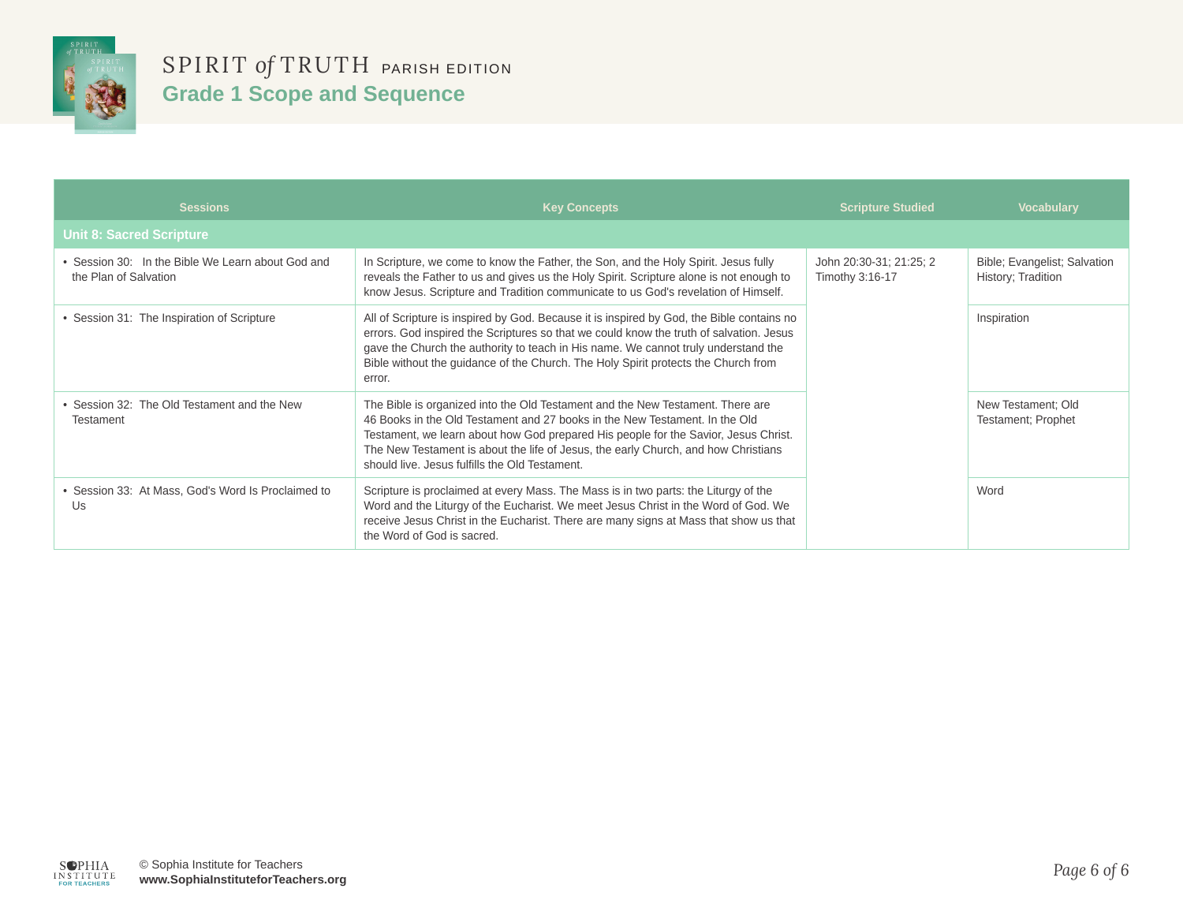

| <b>Sessions</b>                                                            | <b>Key Concepts</b>                                                                                                                                                                                                                                                                                                                                                                          | <b>Scripture Studied</b>                   | <b>Vocabulary</b>                                  |
|----------------------------------------------------------------------------|----------------------------------------------------------------------------------------------------------------------------------------------------------------------------------------------------------------------------------------------------------------------------------------------------------------------------------------------------------------------------------------------|--------------------------------------------|----------------------------------------------------|
| <b>Unit 8: Sacred Scripture</b>                                            |                                                                                                                                                                                                                                                                                                                                                                                              |                                            |                                                    |
| • Session 30: In the Bible We Learn about God and<br>the Plan of Salvation | In Scripture, we come to know the Father, the Son, and the Holy Spirit. Jesus fully<br>reveals the Father to us and gives us the Holy Spirit. Scripture alone is not enough to<br>know Jesus. Scripture and Tradition communicate to us God's revelation of Himself.                                                                                                                         | John 20:30-31; 21:25; 2<br>Timothy 3:16-17 | Bible; Evangelist; Salvation<br>History; Tradition |
| • Session 31: The Inspiration of Scripture                                 | All of Scripture is inspired by God. Because it is inspired by God, the Bible contains no<br>errors. God inspired the Scriptures so that we could know the truth of salvation. Jesus<br>gave the Church the authority to teach in His name. We cannot truly understand the<br>Bible without the guidance of the Church. The Holy Spirit protects the Church from<br>error.                   |                                            | Inspiration                                        |
| • Session 32: The Old Testament and the New<br><b>Testament</b>            | The Bible is organized into the Old Testament and the New Testament. There are<br>46 Books in the Old Testament and 27 books in the New Testament. In the Old<br>Testament, we learn about how God prepared His people for the Savior, Jesus Christ.<br>The New Testament is about the life of Jesus, the early Church, and how Christians<br>should live. Jesus fulfills the Old Testament. |                                            | New Testament; Old<br>Testament; Prophet           |
| • Session 33: At Mass, God's Word Is Proclaimed to<br>Us                   | Scripture is proclaimed at every Mass. The Mass is in two parts: the Liturgy of the<br>Word and the Liturgy of the Eucharist. We meet Jesus Christ in the Word of God. We<br>receive Jesus Christ in the Eucharist. There are many signs at Mass that show us that<br>the Word of God is sacred.                                                                                             |                                            | Word                                               |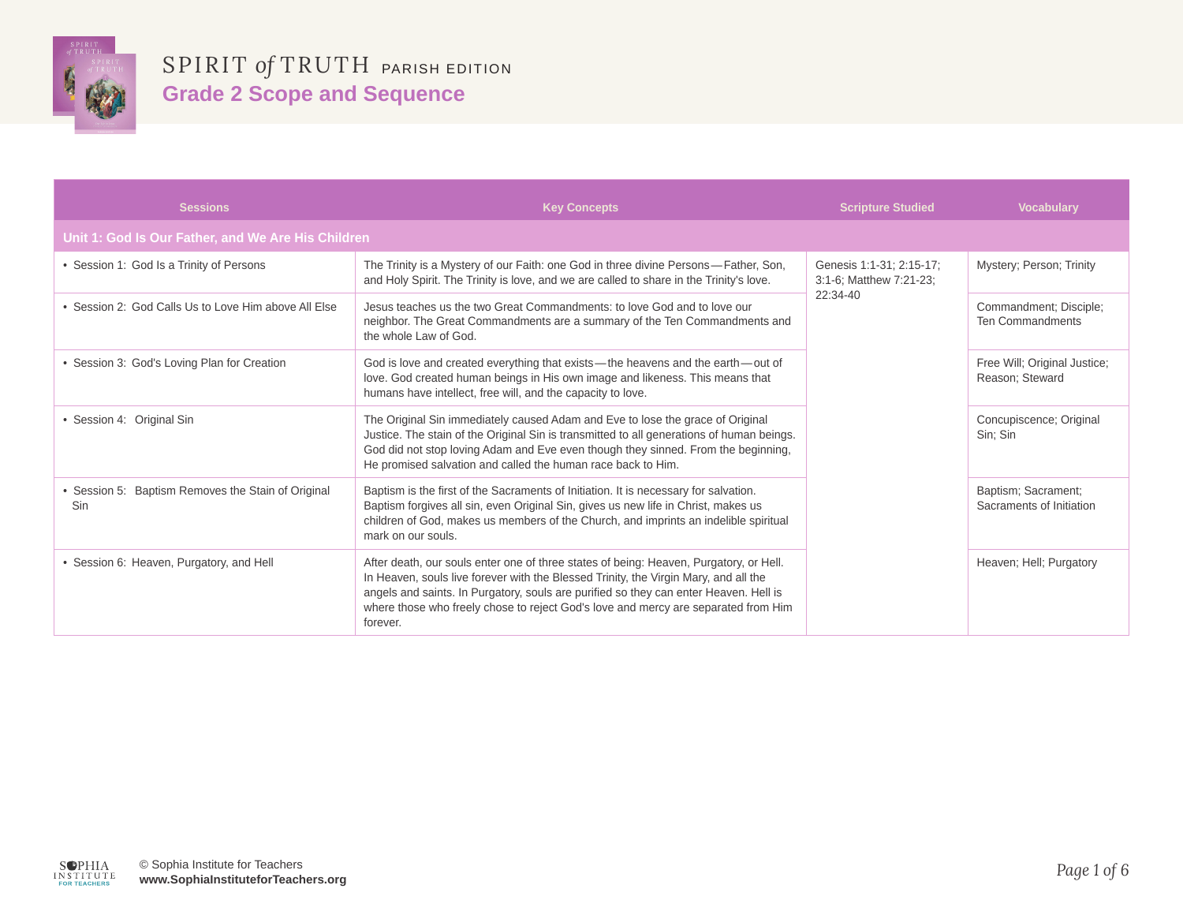

| <b>Sessions</b>                                           | <b>Key Concepts</b>                                                                                                                                                                                                                                                                                                                                                       | <b>Scripture Studied</b>                                        | <b>Vocabulary</b>                                 |
|-----------------------------------------------------------|---------------------------------------------------------------------------------------------------------------------------------------------------------------------------------------------------------------------------------------------------------------------------------------------------------------------------------------------------------------------------|-----------------------------------------------------------------|---------------------------------------------------|
| Unit 1: God Is Our Father, and We Are His Children        |                                                                                                                                                                                                                                                                                                                                                                           |                                                                 |                                                   |
| • Session 1: God Is a Trinity of Persons                  | The Trinity is a Mystery of our Faith: one God in three divine Persons-Father, Son,<br>and Holy Spirit. The Trinity is love, and we are called to share in the Trinity's love.                                                                                                                                                                                            | Genesis 1:1-31; 2:15-17;<br>3:1-6; Matthew 7:21-23;<br>22:34-40 | Mystery; Person; Trinity                          |
| • Session 2: God Calls Us to Love Him above All Flse      | Jesus teaches us the two Great Commandments: to love God and to love our<br>neighbor. The Great Commandments are a summary of the Ten Commandments and<br>the whole Law of God.                                                                                                                                                                                           |                                                                 | Commandment; Disciple;<br><b>Ten Commandments</b> |
| • Session 3: God's Loving Plan for Creation               | God is love and created everything that exists-the heavens and the earth-out of<br>love. God created human beings in His own image and likeness. This means that<br>humans have intellect, free will, and the capacity to love.                                                                                                                                           |                                                                 | Free Will; Original Justice;<br>Reason; Steward   |
| • Session 4: Original Sin                                 | The Original Sin immediately caused Adam and Eve to lose the grace of Original<br>Justice. The stain of the Original Sin is transmitted to all generations of human beings.<br>God did not stop loving Adam and Eve even though they sinned. From the beginning,<br>He promised salvation and called the human race back to Him.                                          |                                                                 | Concupiscence; Original<br>Sin; Sin               |
| • Session 5: Baptism Removes the Stain of Original<br>Sin | Baptism is the first of the Sacraments of Initiation. It is necessary for salvation.<br>Baptism forgives all sin, even Original Sin, gives us new life in Christ, makes us<br>children of God, makes us members of the Church, and imprints an indelible spiritual<br>mark on our souls.                                                                                  |                                                                 | Baptism; Sacrament;<br>Sacraments of Initiation   |
| • Session 6: Heaven, Purgatory, and Hell                  | After death, our souls enter one of three states of being: Heaven, Purgatory, or Hell.<br>In Heaven, souls live forever with the Blessed Trinity, the Virgin Mary, and all the<br>angels and saints. In Purgatory, souls are purified so they can enter Heaven. Hell is<br>where those who freely chose to reject God's love and mercy are separated from Him<br>forever. |                                                                 | Heaven; Hell; Purgatory                           |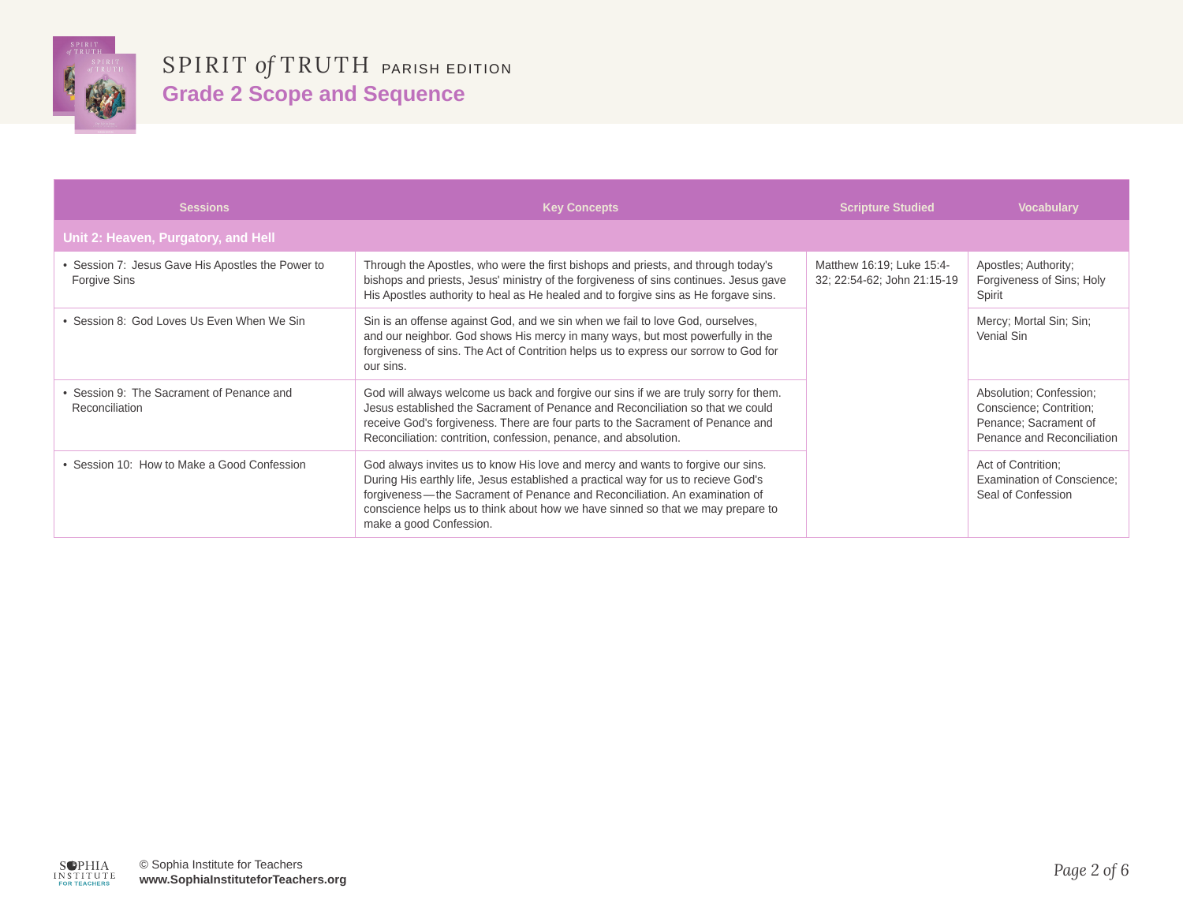

| <b>Sessions</b>                                                   | <b>Key Concepts</b>                                                                                                                                                                                                                                                                                                                                               | <b>Scripture Studied</b>                                 | <b>Vocabulary</b>                                                                                         |
|-------------------------------------------------------------------|-------------------------------------------------------------------------------------------------------------------------------------------------------------------------------------------------------------------------------------------------------------------------------------------------------------------------------------------------------------------|----------------------------------------------------------|-----------------------------------------------------------------------------------------------------------|
| Unit 2: Heaven, Purgatory, and Hell                               |                                                                                                                                                                                                                                                                                                                                                                   |                                                          |                                                                                                           |
| • Session 7: Jesus Gave His Apostles the Power to<br>Forgive Sins | Through the Apostles, who were the first bishops and priests, and through today's<br>bishops and priests, Jesus' ministry of the forgiveness of sins continues. Jesus gave<br>His Apostles authority to heal as He healed and to forgive sins as He forgave sins.                                                                                                 | Matthew 16:19; Luke 15:4-<br>32; 22:54-62; John 21:15-19 | Apostles; Authority;<br>Forgiveness of Sins; Holy<br>Spirit                                               |
| • Session 8: God Loves Us Even When We Sin                        | Sin is an offense against God, and we sin when we fail to love God, ourselves,<br>and our neighbor. God shows His mercy in many ways, but most powerfully in the<br>forgiveness of sins. The Act of Contrition helps us to express our sorrow to God for<br>our sins.                                                                                             |                                                          | Mercy; Mortal Sin; Sin;<br>Venial Sin                                                                     |
| • Session 9: The Sacrament of Penance and<br>Reconciliation       | God will always welcome us back and forgive our sins if we are truly sorry for them.<br>Jesus established the Sacrament of Penance and Reconciliation so that we could<br>receive God's forgiveness. There are four parts to the Sacrament of Penance and<br>Reconciliation: contrition, confession, penance, and absolution.                                     |                                                          | Absolution; Confession;<br>Conscience: Contrition:<br>Penance; Sacrament of<br>Penance and Reconciliation |
| • Session 10: How to Make a Good Confession                       | God always invites us to know His love and mercy and wants to forgive our sins.<br>During His earthly life, Jesus established a practical way for us to recieve God's<br>forgiveness—the Sacrament of Penance and Reconciliation. An examination of<br>conscience helps us to think about how we have sinned so that we may prepare to<br>make a good Confession. |                                                          | Act of Contrition:<br>Examination of Conscience;<br>Seal of Confession                                    |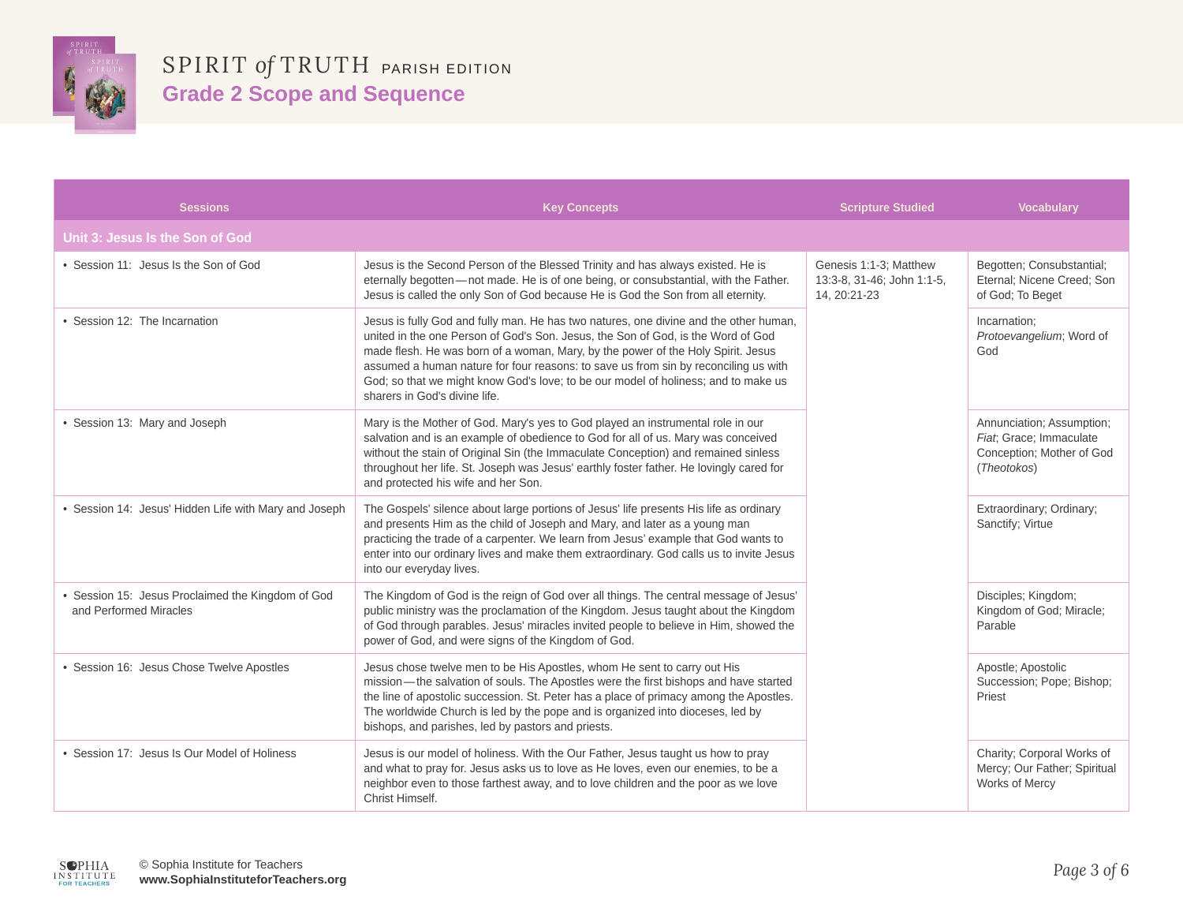

| <b>Sessions</b>                                                             | <b>Key Concepts</b>                                                                                                                                                                                                                                                                                                                                                                                                                                                         | <b>Scripture Studied</b>                                             | <b>Vocabulary</b>                                                                                |
|-----------------------------------------------------------------------------|-----------------------------------------------------------------------------------------------------------------------------------------------------------------------------------------------------------------------------------------------------------------------------------------------------------------------------------------------------------------------------------------------------------------------------------------------------------------------------|----------------------------------------------------------------------|--------------------------------------------------------------------------------------------------|
| Unit 3: Jesus Is the Son of God                                             |                                                                                                                                                                                                                                                                                                                                                                                                                                                                             |                                                                      |                                                                                                  |
| • Session 11: Jesus Is the Son of God                                       | Jesus is the Second Person of the Blessed Trinity and has always existed. He is<br>eternally begotten-not made. He is of one being, or consubstantial, with the Father.<br>Jesus is called the only Son of God because He is God the Son from all eternity.                                                                                                                                                                                                                 | Genesis 1:1-3; Matthew<br>13:3-8, 31-46; John 1:1-5,<br>14, 20:21-23 | Begotten; Consubstantial;<br>Eternal; Nicene Creed; Son<br>of God; To Beget                      |
| • Session 12: The Incarnation                                               | Jesus is fully God and fully man. He has two natures, one divine and the other human,<br>united in the one Person of God's Son, Jesus, the Son of God, is the Word of God<br>made flesh. He was born of a woman, Mary, by the power of the Holy Spirit. Jesus<br>assumed a human nature for four reasons: to save us from sin by reconciling us with<br>God; so that we might know God's love; to be our model of holiness; and to make us<br>sharers in God's divine life. |                                                                      | Incarnation:<br>Protoevangelium; Word of<br>God                                                  |
| • Session 13: Mary and Joseph                                               | Mary is the Mother of God. Mary's yes to God played an instrumental role in our<br>salvation and is an example of obedience to God for all of us. Mary was conceived<br>without the stain of Original Sin (the Immaculate Conception) and remained sinless<br>throughout her life. St. Joseph was Jesus' earthly foster father. He lovingly cared for<br>and protected his wife and her Son.                                                                                |                                                                      | Annunciation; Assumption;<br>Fiat; Grace; Immaculate<br>Conception; Mother of God<br>(Theotokos) |
| • Session 14: Jesus' Hidden Life with Mary and Joseph                       | The Gospels' silence about large portions of Jesus' life presents His life as ordinary<br>and presents Him as the child of Joseph and Mary, and later as a young man<br>practicing the trade of a carpenter. We learn from Jesus' example that God wants to<br>enter into our ordinary lives and make them extraordinary. God calls us to invite Jesus<br>into our everyday lives.                                                                                          |                                                                      | Extraordinary; Ordinary;<br>Sanctify; Virtue                                                     |
| • Session 15: Jesus Proclaimed the Kingdom of God<br>and Performed Miracles | The Kingdom of God is the reign of God over all things. The central message of Jesus'<br>public ministry was the proclamation of the Kingdom. Jesus taught about the Kingdom<br>of God through parables. Jesus' miracles invited people to believe in Him, showed the<br>power of God, and were signs of the Kingdom of God.                                                                                                                                                |                                                                      | Disciples; Kingdom;<br>Kingdom of God; Miracle;<br>Parable                                       |
| • Session 16: Jesus Chose Twelve Apostles                                   | Jesus chose twelve men to be His Apostles, whom He sent to carry out His<br>mission-the salvation of souls. The Apostles were the first bishops and have started<br>the line of apostolic succession. St. Peter has a place of primacy among the Apostles.<br>The worldwide Church is led by the pope and is organized into dioceses, led by<br>bishops, and parishes, led by pastors and priests.                                                                          |                                                                      | Apostle; Apostolic<br>Succession; Pope; Bishop;<br>Priest                                        |
| • Session 17: Jesus Is Our Model of Holiness                                | Jesus is our model of holiness. With the Our Father, Jesus taught us how to pray<br>and what to pray for. Jesus asks us to love as He loves, even our enemies, to be a<br>neighbor even to those farthest away, and to love children and the poor as we love<br>Christ Himself.                                                                                                                                                                                             |                                                                      | Charity; Corporal Works of<br>Mercy; Our Father; Spiritual<br>Works of Mercy                     |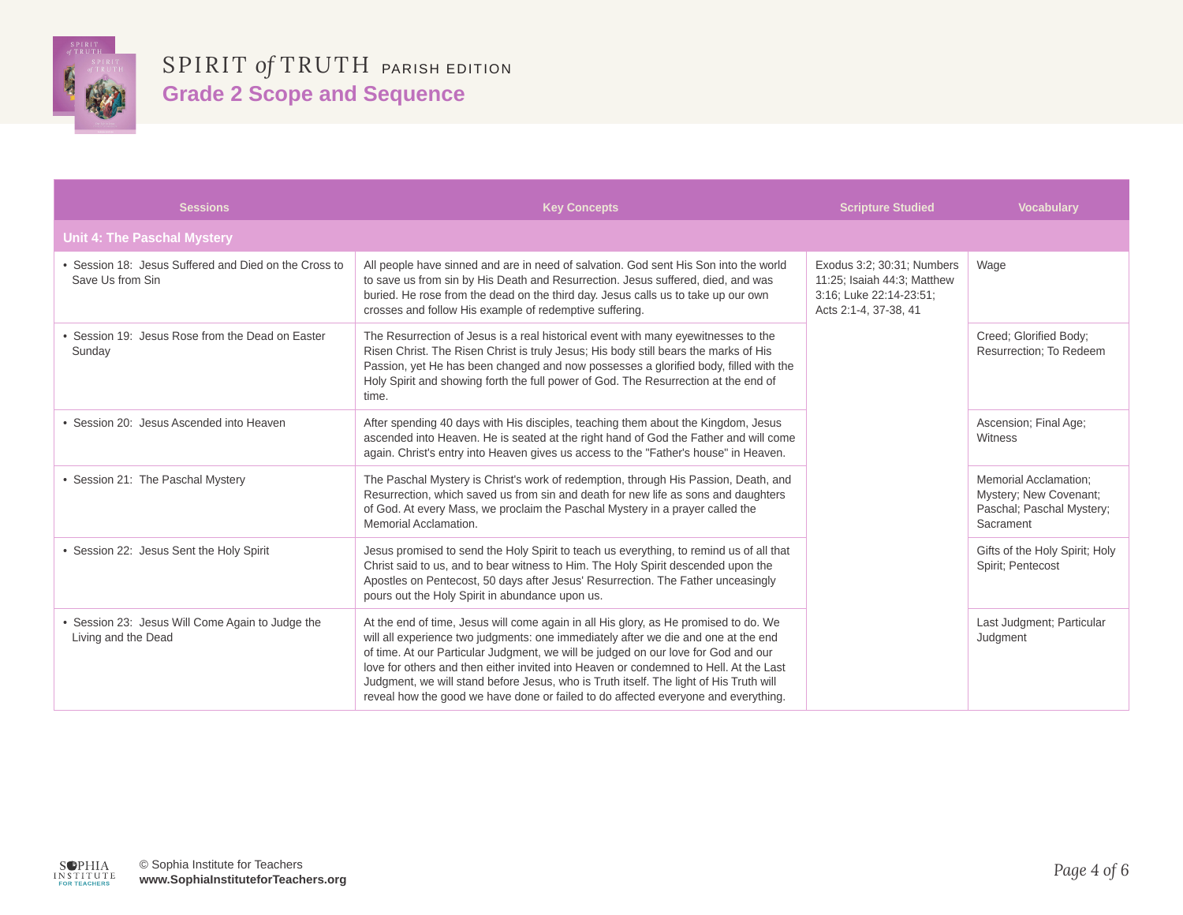

| <b>Sessions</b>                                                           | <b>Key Concepts</b>                                                                                                                                                                                                                                                                                                                                                                                                                                                                                                                       | <b>Scripture Studied</b>                                                                                      | <b>Vocabulary</b>                                                                                |
|---------------------------------------------------------------------------|-------------------------------------------------------------------------------------------------------------------------------------------------------------------------------------------------------------------------------------------------------------------------------------------------------------------------------------------------------------------------------------------------------------------------------------------------------------------------------------------------------------------------------------------|---------------------------------------------------------------------------------------------------------------|--------------------------------------------------------------------------------------------------|
| <b>Unit 4: The Paschal Mystery</b>                                        |                                                                                                                                                                                                                                                                                                                                                                                                                                                                                                                                           |                                                                                                               |                                                                                                  |
| • Session 18: Jesus Suffered and Died on the Cross to<br>Save Us from Sin | All people have sinned and are in need of salvation. God sent His Son into the world<br>to save us from sin by His Death and Resurrection. Jesus suffered, died, and was<br>buried. He rose from the dead on the third day. Jesus calls us to take up our own<br>crosses and follow His example of redemptive suffering.                                                                                                                                                                                                                  | Exodus 3:2; 30:31; Numbers<br>11:25; Isaiah 44:3; Matthew<br>3:16; Luke 22:14-23:51;<br>Acts 2:1-4, 37-38, 41 | Wage                                                                                             |
| Session 19: Jesus Rose from the Dead on Easter<br>Sunday                  | The Resurrection of Jesus is a real historical event with many eyewitnesses to the<br>Risen Christ. The Risen Christ is truly Jesus; His body still bears the marks of His<br>Passion, yet He has been changed and now possesses a glorified body, filled with the<br>Holy Spirit and showing forth the full power of God. The Resurrection at the end of<br>time.                                                                                                                                                                        |                                                                                                               | Creed; Glorified Body;<br>Resurrection; To Redeem                                                |
| • Session 20: Jesus Ascended into Heaven                                  | After spending 40 days with His disciples, teaching them about the Kingdom, Jesus<br>ascended into Heaven. He is seated at the right hand of God the Father and will come<br>again. Christ's entry into Heaven gives us access to the "Father's house" in Heaven.                                                                                                                                                                                                                                                                         |                                                                                                               | Ascension; Final Age;<br>Witness                                                                 |
| • Session 21: The Paschal Mystery                                         | The Paschal Mystery is Christ's work of redemption, through His Passion, Death, and<br>Resurrection, which saved us from sin and death for new life as sons and daughters<br>of God. At every Mass, we proclaim the Paschal Mystery in a prayer called the<br>Memorial Acclamation.                                                                                                                                                                                                                                                       |                                                                                                               | <b>Memorial Acclamation:</b><br>Mystery; New Covenant;<br>Paschal; Paschal Mystery;<br>Sacrament |
| • Session 22: Jesus Sent the Holy Spirit                                  | Jesus promised to send the Holy Spirit to teach us everything, to remind us of all that<br>Christ said to us, and to bear witness to Him. The Holy Spirit descended upon the<br>Apostles on Pentecost, 50 days after Jesus' Resurrection. The Father unceasingly<br>pours out the Holy Spirit in abundance upon us.                                                                                                                                                                                                                       |                                                                                                               | Gifts of the Holy Spirit; Holy<br>Spirit: Pentecost                                              |
| • Session 23: Jesus Will Come Again to Judge the<br>Living and the Dead   | At the end of time, Jesus will come again in all His glory, as He promised to do. We<br>will all experience two judgments: one immediately after we die and one at the end<br>of time. At our Particular Judgment, we will be judged on our love for God and our<br>love for others and then either invited into Heaven or condemned to Hell. At the Last<br>Judgment, we will stand before Jesus, who is Truth itself. The light of His Truth will<br>reveal how the good we have done or failed to do affected everyone and everything. |                                                                                                               | Last Judgment; Particular<br>Judgment                                                            |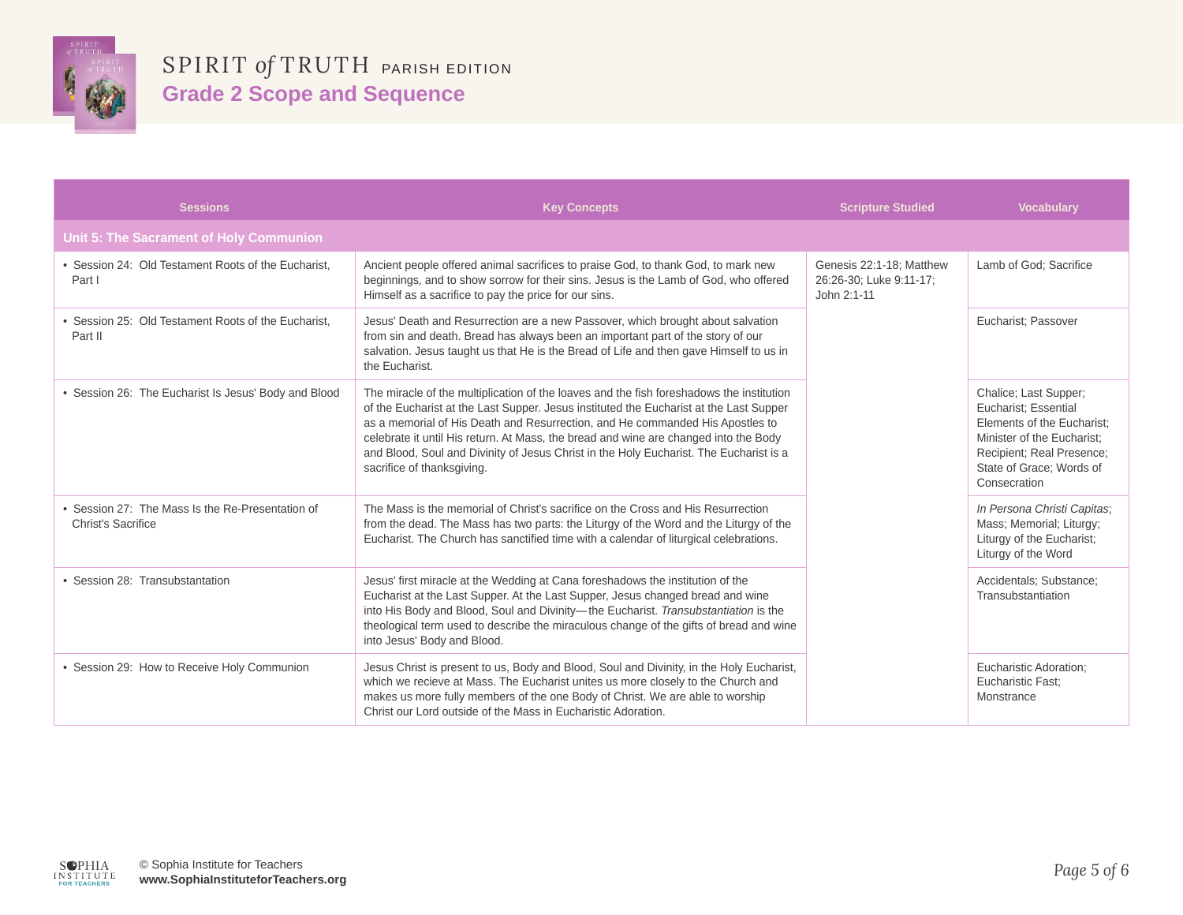

| <b>Sessions</b>                                                               | <b>Key Concepts</b>                                                                                                                                                                                                                                                                                                                                                                                                                                                                 | <b>Scripture Studied</b>                                           | <b>Vocabulary</b>                                                                                                                                                                  |
|-------------------------------------------------------------------------------|-------------------------------------------------------------------------------------------------------------------------------------------------------------------------------------------------------------------------------------------------------------------------------------------------------------------------------------------------------------------------------------------------------------------------------------------------------------------------------------|--------------------------------------------------------------------|------------------------------------------------------------------------------------------------------------------------------------------------------------------------------------|
| <b>Unit 5: The Sacrament of Holy Communion</b>                                |                                                                                                                                                                                                                                                                                                                                                                                                                                                                                     |                                                                    |                                                                                                                                                                                    |
| • Session 24: Old Testament Roots of the Eucharist.<br>Part I                 | Ancient people offered animal sacrifices to praise God, to thank God, to mark new<br>beginnings, and to show sorrow for their sins. Jesus is the Lamb of God, who offered<br>Himself as a sacrifice to pay the price for our sins.                                                                                                                                                                                                                                                  | Genesis 22:1-18; Matthew<br>26:26-30; Luke 9:11-17;<br>John 2:1-11 | Lamb of God; Sacrifice                                                                                                                                                             |
| • Session 25: Old Testament Roots of the Eucharist.<br>Part II                | Jesus' Death and Resurrection are a new Passover, which brought about salvation<br>from sin and death. Bread has always been an important part of the story of our<br>salvation. Jesus taught us that He is the Bread of Life and then gave Himself to us in<br>the Eucharist.                                                                                                                                                                                                      |                                                                    | Eucharist: Passover                                                                                                                                                                |
| • Session 26: The Eucharist Is Jesus' Body and Blood                          | The miracle of the multiplication of the loaves and the fish foreshadows the institution<br>of the Eucharist at the Last Supper. Jesus instituted the Eucharist at the Last Supper<br>as a memorial of His Death and Resurrection, and He commanded His Apostles to<br>celebrate it until His return. At Mass, the bread and wine are changed into the Body<br>and Blood, Soul and Divinity of Jesus Christ in the Holy Eucharist. The Eucharist is a<br>sacrifice of thanksgiving. |                                                                    | Chalice; Last Supper;<br>Eucharist; Essential<br>Elements of the Eucharist:<br>Minister of the Eucharist:<br>Recipient; Real Presence;<br>State of Grace; Words of<br>Consecration |
| • Session 27: The Mass Is the Re-Presentation of<br><b>Christ's Sacrifice</b> | The Mass is the memorial of Christ's sacrifice on the Cross and His Resurrection<br>from the dead. The Mass has two parts: the Liturgy of the Word and the Liturgy of the<br>Eucharist. The Church has sanctified time with a calendar of liturgical celebrations.                                                                                                                                                                                                                  |                                                                    | In Persona Christi Capitas;<br>Mass; Memorial; Liturgy;<br>Liturgy of the Eucharist;<br>Liturgy of the Word                                                                        |
| • Session 28: Transubstantation                                               | Jesus' first miracle at the Wedding at Cana foreshadows the institution of the<br>Eucharist at the Last Supper. At the Last Supper, Jesus changed bread and wine<br>into His Body and Blood, Soul and Divinity-the Eucharist. Transubstantiation is the<br>theological term used to describe the miraculous change of the gifts of bread and wine<br>into Jesus' Body and Blood.                                                                                                    |                                                                    | Accidentals; Substance;<br>Transubstantiation                                                                                                                                      |
| • Session 29: How to Receive Holy Communion                                   | Jesus Christ is present to us, Body and Blood, Soul and Divinity, in the Holy Eucharist,<br>which we recieve at Mass. The Eucharist unites us more closely to the Church and<br>makes us more fully members of the one Body of Christ. We are able to worship<br>Christ our Lord outside of the Mass in Eucharistic Adoration.                                                                                                                                                      |                                                                    | Eucharistic Adoration;<br>Eucharistic Fast:<br>Monstrance                                                                                                                          |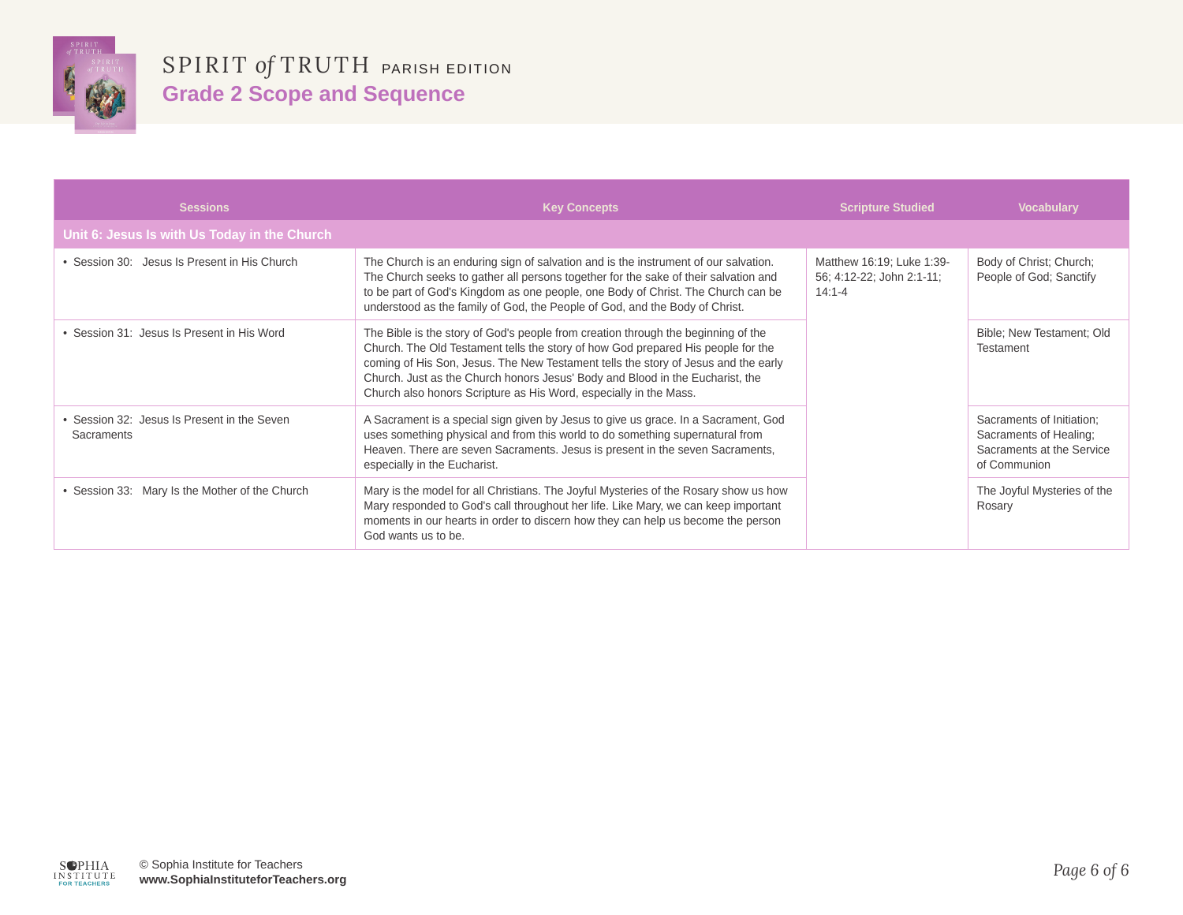

| <b>Sessions</b>                                           | <b>Key Concepts</b>                                                                                                                                                                                                                                                                                                                                                                                               | <b>Scripture Studied</b>                                             | <b>Vocabulary</b>                                                                                |
|-----------------------------------------------------------|-------------------------------------------------------------------------------------------------------------------------------------------------------------------------------------------------------------------------------------------------------------------------------------------------------------------------------------------------------------------------------------------------------------------|----------------------------------------------------------------------|--------------------------------------------------------------------------------------------------|
| Unit 6: Jesus Is with Us Today in the Church              |                                                                                                                                                                                                                                                                                                                                                                                                                   |                                                                      |                                                                                                  |
| Session 30: Jesus Is Present in His Church                | The Church is an enduring sign of salvation and is the instrument of our salvation.<br>The Church seeks to gather all persons together for the sake of their salvation and<br>to be part of God's Kingdom as one people, one Body of Christ. The Church can be<br>understood as the family of God, the People of God, and the Body of Christ.                                                                     | Matthew 16:19; Luke 1:39-<br>56; 4:12-22; John 2:1-11;<br>$14:1 - 4$ | Body of Christ; Church;<br>People of God; Sanctify                                               |
| Session 31: Jesus Is Present in His Word                  | The Bible is the story of God's people from creation through the beginning of the<br>Church. The Old Testament tells the story of how God prepared His people for the<br>coming of His Son, Jesus. The New Testament tells the story of Jesus and the early<br>Church. Just as the Church honors Jesus' Body and Blood in the Eucharist, the<br>Church also honors Scripture as His Word, especially in the Mass. |                                                                      | Bible; New Testament; Old<br>Testament                                                           |
| • Session 32: Jesus Is Present in the Seven<br>Sacraments | A Sacrament is a special sign given by Jesus to give us grace. In a Sacrament, God<br>uses something physical and from this world to do something supernatural from<br>Heaven. There are seven Sacraments. Jesus is present in the seven Sacraments,<br>especially in the Eucharist.                                                                                                                              |                                                                      | Sacraments of Initiation;<br>Sacraments of Healing;<br>Sacraments at the Service<br>of Communion |
| • Session 33: Mary Is the Mother of the Church            | Mary is the model for all Christians. The Joyful Mysteries of the Rosary show us how<br>Mary responded to God's call throughout her life. Like Mary, we can keep important<br>moments in our hearts in order to discern how they can help us become the person<br>God wants us to be.                                                                                                                             |                                                                      | The Joyful Mysteries of the<br>Rosary                                                            |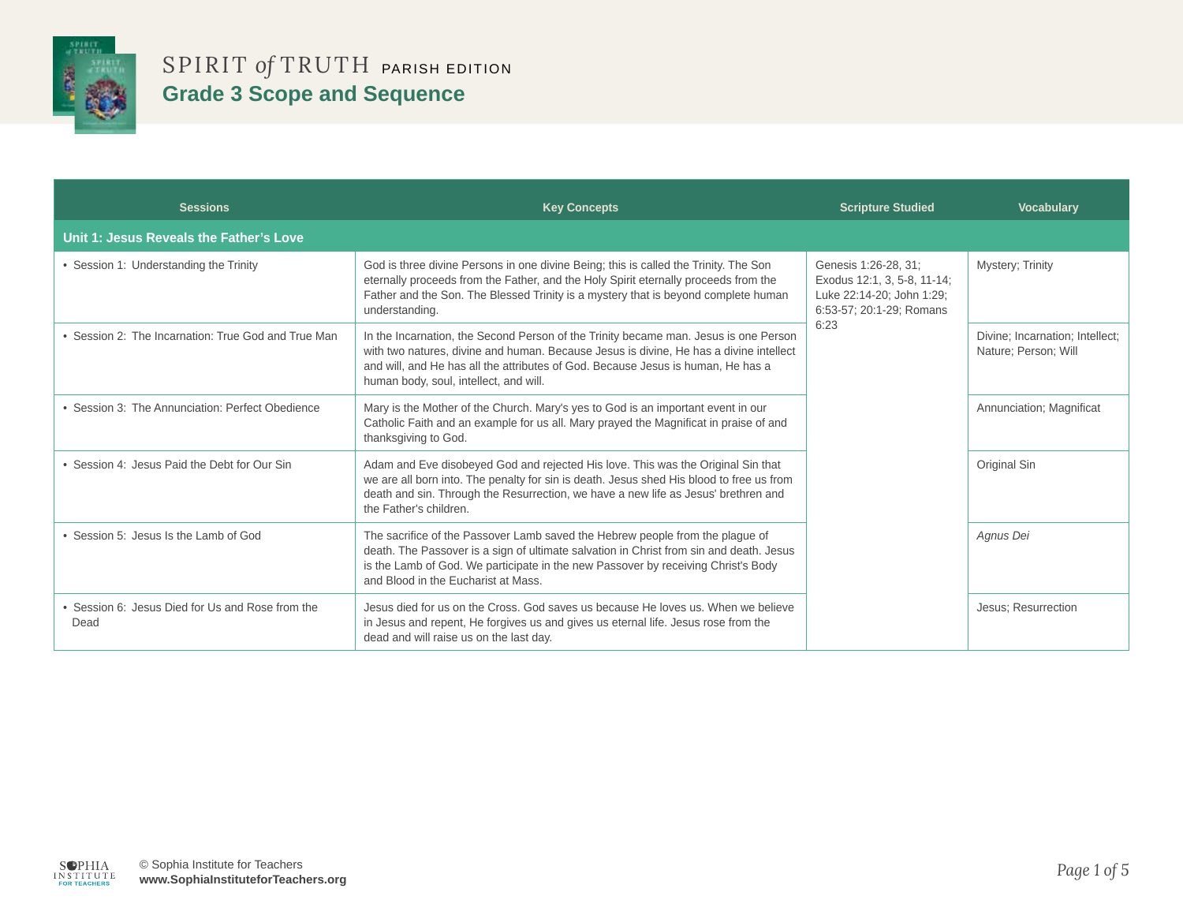

| <b>Sessions</b>                                        | <b>Key Concepts</b>                                                                                                                                                                                                                                                                                          | <b>Scripture Studied</b>                                                                                             | <b>Vocabulary</b>                                       |
|--------------------------------------------------------|--------------------------------------------------------------------------------------------------------------------------------------------------------------------------------------------------------------------------------------------------------------------------------------------------------------|----------------------------------------------------------------------------------------------------------------------|---------------------------------------------------------|
| Unit 1: Jesus Reveals the Father's Love                |                                                                                                                                                                                                                                                                                                              |                                                                                                                      |                                                         |
| • Session 1: Understanding the Trinity                 | God is three divine Persons in one divine Being; this is called the Trinity. The Son<br>eternally proceeds from the Father, and the Holy Spirit eternally proceeds from the<br>Father and the Son. The Blessed Trinity is a mystery that is beyond complete human<br>understanding.                          | Genesis 1:26-28, 31;<br>Exodus 12:1, 3, 5-8, 11-14;<br>Luke 22:14-20; John 1:29;<br>6:53-57; 20:1-29; Romans<br>6:23 | Mystery; Trinity                                        |
| • Session 2: The Incarnation: True God and True Man    | In the Incarnation, the Second Person of the Trinity became man. Jesus is one Person<br>with two natures, divine and human. Because Jesus is divine, He has a divine intellect<br>and will, and He has all the attributes of God. Because Jesus is human, He has a<br>human body, soul, intellect, and will. |                                                                                                                      | Divine; Incarnation; Intellect;<br>Nature: Person: Will |
| • Session 3: The Annunciation: Perfect Obedience       | Mary is the Mother of the Church. Mary's yes to God is an important event in our<br>Catholic Faith and an example for us all. Mary prayed the Magnificat in praise of and<br>thanksgiving to God.                                                                                                            |                                                                                                                      | Annunciation; Magnificat                                |
| • Session 4: Jesus Paid the Debt for Our Sin           | Adam and Eve disobeyed God and rejected His love. This was the Original Sin that<br>we are all born into. The penalty for sin is death. Jesus shed His blood to free us from<br>death and sin. Through the Resurrection, we have a new life as Jesus' brethren and<br>the Father's children.                 |                                                                                                                      | Original Sin                                            |
| • Session 5: Jesus Is the Lamb of God                  | The sacrifice of the Passover Lamb saved the Hebrew people from the plague of<br>death. The Passover is a sign of ultimate salvation in Christ from sin and death. Jesus<br>is the Lamb of God. We participate in the new Passover by receiving Christ's Body<br>and Blood in the Eucharist at Mass.         |                                                                                                                      | Agnus Dei                                               |
| Session 6: Jesus Died for Us and Rose from the<br>Dead | Jesus died for us on the Cross. God saves us because He loves us. When we believe<br>in Jesus and repent, He forgives us and gives us eternal life. Jesus rose from the<br>dead and will raise us on the last day.                                                                                           |                                                                                                                      | Jesus; Resurrection                                     |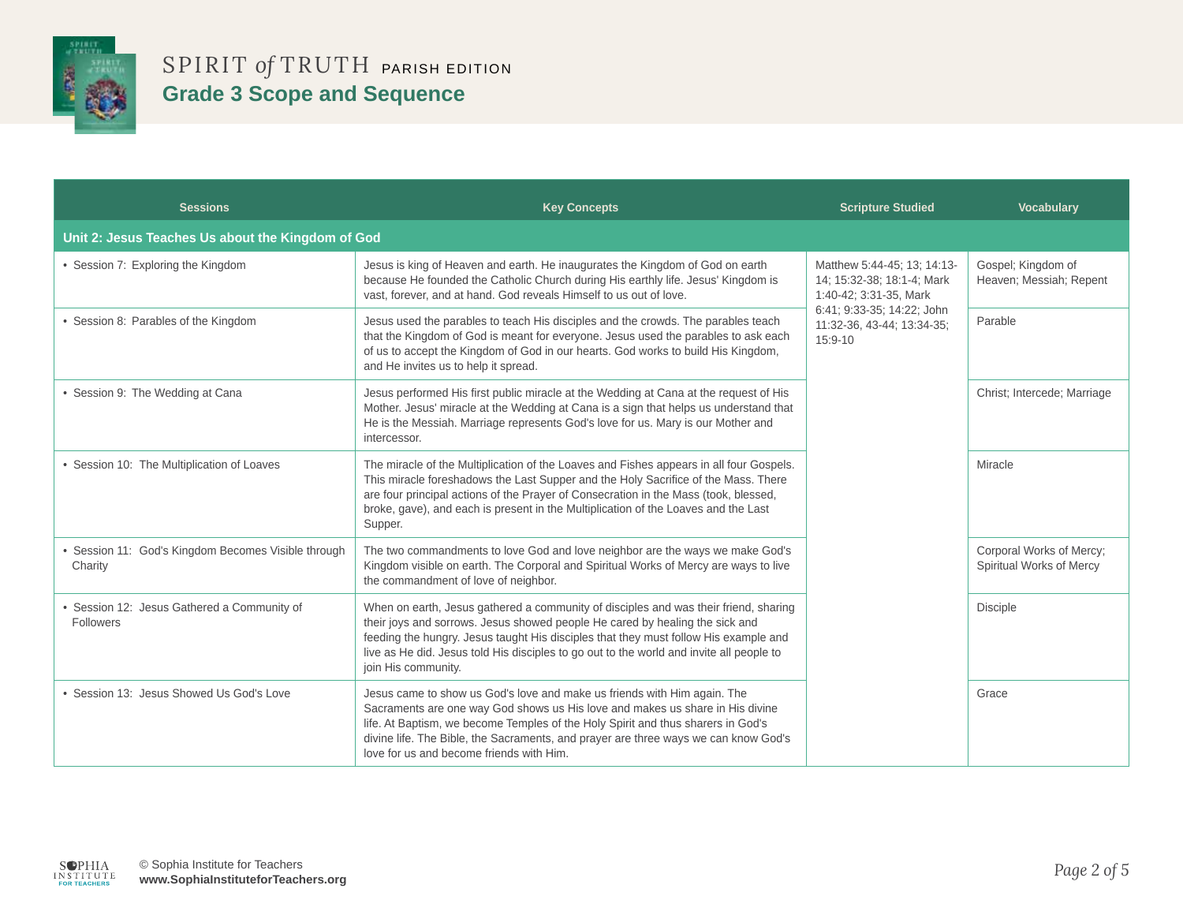

| <b>Sessions</b>                                                | <b>Key Concepts</b>                                                                                                                                                                                                                                                                                                                                                              | <b>Scripture Studied</b>                                                                                                                                   | <b>Vocabulary</b>                                    |
|----------------------------------------------------------------|----------------------------------------------------------------------------------------------------------------------------------------------------------------------------------------------------------------------------------------------------------------------------------------------------------------------------------------------------------------------------------|------------------------------------------------------------------------------------------------------------------------------------------------------------|------------------------------------------------------|
| Unit 2: Jesus Teaches Us about the Kingdom of God              |                                                                                                                                                                                                                                                                                                                                                                                  |                                                                                                                                                            |                                                      |
| • Session 7: Exploring the Kingdom                             | Jesus is king of Heaven and earth. He inaugurates the Kingdom of God on earth<br>because He founded the Catholic Church during His earthly life. Jesus' Kingdom is<br>vast, forever, and at hand. God reveals Himself to us out of love.                                                                                                                                         | Matthew 5:44-45; 13; 14:13-<br>14; 15:32-38; 18:1-4; Mark<br>1:40-42; 3:31-35, Mark<br>6:41; 9:33-35; 14:22; John<br>11:32-36, 43-44; 13:34-35;<br>15:9-10 | Gospel; Kingdom of<br>Heaven; Messiah; Repent        |
| • Session 8: Parables of the Kingdom                           | Jesus used the parables to teach His disciples and the crowds. The parables teach<br>that the Kingdom of God is meant for everyone. Jesus used the parables to ask each<br>of us to accept the Kingdom of God in our hearts. God works to build His Kingdom,<br>and He invites us to help it spread.                                                                             |                                                                                                                                                            | Parable                                              |
| • Session 9: The Wedding at Cana                               | Jesus performed His first public miracle at the Wedding at Cana at the request of His<br>Mother. Jesus' miracle at the Wedding at Cana is a sign that helps us understand that<br>He is the Messiah. Marriage represents God's love for us. Mary is our Mother and<br>intercessor.                                                                                               |                                                                                                                                                            | Christ; Intercede; Marriage                          |
| • Session 10: The Multiplication of Loaves                     | The miracle of the Multiplication of the Loaves and Fishes appears in all four Gospels.<br>This miracle foreshadows the Last Supper and the Holy Sacrifice of the Mass. There<br>are four principal actions of the Prayer of Consecration in the Mass (took, blessed,<br>broke, gave), and each is present in the Multiplication of the Loaves and the Last<br>Supper.           |                                                                                                                                                            | Miracle                                              |
| • Session 11: God's Kingdom Becomes Visible through<br>Charity | The two commandments to love God and love neighbor are the ways we make God's<br>Kingdom visible on earth. The Corporal and Spiritual Works of Mercy are ways to live<br>the commandment of love of neighbor.                                                                                                                                                                    |                                                                                                                                                            | Corporal Works of Mercy;<br>Spiritual Works of Mercy |
| · Session 12: Jesus Gathered a Community of<br>Followers       | When on earth, Jesus gathered a community of disciples and was their friend, sharing<br>their joys and sorrows. Jesus showed people He cared by healing the sick and<br>feeding the hungry. Jesus taught His disciples that they must follow His example and<br>live as He did. Jesus told His disciples to go out to the world and invite all people to<br>join His community.  |                                                                                                                                                            | <b>Disciple</b>                                      |
| • Session 13: Jesus Showed Us God's Love                       | Jesus came to show us God's love and make us friends with Him again. The<br>Sacraments are one way God shows us His love and makes us share in His divine<br>life. At Baptism, we become Temples of the Holy Spirit and thus sharers in God's<br>divine life. The Bible, the Sacraments, and prayer are three ways we can know God's<br>love for us and become friends with Him. |                                                                                                                                                            | Grace                                                |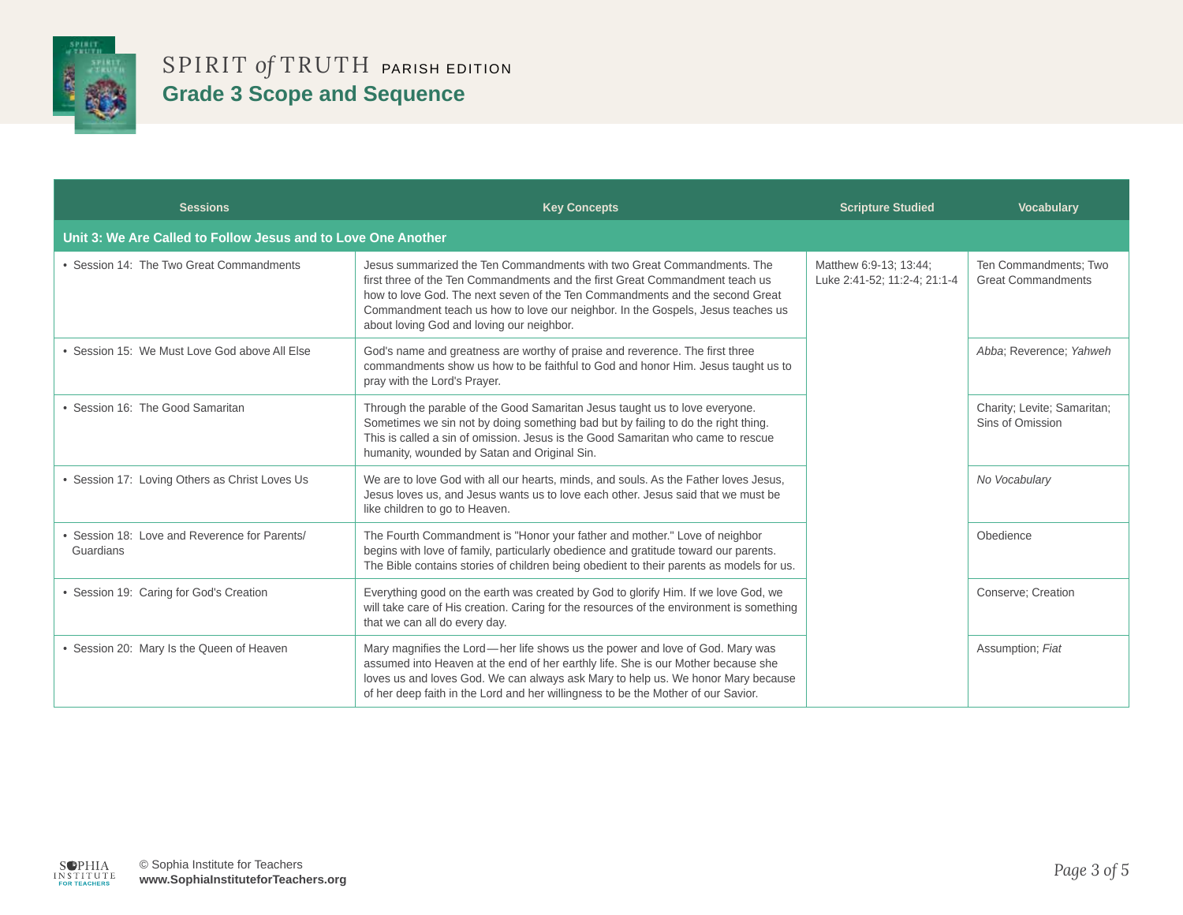

| <b>Sessions</b>                                               | <b>Key Concepts</b>                                                                                                                                                                                                                                                                                                                                                    | <b>Scripture Studied</b>                               | <b>Vocabulary</b>                                  |
|---------------------------------------------------------------|------------------------------------------------------------------------------------------------------------------------------------------------------------------------------------------------------------------------------------------------------------------------------------------------------------------------------------------------------------------------|--------------------------------------------------------|----------------------------------------------------|
| Unit 3: We Are Called to Follow Jesus and to Love One Another |                                                                                                                                                                                                                                                                                                                                                                        |                                                        |                                                    |
| • Session 14: The Two Great Commandments                      | Jesus summarized the Ten Commandments with two Great Commandments. The<br>first three of the Ten Commandments and the first Great Commandment teach us<br>how to love God. The next seven of the Ten Commandments and the second Great<br>Commandment teach us how to love our neighbor. In the Gospels, Jesus teaches us<br>about loving God and loving our neighbor. | Matthew 6:9-13; 13:44;<br>Luke 2:41-52; 11:2-4; 21:1-4 | Ten Commandments; Two<br><b>Great Commandments</b> |
| • Session 15: We Must Love God above All Else                 | God's name and greatness are worthy of praise and reverence. The first three<br>commandments show us how to be faithful to God and honor Him. Jesus taught us to<br>pray with the Lord's Prayer.                                                                                                                                                                       |                                                        | Abba; Reverence; Yahweh                            |
| • Session 16: The Good Samaritan                              | Through the parable of the Good Samaritan Jesus taught us to love everyone.<br>Sometimes we sin not by doing something bad but by failing to do the right thing.<br>This is called a sin of omission. Jesus is the Good Samaritan who came to rescue<br>humanity, wounded by Satan and Original Sin.                                                                   |                                                        | Charity; Levite; Samaritan;<br>Sins of Omission    |
| • Session 17: Loving Others as Christ Loves Us                | We are to love God with all our hearts, minds, and souls. As the Father loves Jesus,<br>Jesus loves us, and Jesus wants us to love each other. Jesus said that we must be<br>like children to go to Heaven.                                                                                                                                                            |                                                        | No Vocabulary                                      |
| • Session 18: Love and Reverence for Parents/<br>Guardians    | The Fourth Commandment is "Honor your father and mother." Love of neighbor<br>begins with love of family, particularly obedience and gratitude toward our parents.<br>The Bible contains stories of children being obedient to their parents as models for us.                                                                                                         |                                                        | Obedience                                          |
| • Session 19: Caring for God's Creation                       | Everything good on the earth was created by God to glorify Him. If we love God, we<br>will take care of His creation. Caring for the resources of the environment is something<br>that we can all do every day.                                                                                                                                                        |                                                        | Conserve: Creation                                 |
| • Session 20: Mary Is the Queen of Heaven                     | Mary magnifies the Lord—her life shows us the power and love of God. Mary was<br>assumed into Heaven at the end of her earthly life. She is our Mother because she<br>loves us and loves God. We can always ask Mary to help us. We honor Mary because<br>of her deep faith in the Lord and her willingness to be the Mother of our Savior.                            |                                                        | Assumption; Fiat                                   |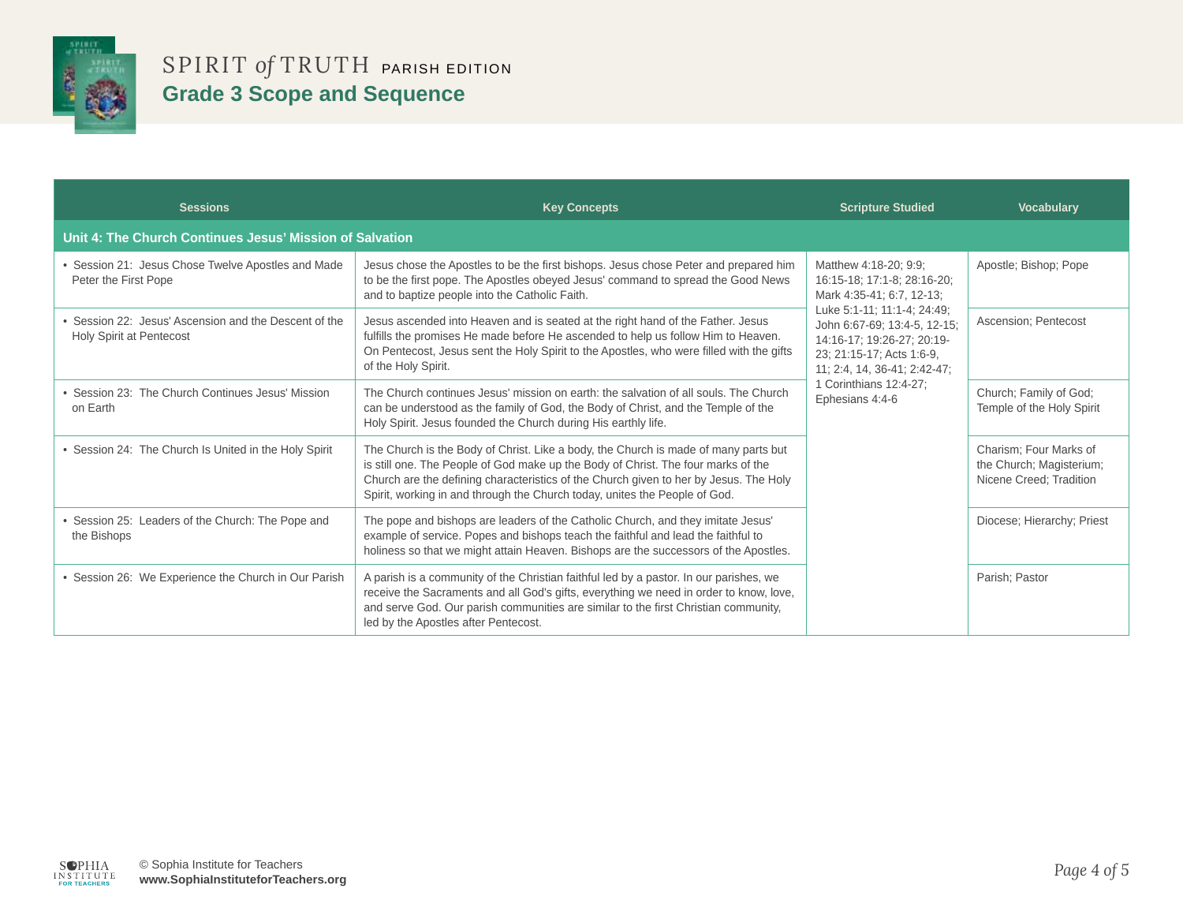

| <b>Sessions</b>                                                                   | <b>Key Concepts</b>                                                                                                                                                                                                                                                                                                                             | <b>Scripture Studied</b>                                                                                                                                                                                                                                                                 | <b>Vocabulary</b>                                                             |
|-----------------------------------------------------------------------------------|-------------------------------------------------------------------------------------------------------------------------------------------------------------------------------------------------------------------------------------------------------------------------------------------------------------------------------------------------|------------------------------------------------------------------------------------------------------------------------------------------------------------------------------------------------------------------------------------------------------------------------------------------|-------------------------------------------------------------------------------|
| Unit 4: The Church Continues Jesus' Mission of Salvation                          |                                                                                                                                                                                                                                                                                                                                                 |                                                                                                                                                                                                                                                                                          |                                                                               |
| Session 21: Jesus Chose Twelve Apostles and Made<br>Peter the First Pope          | Jesus chose the Apostles to be the first bishops. Jesus chose Peter and prepared him<br>to be the first pope. The Apostles obeyed Jesus' command to spread the Good News<br>and to baptize people into the Catholic Faith.                                                                                                                      | Matthew 4:18-20; 9:9;<br>16:15-18; 17:1-8; 28:16-20;<br>Mark 4:35-41; 6:7, 12-13;<br>Luke 5:1-11; 11:1-4; 24:49;<br>John 6:67-69; 13:4-5, 12-15;<br>14:16-17; 19:26-27; 20:19-<br>23; 21:15-17; Acts 1:6-9,<br>11; 2:4, 14, 36-41; 2:42-47;<br>1 Corinthians 12:4-27:<br>Ephesians 4:4-6 | Apostle; Bishop; Pope                                                         |
| • Session 22: Jesus' Ascension and the Descent of the<br>Holy Spirit at Pentecost | Jesus ascended into Heaven and is seated at the right hand of the Father. Jesus<br>fulfills the promises He made before He ascended to help us follow Him to Heaven.<br>On Pentecost, Jesus sent the Holy Spirit to the Apostles, who were filled with the gifts<br>of the Holy Spirit.                                                         |                                                                                                                                                                                                                                                                                          | <b>Ascension: Pentecost</b>                                                   |
| • Session 23: The Church Continues Jesus' Mission<br>on Earth                     | The Church continues Jesus' mission on earth: the salvation of all souls. The Church<br>can be understood as the family of God, the Body of Christ, and the Temple of the<br>Holy Spirit. Jesus founded the Church during His earthly life.                                                                                                     |                                                                                                                                                                                                                                                                                          | Church; Family of God;<br>Temple of the Holy Spirit                           |
| • Session 24: The Church Is United in the Holy Spirit                             | The Church is the Body of Christ. Like a body, the Church is made of many parts but<br>is still one. The People of God make up the Body of Christ. The four marks of the<br>Church are the defining characteristics of the Church given to her by Jesus. The Holy<br>Spirit, working in and through the Church today, unites the People of God. |                                                                                                                                                                                                                                                                                          | Charism; Four Marks of<br>the Church; Magisterium;<br>Nicene Creed; Tradition |
| Session 25: Leaders of the Church: The Pope and<br>the Bishops                    | The pope and bishops are leaders of the Catholic Church, and they imitate Jesus'<br>example of service. Popes and bishops teach the faithful and lead the faithful to<br>holiness so that we might attain Heaven. Bishops are the successors of the Apostles.                                                                                   |                                                                                                                                                                                                                                                                                          | Diocese: Hierarchy: Priest                                                    |
| • Session 26: We Experience the Church in Our Parish                              | A parish is a community of the Christian faithful led by a pastor. In our parishes, we<br>receive the Sacraments and all God's gifts, everything we need in order to know, love,<br>and serve God. Our parish communities are similar to the first Christian community,<br>led by the Apostles after Pentecost.                                 |                                                                                                                                                                                                                                                                                          | Parish; Pastor                                                                |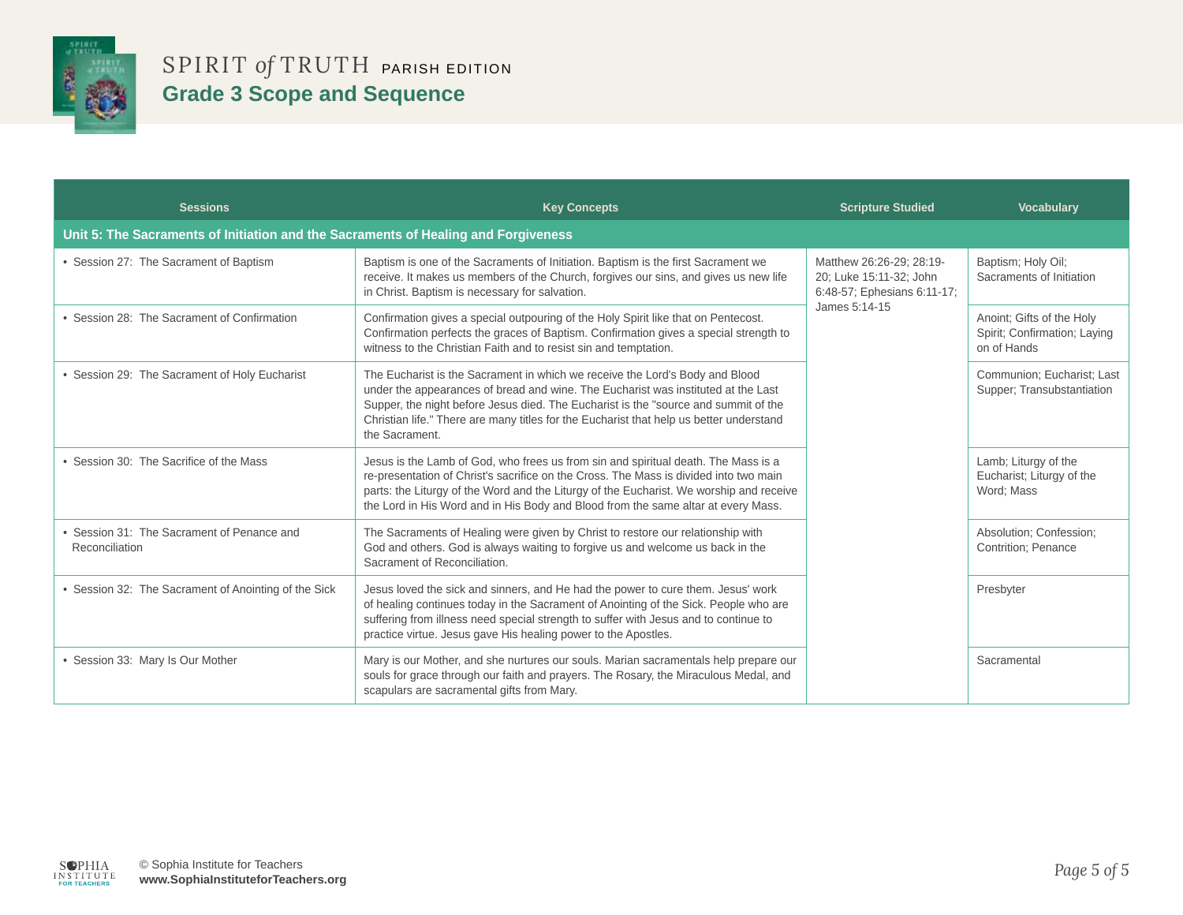

| <b>Sessions</b>                                                                    | <b>Key Concepts</b>                                                                                                                                                                                                                                                                                                                                                   | <b>Scripture Studied</b>                                                                            | <b>Vocabulary</b>                                                        |
|------------------------------------------------------------------------------------|-----------------------------------------------------------------------------------------------------------------------------------------------------------------------------------------------------------------------------------------------------------------------------------------------------------------------------------------------------------------------|-----------------------------------------------------------------------------------------------------|--------------------------------------------------------------------------|
| Unit 5: The Sacraments of Initiation and the Sacraments of Healing and Forgiveness |                                                                                                                                                                                                                                                                                                                                                                       |                                                                                                     |                                                                          |
| • Session 27: The Sacrament of Baptism                                             | Baptism is one of the Sacraments of Initiation. Baptism is the first Sacrament we<br>receive. It makes us members of the Church, forgives our sins, and gives us new life<br>in Christ. Baptism is necessary for salvation.                                                                                                                                           | Matthew 26:26-29; 28:19-<br>20; Luke 15:11-32; John<br>6:48-57; Ephesians 6:11-17;<br>James 5:14-15 | Baptism; Holy Oil;<br>Sacraments of Initiation                           |
| • Session 28: The Sacrament of Confirmation                                        | Confirmation gives a special outpouring of the Holy Spirit like that on Pentecost.<br>Confirmation perfects the graces of Baptism. Confirmation gives a special strength to<br>witness to the Christian Faith and to resist sin and temptation.                                                                                                                       |                                                                                                     | Anoint: Gifts of the Holy<br>Spirit; Confirmation; Laying<br>on of Hands |
| • Session 29: The Sacrament of Holy Eucharist                                      | The Eucharist is the Sacrament in which we receive the Lord's Body and Blood<br>under the appearances of bread and wine. The Eucharist was instituted at the Last<br>Supper, the night before Jesus died. The Eucharist is the "source and summit of the<br>Christian life." There are many titles for the Eucharist that help us better understand<br>the Sacrament. |                                                                                                     | Communion; Eucharist; Last<br>Supper; Transubstantiation                 |
| • Session 30: The Sacrifice of the Mass                                            | Jesus is the Lamb of God, who frees us from sin and spiritual death. The Mass is a<br>re-presentation of Christ's sacrifice on the Cross. The Mass is divided into two main<br>parts: the Liturgy of the Word and the Liturgy of the Eucharist. We worship and receive<br>the Lord in His Word and in His Body and Blood from the same altar at every Mass.           |                                                                                                     | Lamb; Liturgy of the<br>Eucharist; Liturgy of the<br>Word; Mass          |
| • Session 31: The Sacrament of Penance and<br>Reconciliation                       | The Sacraments of Healing were given by Christ to restore our relationship with<br>God and others. God is always waiting to forgive us and welcome us back in the<br>Sacrament of Reconciliation.                                                                                                                                                                     |                                                                                                     | Absolution; Confession;<br><b>Contrition: Penance</b>                    |
| • Session 32: The Sacrament of Anointing of the Sick                               | Jesus loved the sick and sinners, and He had the power to cure them. Jesus' work<br>of healing continues today in the Sacrament of Anointing of the Sick. People who are<br>suffering from illness need special strength to suffer with Jesus and to continue to<br>practice virtue. Jesus gave His healing power to the Apostles.                                    |                                                                                                     | Presbyter                                                                |
| • Session 33: Mary Is Our Mother                                                   | Mary is our Mother, and she nurtures our souls. Marian sacramentals help prepare our<br>souls for grace through our faith and prayers. The Rosary, the Miraculous Medal, and<br>scapulars are sacramental gifts from Mary.                                                                                                                                            |                                                                                                     | Sacramental                                                              |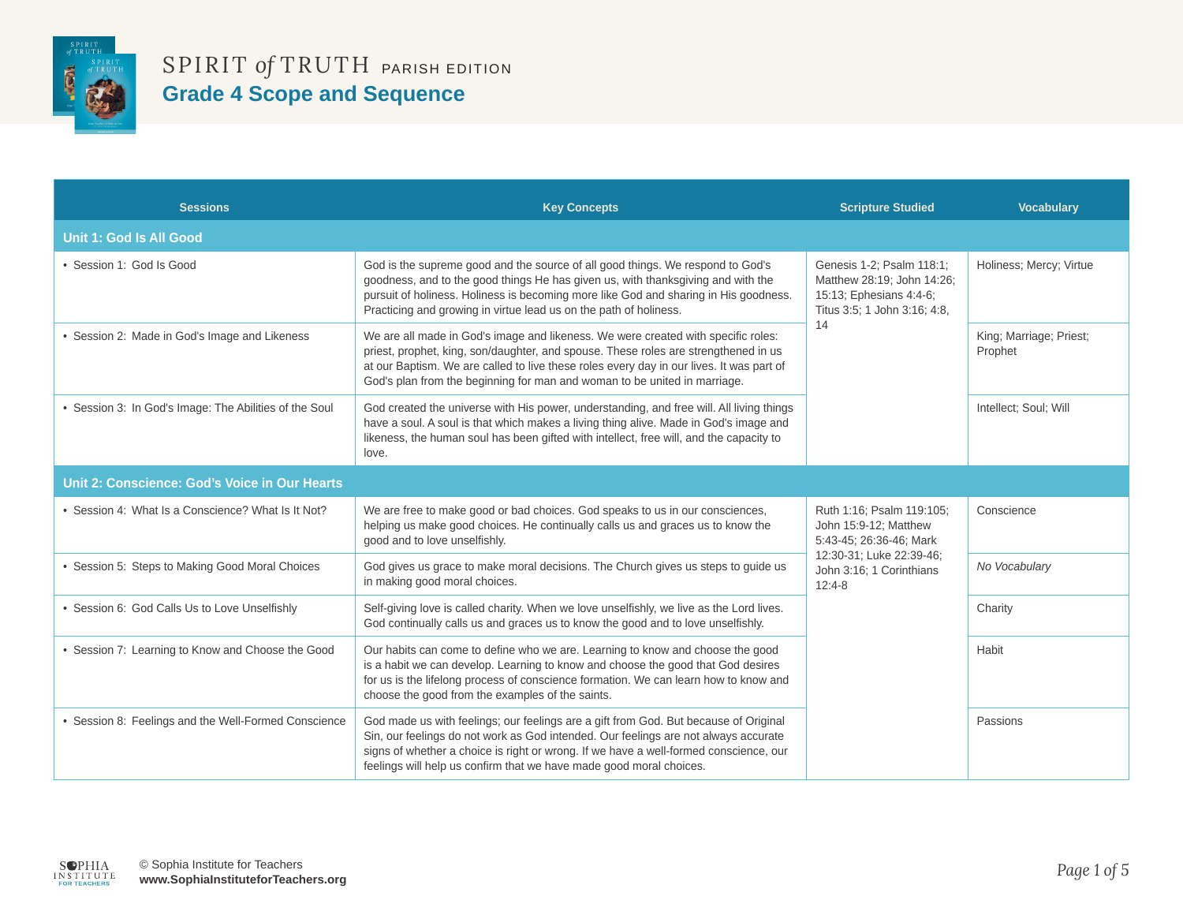

| <b>Sessions</b>                                        | <b>Key Concepts</b>                                                                                                                                                                                                                                                                                                                               | <b>Scripture Studied</b>                                                                                                 | <b>Vocabulary</b>                  |
|--------------------------------------------------------|---------------------------------------------------------------------------------------------------------------------------------------------------------------------------------------------------------------------------------------------------------------------------------------------------------------------------------------------------|--------------------------------------------------------------------------------------------------------------------------|------------------------------------|
| <b>Unit 1: God Is All Good</b>                         |                                                                                                                                                                                                                                                                                                                                                   |                                                                                                                          |                                    |
| • Session 1: God Is Good                               | God is the supreme good and the source of all good things. We respond to God's<br>goodness, and to the good things He has given us, with thanksgiving and with the<br>pursuit of holiness. Holiness is becoming more like God and sharing in His goodness.<br>Practicing and growing in virtue lead us on the path of holiness.                   | Genesis 1-2; Psalm 118:1;<br>Matthew 28:19; John 14:26;<br>15:13; Ephesians 4:4-6;<br>Titus 3:5; 1 John 3:16; 4:8,<br>14 | Holiness; Mercy; Virtue            |
| • Session 2: Made in God's Image and Likeness          | We are all made in God's image and likeness. We were created with specific roles:<br>priest, prophet, king, son/daughter, and spouse. These roles are strengthened in us<br>at our Baptism. We are called to live these roles every day in our lives. It was part of<br>God's plan from the beginning for man and woman to be united in marriage. |                                                                                                                          | King; Marriage; Priest;<br>Prophet |
| • Session 3: In God's Image: The Abilities of the Soul | God created the universe with His power, understanding, and free will. All living things<br>have a soul. A soul is that which makes a living thing alive. Made in God's image and<br>likeness, the human soul has been gifted with intellect, free will, and the capacity to<br>love.                                                             |                                                                                                                          | Intellect; Soul; Will              |
| Unit 2: Conscience: God's Voice in Our Hearts          |                                                                                                                                                                                                                                                                                                                                                   |                                                                                                                          |                                    |
| • Session 4: What Is a Conscience? What Is It Not?     | We are free to make good or bad choices. God speaks to us in our consciences,<br>helping us make good choices. He continually calls us and graces us to know the<br>good and to love unselfishly.                                                                                                                                                 | Ruth 1:16; Psalm 119:105;<br>John 15:9-12; Matthew<br>5:43-45; 26:36-46; Mark                                            | Conscience                         |
| • Session 5: Steps to Making Good Moral Choices        | God gives us grace to make moral decisions. The Church gives us steps to guide us<br>in making good moral choices.                                                                                                                                                                                                                                | 12:30-31; Luke 22:39-46;<br>John 3:16; 1 Corinthians<br>$12:4-8$                                                         | No Vocabulary                      |
| • Session 6: God Calls Us to Love Unselfishly          | Self-giving love is called charity. When we love unselfishly, we live as the Lord lives.<br>God continually calls us and graces us to know the good and to love unselfishly.                                                                                                                                                                      |                                                                                                                          | Charity                            |
| • Session 7: Learning to Know and Choose the Good      | Our habits can come to define who we are. Learning to know and choose the good<br>is a habit we can develop. Learning to know and choose the good that God desires<br>for us is the lifelong process of conscience formation. We can learn how to know and<br>choose the good from the examples of the saints.                                    |                                                                                                                          | Habit                              |
| • Session 8: Feelings and the Well-Formed Conscience   | God made us with feelings; our feelings are a gift from God. But because of Original<br>Sin, our feelings do not work as God intended. Our feelings are not always accurate<br>signs of whether a choice is right or wrong. If we have a well-formed conscience, our<br>feelings will help us confirm that we have made good moral choices.       |                                                                                                                          | Passions                           |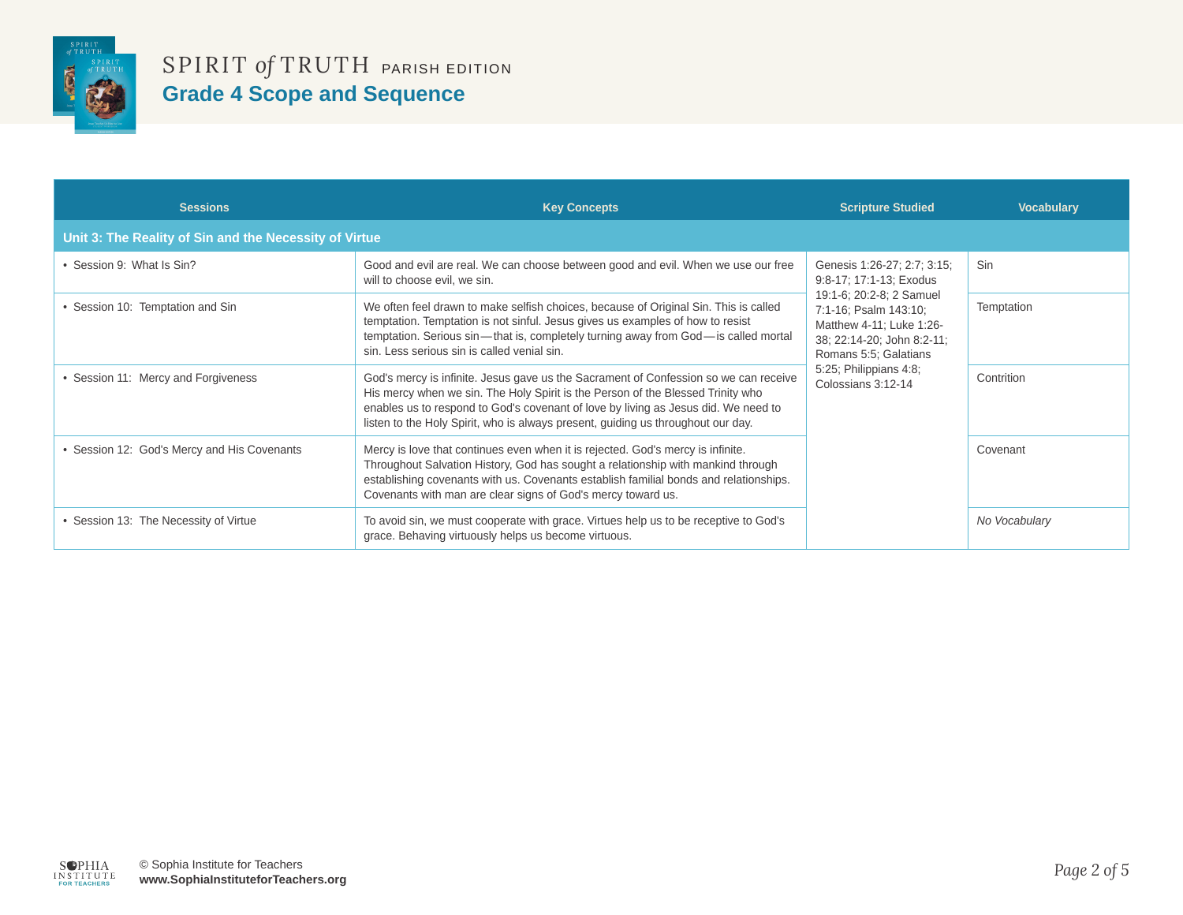

| <b>Sessions</b>                                        | <b>Key Concepts</b>                                                                                                                                                                                                                                                                                                                               | <b>Scripture Studied</b>                                                                                                                                                             | <b>Vocabulary</b> |
|--------------------------------------------------------|---------------------------------------------------------------------------------------------------------------------------------------------------------------------------------------------------------------------------------------------------------------------------------------------------------------------------------------------------|--------------------------------------------------------------------------------------------------------------------------------------------------------------------------------------|-------------------|
| Unit 3: The Reality of Sin and the Necessity of Virtue |                                                                                                                                                                                                                                                                                                                                                   |                                                                                                                                                                                      |                   |
| • Session 9: What Is Sin?                              | Good and evil are real. We can choose between good and evil. When we use our free<br>will to choose evil, we sin.                                                                                                                                                                                                                                 | Genesis 1:26-27; 2:7; 3:15;<br>9:8-17; 17:1-13; Exodus                                                                                                                               | Sin               |
| • Session 10: Temptation and Sin                       | We often feel drawn to make selfish choices, because of Original Sin. This is called<br>temptation. Temptation is not sinful. Jesus gives us examples of how to resist<br>temptation. Serious sin—that is, completely turning away from God—is called mortal<br>sin. Less serious sin is called venial sin.                                       | 19:1-6; 20:2-8; 2 Samuel<br>7:1-16; Psalm 143:10;<br>Matthew 4-11; Luke 1:26-<br>38; 22:14-20; John 8:2-11;<br>Romans 5:5; Galatians<br>5:25; Philippians 4:8;<br>Colossians 3:12-14 | Temptation        |
| • Session 11: Mercy and Forgiveness                    | God's mercy is infinite. Jesus gave us the Sacrament of Confession so we can receive<br>His mercy when we sin. The Holy Spirit is the Person of the Blessed Trinity who<br>enables us to respond to God's covenant of love by living as Jesus did. We need to<br>listen to the Holy Spirit, who is always present, guiding us throughout our day. |                                                                                                                                                                                      | Contrition        |
| • Session 12: God's Mercy and His Covenants            | Mercy is love that continues even when it is rejected. God's mercy is infinite.<br>Throughout Salvation History, God has sought a relationship with mankind through<br>establishing covenants with us. Covenants establish familial bonds and relationships.<br>Covenants with man are clear signs of God's mercy toward us.                      |                                                                                                                                                                                      | Covenant          |
| • Session 13: The Necessity of Virtue                  | To avoid sin, we must cooperate with grace. Virtues help us to be receptive to God's<br>grace. Behaving virtuously helps us become virtuous.                                                                                                                                                                                                      |                                                                                                                                                                                      | No Vocabulary     |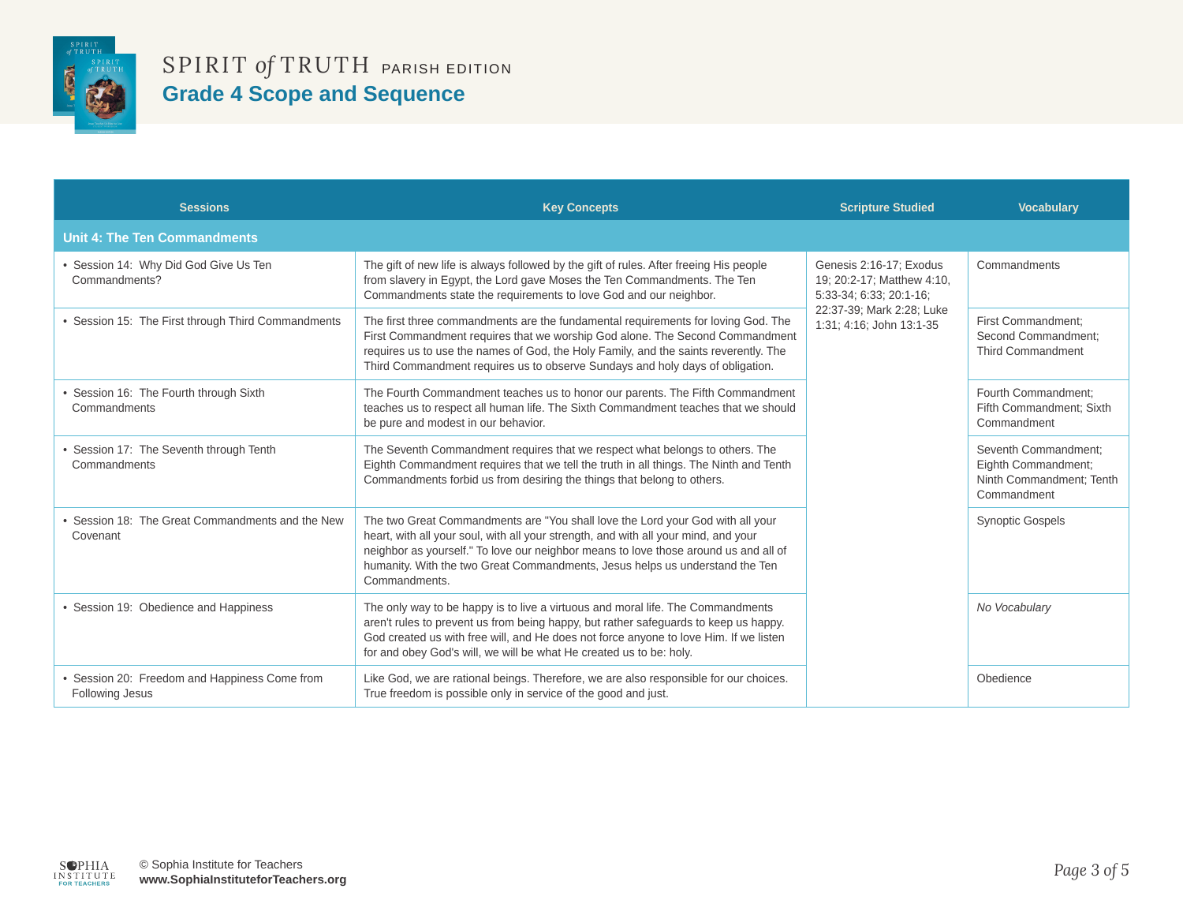

| <b>Sessions</b>                                                  | <b>Key Concepts</b>                                                                                                                                                                                                                                                                                                                                            | <b>Scripture Studied</b>                                                                                                                  | <b>Vocabulary</b>                                                                      |
|------------------------------------------------------------------|----------------------------------------------------------------------------------------------------------------------------------------------------------------------------------------------------------------------------------------------------------------------------------------------------------------------------------------------------------------|-------------------------------------------------------------------------------------------------------------------------------------------|----------------------------------------------------------------------------------------|
| <b>Unit 4: The Ten Commandments</b>                              |                                                                                                                                                                                                                                                                                                                                                                |                                                                                                                                           |                                                                                        |
| · Session 14: Why Did God Give Us Ten<br>Commandments?           | The gift of new life is always followed by the gift of rules. After freeing His people<br>from slavery in Egypt, the Lord gave Moses the Ten Commandments. The Ten<br>Commandments state the requirements to love God and our neighbor.                                                                                                                        | Genesis 2:16-17; Exodus<br>19: 20:2-17; Matthew 4:10,<br>5:33-34; 6:33; 20:1-16;<br>22:37-39; Mark 2:28; Luke<br>1:31; 4:16; John 13:1-35 | Commandments                                                                           |
| • Session 15: The First through Third Commandments               | The first three commandments are the fundamental requirements for loving God. The<br>First Commandment requires that we worship God alone. The Second Commandment<br>requires us to use the names of God, the Holy Family, and the saints reverently. The<br>Third Commandment requires us to observe Sundays and holy days of obligation.                     |                                                                                                                                           | First Commandment:<br>Second Commandment:<br><b>Third Commandment</b>                  |
| Session 16: The Fourth through Sixth<br>Commandments             | The Fourth Commandment teaches us to honor our parents. The Fifth Commandment<br>teaches us to respect all human life. The Sixth Commandment teaches that we should<br>be pure and modest in our behavior.                                                                                                                                                     |                                                                                                                                           | Fourth Commandment:<br>Fifth Commandment: Sixth<br>Commandment                         |
| • Session 17: The Seventh through Tenth<br>Commandments          | The Seventh Commandment requires that we respect what belongs to others. The<br>Eighth Commandment requires that we tell the truth in all things. The Ninth and Tenth<br>Commandments forbid us from desiring the things that belong to others.                                                                                                                |                                                                                                                                           | Seventh Commandment:<br>Eighth Commandment:<br>Ninth Commandment; Tenth<br>Commandment |
| Session 18: The Great Commandments and the New<br>Covenant       | The two Great Commandments are "You shall love the Lord your God with all your<br>heart, with all your soul, with all your strength, and with all your mind, and your<br>neighbor as yourself." To love our neighbor means to love those around us and all of<br>humanity. With the two Great Commandments, Jesus helps us understand the Ten<br>Commandments. |                                                                                                                                           | <b>Synoptic Gospels</b>                                                                |
| • Session 19: Obedience and Happiness                            | The only way to be happy is to live a virtuous and moral life. The Commandments<br>aren't rules to prevent us from being happy, but rather safeguards to keep us happy.<br>God created us with free will, and He does not force anyone to love Him. If we listen<br>for and obey God's will, we will be what He created us to be: holy.                        |                                                                                                                                           | No Vocabulary                                                                          |
| • Session 20: Freedom and Happiness Come from<br>Following Jesus | Like God, we are rational beings. Therefore, we are also responsible for our choices.<br>True freedom is possible only in service of the good and just.                                                                                                                                                                                                        |                                                                                                                                           | Obedience                                                                              |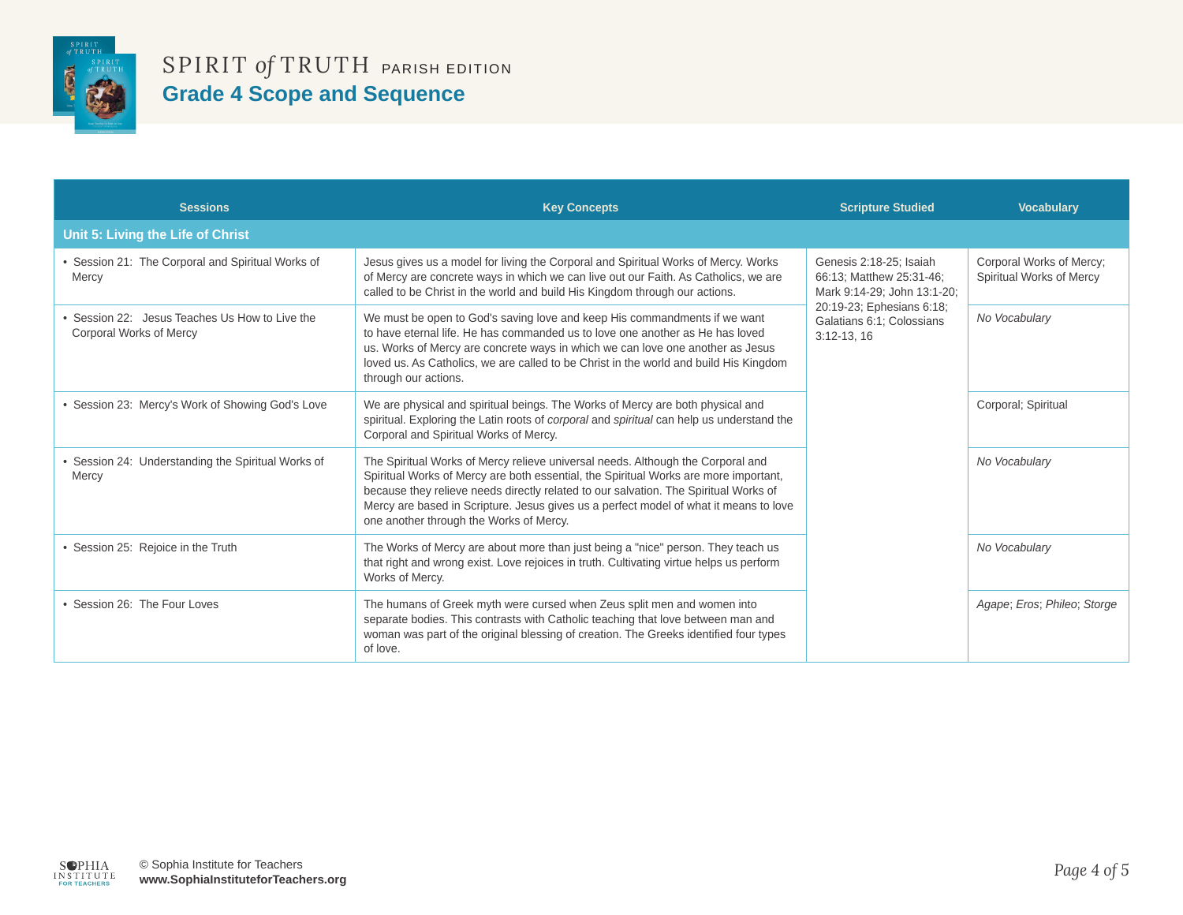

| <b>Sessions</b>                                                         | <b>Key Concepts</b>                                                                                                                                                                                                                                                                                                                                                                                 | <b>Scripture Studied</b>                                                                                                                                     | <b>Vocabulary</b>                                    |
|-------------------------------------------------------------------------|-----------------------------------------------------------------------------------------------------------------------------------------------------------------------------------------------------------------------------------------------------------------------------------------------------------------------------------------------------------------------------------------------------|--------------------------------------------------------------------------------------------------------------------------------------------------------------|------------------------------------------------------|
| Unit 5: Living the Life of Christ                                       |                                                                                                                                                                                                                                                                                                                                                                                                     |                                                                                                                                                              |                                                      |
| • Session 21: The Corporal and Spiritual Works of<br>Mercy              | Jesus gives us a model for living the Corporal and Spiritual Works of Mercy. Works<br>of Mercy are concrete ways in which we can live out our Faith. As Catholics, we are<br>called to be Christ in the world and build His Kingdom through our actions.                                                                                                                                            | Genesis 2:18-25; Isaiah<br>66:13; Matthew 25:31-46;<br>Mark 9:14-29; John 13:1-20;<br>20:19-23; Ephesians 6:18;<br>Galatians 6:1; Colossians<br>$3:12-13.16$ | Corporal Works of Mercy:<br>Spiritual Works of Mercy |
| Session 22: Jesus Teaches Us How to Live the<br>Corporal Works of Mercy | We must be open to God's saving love and keep His commandments if we want<br>to have eternal life. He has commanded us to love one another as He has loved<br>us. Works of Mercy are concrete ways in which we can love one another as Jesus<br>loved us. As Catholics, we are called to be Christ in the world and build His Kingdom<br>through our actions.                                       |                                                                                                                                                              | No Vocabulary                                        |
| • Session 23: Mercy's Work of Showing God's Love                        | We are physical and spiritual beings. The Works of Mercy are both physical and<br>spiritual. Exploring the Latin roots of <i>corporal</i> and <i>spiritual</i> can help us understand the<br>Corporal and Spiritual Works of Mercy.                                                                                                                                                                 |                                                                                                                                                              | Corporal; Spiritual                                  |
| Session 24: Understanding the Spiritual Works of<br>Mercy               | The Spiritual Works of Mercy relieve universal needs. Although the Corporal and<br>Spiritual Works of Mercy are both essential, the Spiritual Works are more important,<br>because they relieve needs directly related to our salvation. The Spiritual Works of<br>Mercy are based in Scripture. Jesus gives us a perfect model of what it means to love<br>one another through the Works of Mercy. |                                                                                                                                                              | No Vocabulary                                        |
| • Session 25: Rejoice in the Truth                                      | The Works of Mercy are about more than just being a "nice" person. They teach us<br>that right and wrong exist. Love rejoices in truth. Cultivating virtue helps us perform<br>Works of Mercy.                                                                                                                                                                                                      |                                                                                                                                                              | No Vocabulary                                        |
| Session 26: The Four Loves                                              | The humans of Greek myth were cursed when Zeus split men and women into<br>separate bodies. This contrasts with Catholic teaching that love between man and<br>woman was part of the original blessing of creation. The Greeks identified four types<br>of love.                                                                                                                                    |                                                                                                                                                              | Agape; Eros; Phileo; Storge                          |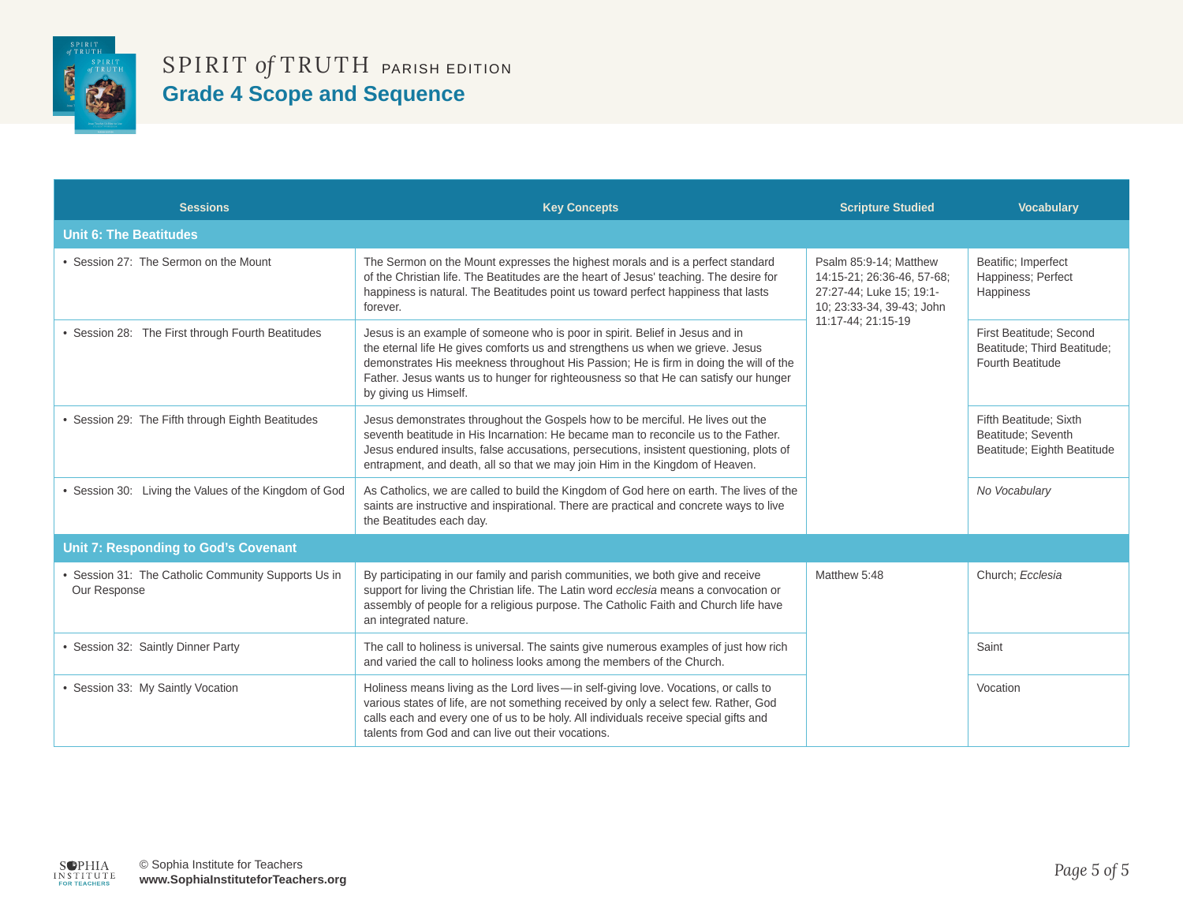

| <b>Sessions</b>                                                     | <b>Key Concepts</b>                                                                                                                                                                                                                                                                                                                                                      | <b>Scripture Studied</b>                                                                                                            | <b>Vocabulary</b>                                                           |
|---------------------------------------------------------------------|--------------------------------------------------------------------------------------------------------------------------------------------------------------------------------------------------------------------------------------------------------------------------------------------------------------------------------------------------------------------------|-------------------------------------------------------------------------------------------------------------------------------------|-----------------------------------------------------------------------------|
| <b>Unit 6: The Beatitudes</b>                                       |                                                                                                                                                                                                                                                                                                                                                                          |                                                                                                                                     |                                                                             |
| • Session 27: The Sermon on the Mount                               | The Sermon on the Mount expresses the highest morals and is a perfect standard<br>of the Christian life. The Beatitudes are the heart of Jesus' teaching. The desire for<br>happiness is natural. The Beatitudes point us toward perfect happiness that lasts<br>forever.                                                                                                | Psalm 85:9-14; Matthew<br>14:15-21; 26:36-46, 57-68;<br>27:27-44; Luke 15; 19:1-<br>10; 23:33-34, 39-43; John<br>11:17-44; 21:15-19 | Beatific; Imperfect<br>Happiness; Perfect<br><b>Happiness</b>               |
| • Session 28: The First through Fourth Beatitudes                   | Jesus is an example of someone who is poor in spirit. Belief in Jesus and in<br>the eternal life He gives comforts us and strengthens us when we grieve. Jesus<br>demonstrates His meekness throughout His Passion; He is firm in doing the will of the<br>Father. Jesus wants us to hunger for righteousness so that He can satisfy our hunger<br>by giving us Himself. |                                                                                                                                     | First Beatitude; Second<br>Beatitude; Third Beatitude;<br>Fourth Beatitude  |
| • Session 29: The Fifth through Eighth Beatitudes                   | Jesus demonstrates throughout the Gospels how to be merciful. He lives out the<br>seventh beatitude in His Incarnation: He became man to reconcile us to the Father.<br>Jesus endured insults, false accusations, persecutions, insistent questioning, plots of<br>entrapment, and death, all so that we may join Him in the Kingdom of Heaven.                          |                                                                                                                                     | Fifth Beatitude; Sixth<br>Beatitude; Seventh<br>Beatitude; Eighth Beatitude |
| • Session 30: Living the Values of the Kingdom of God               | As Catholics, we are called to build the Kingdom of God here on earth. The lives of the<br>saints are instructive and inspirational. There are practical and concrete ways to live<br>the Beatitudes each day.                                                                                                                                                           |                                                                                                                                     | No Vocabulary                                                               |
| <b>Unit 7: Responding to God's Covenant</b>                         |                                                                                                                                                                                                                                                                                                                                                                          |                                                                                                                                     |                                                                             |
| • Session 31: The Catholic Community Supports Us in<br>Our Response | By participating in our family and parish communities, we both give and receive<br>support for living the Christian life. The Latin word ecclesia means a convocation or<br>assembly of people for a religious purpose. The Catholic Faith and Church life have<br>an integrated nature.                                                                                 | Matthew 5:48                                                                                                                        | Church; Ecclesia                                                            |
| • Session 32: Saintly Dinner Party                                  | The call to holiness is universal. The saints give numerous examples of just how rich<br>and varied the call to holiness looks among the members of the Church.                                                                                                                                                                                                          |                                                                                                                                     | Saint                                                                       |
| • Session 33: My Saintly Vocation                                   | Holiness means living as the Lord lives—in self-giving love. Vocations, or calls to<br>various states of life, are not something received by only a select few. Rather, God<br>calls each and every one of us to be holy. All individuals receive special gifts and<br>talents from God and can live out their vocations.                                                |                                                                                                                                     | Vocation                                                                    |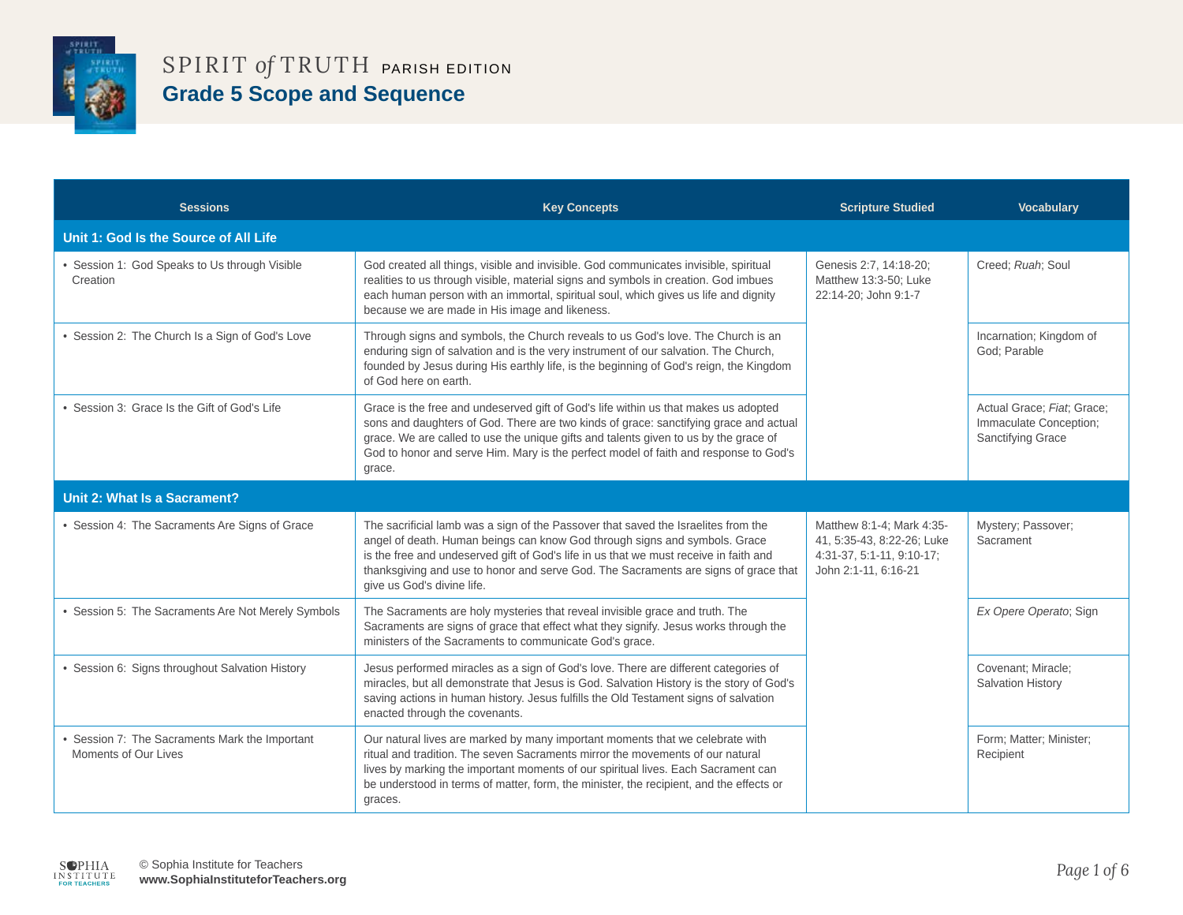

| <b>Sessions</b>                                                        | <b>Key Concepts</b>                                                                                                                                                                                                                                                                                                                                                            | <b>Scripture Studied</b>                                                                                     | <b>Vocabulary</b>                                                         |
|------------------------------------------------------------------------|--------------------------------------------------------------------------------------------------------------------------------------------------------------------------------------------------------------------------------------------------------------------------------------------------------------------------------------------------------------------------------|--------------------------------------------------------------------------------------------------------------|---------------------------------------------------------------------------|
| Unit 1: God Is the Source of All Life                                  |                                                                                                                                                                                                                                                                                                                                                                                |                                                                                                              |                                                                           |
| • Session 1: God Speaks to Us through Visible<br>Creation              | God created all things, visible and invisible. God communicates invisible, spiritual<br>realities to us through visible, material signs and symbols in creation. God imbues<br>each human person with an immortal, spiritual soul, which gives us life and dignity<br>because we are made in His image and likeness.                                                           | Genesis 2:7, 14:18-20;<br>Matthew 13:3-50; Luke<br>22:14-20; John 9:1-7                                      | Creed; Ruah; Soul                                                         |
| • Session 2: The Church Is a Sign of God's Love                        | Through signs and symbols, the Church reveals to us God's love. The Church is an<br>enduring sign of salvation and is the very instrument of our salvation. The Church,<br>founded by Jesus during His earthly life, is the beginning of God's reign, the Kingdom<br>of God here on earth.                                                                                     |                                                                                                              | Incarnation; Kingdom of<br>God; Parable                                   |
| • Session 3: Grace Is the Gift of God's Life                           | Grace is the free and undeserved gift of God's life within us that makes us adopted<br>sons and daughters of God. There are two kinds of grace: sanctifying grace and actual<br>grace. We are called to use the unique gifts and talents given to us by the grace of<br>God to honor and serve Him. Mary is the perfect model of faith and response to God's<br>grace.         |                                                                                                              | Actual Grace; Fiat; Grace;<br>Immaculate Conception;<br>Sanctifying Grace |
| Unit 2: What Is a Sacrament?                                           |                                                                                                                                                                                                                                                                                                                                                                                |                                                                                                              |                                                                           |
| • Session 4: The Sacraments Are Signs of Grace                         | The sacrificial lamb was a sign of the Passover that saved the Israelites from the<br>angel of death. Human beings can know God through signs and symbols. Grace<br>is the free and undeserved gift of God's life in us that we must receive in faith and<br>thanksgiving and use to honor and serve God. The Sacraments are signs of grace that<br>give us God's divine life. | Matthew 8:1-4; Mark 4:35-<br>41, 5:35-43, 8:22-26; Luke<br>4:31-37, 5:1-11, 9:10-17;<br>John 2:1-11, 6:16-21 | Mystery; Passover;<br>Sacrament                                           |
| • Session 5: The Sacraments Are Not Merely Symbols                     | The Sacraments are holy mysteries that reveal invisible grace and truth. The<br>Sacraments are signs of grace that effect what they signify. Jesus works through the<br>ministers of the Sacraments to communicate God's grace.                                                                                                                                                |                                                                                                              | Ex Opere Operato; Sign                                                    |
| • Session 6: Signs throughout Salvation History                        | Jesus performed miracles as a sign of God's love. There are different categories of<br>miracles, but all demonstrate that Jesus is God. Salvation History is the story of God's<br>saving actions in human history. Jesus fulfills the Old Testament signs of salvation<br>enacted through the covenants.                                                                      |                                                                                                              | Covenant; Miracle;<br>Salvation History                                   |
| • Session 7: The Sacraments Mark the Important<br>Moments of Our Lives | Our natural lives are marked by many important moments that we celebrate with<br>ritual and tradition. The seven Sacraments mirror the movements of our natural<br>lives by marking the important moments of our spiritual lives. Each Sacrament can<br>be understood in terms of matter, form, the minister, the recipient, and the effects or<br>graces.                     |                                                                                                              | Form; Matter; Minister;<br>Recipient                                      |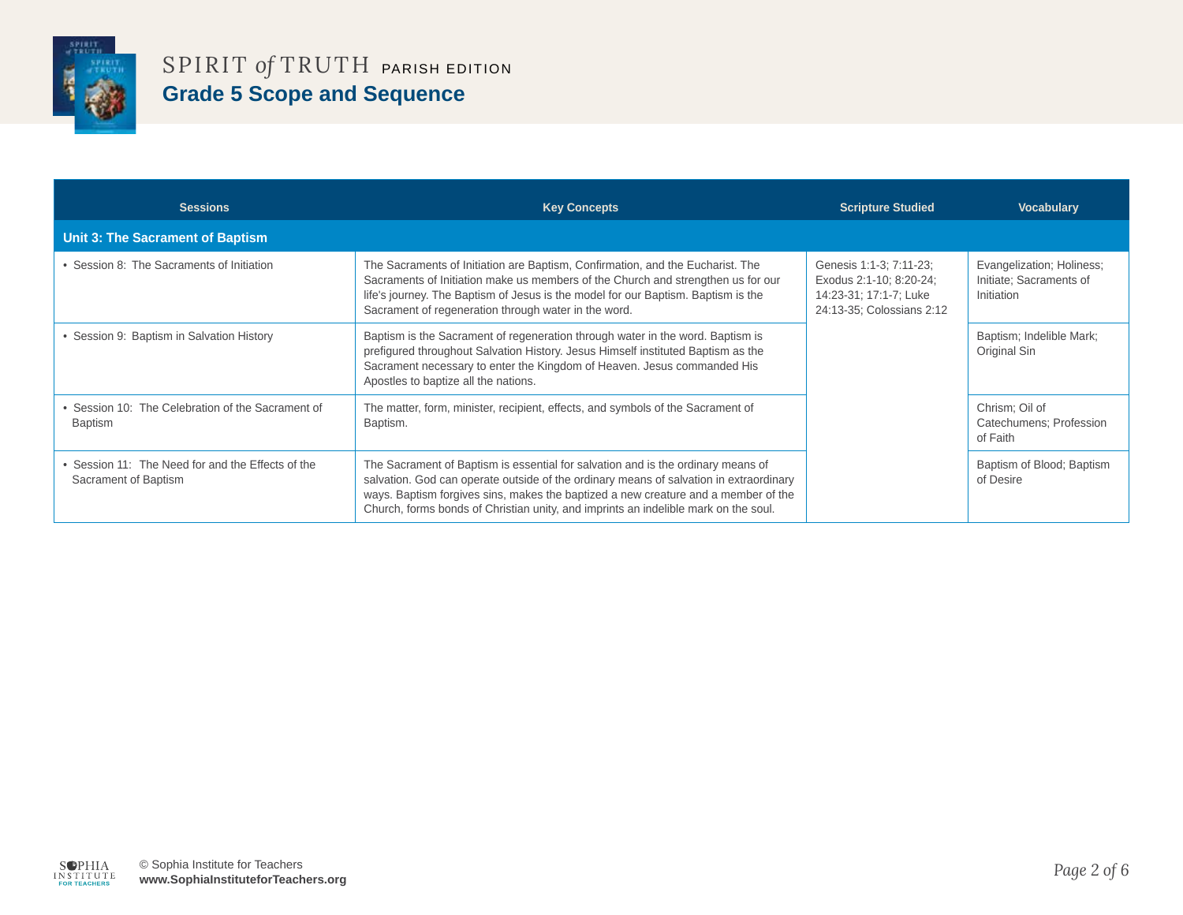

| <b>Sessions</b>                                                           | <b>Key Concepts</b>                                                                                                                                                                                                                                                                                                                                     | <b>Scripture Studied</b>                                                                                  | <b>Vocabulary</b>                                                  |
|---------------------------------------------------------------------------|---------------------------------------------------------------------------------------------------------------------------------------------------------------------------------------------------------------------------------------------------------------------------------------------------------------------------------------------------------|-----------------------------------------------------------------------------------------------------------|--------------------------------------------------------------------|
| Unit 3: The Sacrament of Baptism                                          |                                                                                                                                                                                                                                                                                                                                                         |                                                                                                           |                                                                    |
| • Session 8: The Sacraments of Initiation                                 | The Sacraments of Initiation are Baptism, Confirmation, and the Eucharist. The<br>Sacraments of Initiation make us members of the Church and strengthen us for our<br>life's journey. The Baptism of Jesus is the model for our Baptism. Baptism is the<br>Sacrament of regeneration through water in the word.                                         | Genesis 1:1-3; 7:11-23;<br>Exodus 2:1-10; 8:20-24;<br>14:23-31; 17:1-7; Luke<br>24:13-35; Colossians 2:12 | Evangelization; Holiness;<br>Initiate; Sacraments of<br>Initiation |
| • Session 9: Baptism in Salvation History                                 | Baptism is the Sacrament of regeneration through water in the word. Baptism is<br>prefigured throughout Salvation History. Jesus Himself instituted Baptism as the<br>Sacrament necessary to enter the Kingdom of Heaven. Jesus commanded His<br>Apostles to baptize all the nations.                                                                   |                                                                                                           | Baptism; Indelible Mark;<br>Original Sin                           |
| • Session 10: The Celebration of the Sacrament of<br>Baptism              | The matter, form, minister, recipient, effects, and symbols of the Sacrament of<br>Baptism.                                                                                                                                                                                                                                                             |                                                                                                           | Chrism; Oil of<br>Catechumens; Profession<br>of Faith              |
| • Session 11: The Need for and the Effects of the<br>Sacrament of Baptism | The Sacrament of Baptism is essential for salvation and is the ordinary means of<br>salvation. God can operate outside of the ordinary means of salvation in extraordinary<br>ways. Baptism forgives sins, makes the baptized a new creature and a member of the<br>Church, forms bonds of Christian unity, and imprints an indelible mark on the soul. |                                                                                                           | Baptism of Blood; Baptism<br>of Desire                             |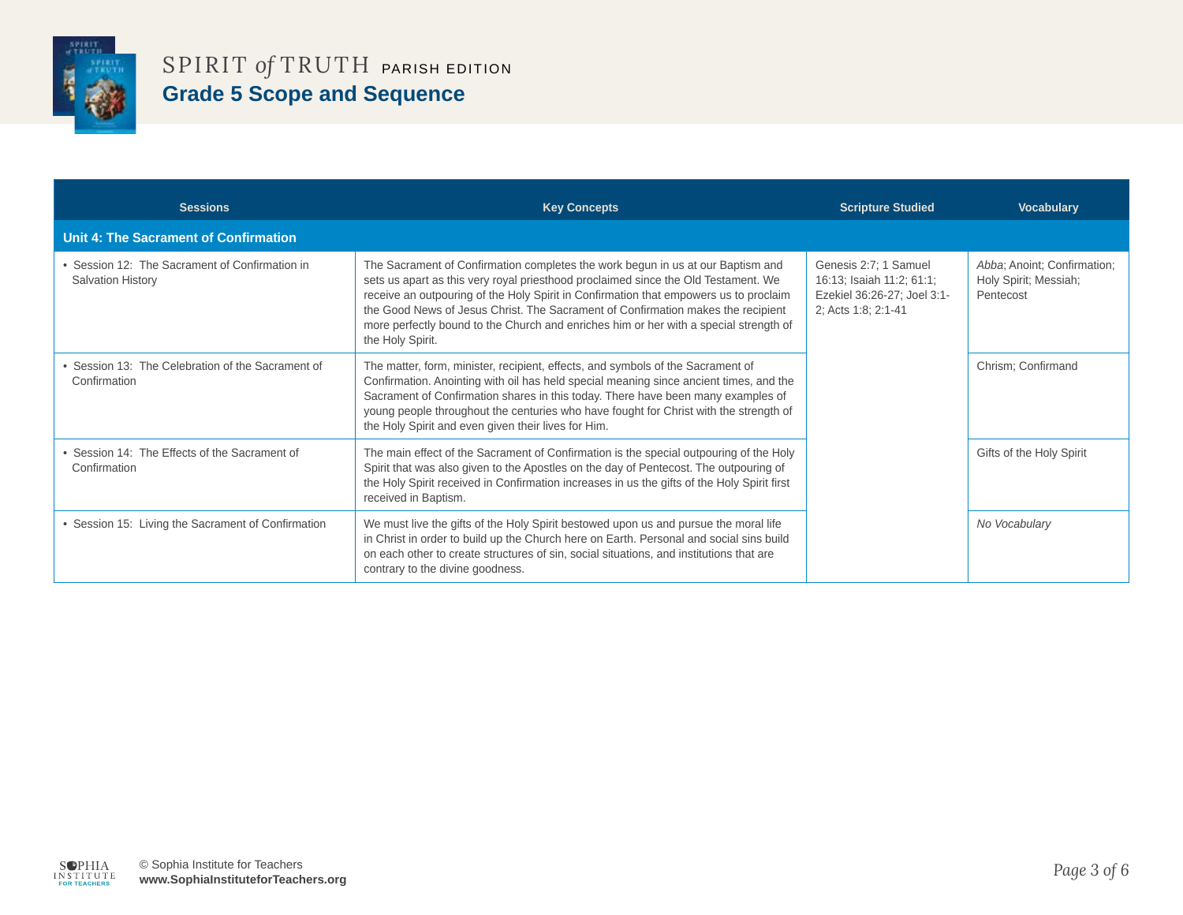

| <b>Sessions</b>                                                            | <b>Key Concepts</b>                                                                                                                                                                                                                                                                                                                                                                                                                                             | <b>Scripture Studied</b>                                                                                 | <b>Vocabulary</b>                                                 |
|----------------------------------------------------------------------------|-----------------------------------------------------------------------------------------------------------------------------------------------------------------------------------------------------------------------------------------------------------------------------------------------------------------------------------------------------------------------------------------------------------------------------------------------------------------|----------------------------------------------------------------------------------------------------------|-------------------------------------------------------------------|
| <b>Unit 4: The Sacrament of Confirmation</b>                               |                                                                                                                                                                                                                                                                                                                                                                                                                                                                 |                                                                                                          |                                                                   |
| • Session 12: The Sacrament of Confirmation in<br><b>Salvation History</b> | The Sacrament of Confirmation completes the work begun in us at our Baptism and<br>sets us apart as this very royal priesthood proclaimed since the Old Testament. We<br>receive an outpouring of the Holy Spirit in Confirmation that empowers us to proclaim<br>the Good News of Jesus Christ. The Sacrament of Confirmation makes the recipient<br>more perfectly bound to the Church and enriches him or her with a special strength of<br>the Holy Spirit. | Genesis 2:7; 1 Samuel<br>16:13; Isaiah 11:2; 61:1;<br>Ezekiel 36:26-27: Joel 3:1-<br>2; Acts 1:8; 2:1-41 | Abba; Anoint; Confirmation;<br>Holy Spirit; Messiah;<br>Pentecost |
| Session 13: The Celebration of the Sacrament of<br>Confirmation            | The matter, form, minister, recipient, effects, and symbols of the Sacrament of<br>Confirmation. Anointing with oil has held special meaning since ancient times, and the<br>Sacrament of Confirmation shares in this today. There have been many examples of<br>young people throughout the centuries who have fought for Christ with the strength of<br>the Holy Spirit and even given their lives for Him.                                                   |                                                                                                          | Chrism; Confirmand                                                |
| • Session 14: The Effects of the Sacrament of<br>Confirmation              | The main effect of the Sacrament of Confirmation is the special outpouring of the Holy<br>Spirit that was also given to the Apostles on the day of Pentecost. The outpouring of<br>the Holy Spirit received in Confirmation increases in us the gifts of the Holy Spirit first<br>received in Baptism.                                                                                                                                                          |                                                                                                          | Gifts of the Holy Spirit                                          |
| • Session 15: Living the Sacrament of Confirmation                         | We must live the gifts of the Holy Spirit bestowed upon us and pursue the moral life<br>in Christ in order to build up the Church here on Earth. Personal and social sins build<br>on each other to create structures of sin, social situations, and institutions that are<br>contrary to the divine goodness.                                                                                                                                                  |                                                                                                          | No Vocabulary                                                     |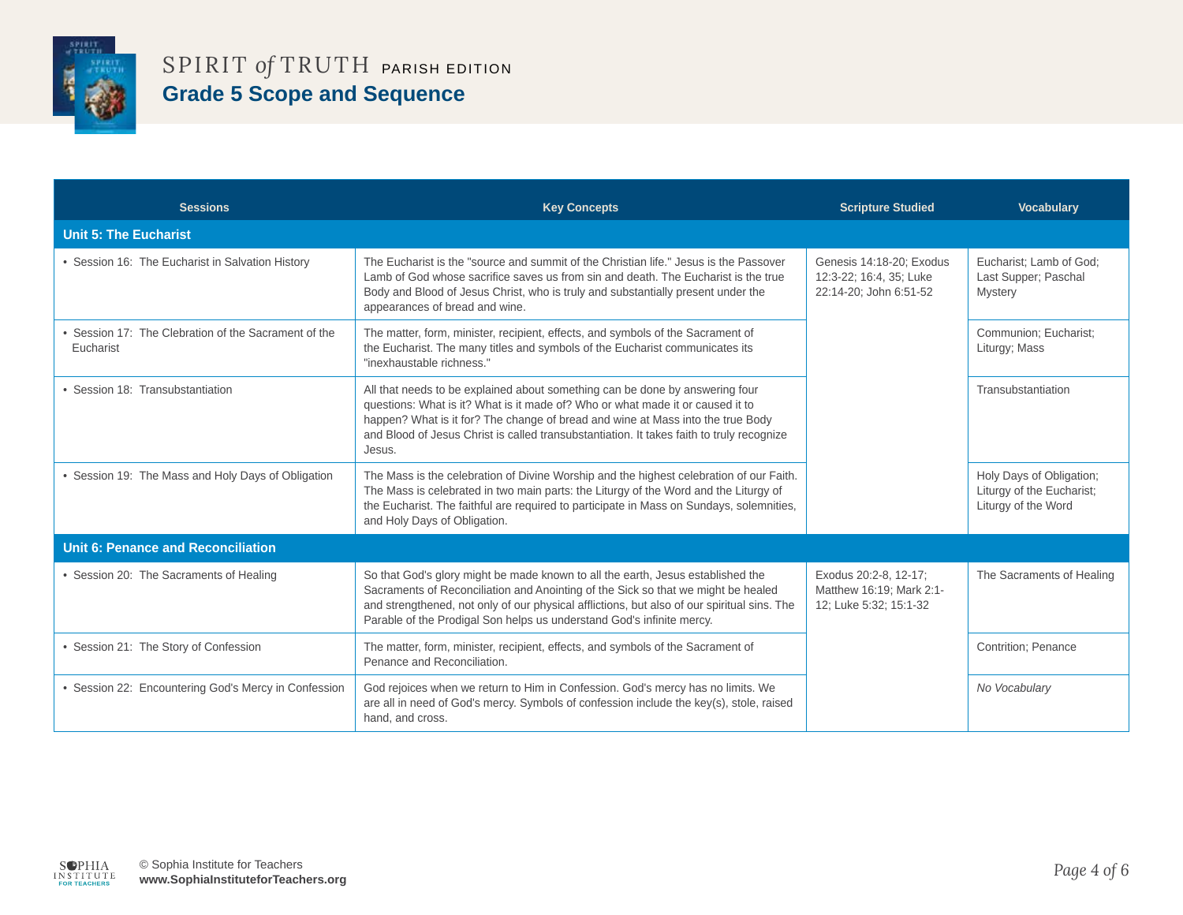

| <b>Sessions</b>                                                   | <b>Key Concepts</b>                                                                                                                                                                                                                                                                                                                                      | <b>Scripture Studied</b>                                                      | <b>Vocabulary</b>                                                            |
|-------------------------------------------------------------------|----------------------------------------------------------------------------------------------------------------------------------------------------------------------------------------------------------------------------------------------------------------------------------------------------------------------------------------------------------|-------------------------------------------------------------------------------|------------------------------------------------------------------------------|
| <b>Unit 5: The Eucharist</b>                                      |                                                                                                                                                                                                                                                                                                                                                          |                                                                               |                                                                              |
| • Session 16: The Eucharist in Salvation History                  | The Eucharist is the "source and summit of the Christian life." Jesus is the Passover<br>Lamb of God whose sacrifice saves us from sin and death. The Eucharist is the true<br>Body and Blood of Jesus Christ, who is truly and substantially present under the<br>appearances of bread and wine.                                                        | Genesis 14:18-20; Exodus<br>12:3-22; 16:4, 35; Luke<br>22:14-20; John 6:51-52 | Eucharist; Lamb of God;<br>Last Supper; Paschal<br><b>Mystery</b>            |
| • Session 17: The Clebration of the Sacrament of the<br>Eucharist | The matter, form, minister, recipient, effects, and symbols of the Sacrament of<br>the Eucharist. The many titles and symbols of the Eucharist communicates its<br>"inexhaustable richness."                                                                                                                                                             |                                                                               | Communion; Eucharist;<br>Liturgy; Mass                                       |
| • Session 18: Transubstantiation                                  | All that needs to be explained about something can be done by answering four<br>questions: What is it? What is it made of? Who or what made it or caused it to<br>happen? What is it for? The change of bread and wine at Mass into the true Body<br>and Blood of Jesus Christ is called transubstantiation. It takes faith to truly recognize<br>Jesus. |                                                                               | Transubstantiation                                                           |
| • Session 19: The Mass and Holy Days of Obligation                | The Mass is the celebration of Divine Worship and the highest celebration of our Faith.<br>The Mass is celebrated in two main parts: the Liturgy of the Word and the Liturgy of<br>the Eucharist. The faithful are required to participate in Mass on Sundays, solemnities,<br>and Holy Days of Obligation.                                              |                                                                               | Holy Days of Obligation;<br>Liturgy of the Eucharist;<br>Liturgy of the Word |
| <b>Unit 6: Penance and Reconciliation</b>                         |                                                                                                                                                                                                                                                                                                                                                          |                                                                               |                                                                              |
| • Session 20: The Sacraments of Healing                           | So that God's glory might be made known to all the earth, Jesus established the<br>Sacraments of Reconciliation and Anointing of the Sick so that we might be healed<br>and strengthened, not only of our physical afflictions, but also of our spiritual sins. The<br>Parable of the Prodigal Son helps us understand God's infinite mercy.             | Exodus 20:2-8, 12-17;<br>Matthew 16:19; Mark 2:1-<br>12; Luke 5:32; 15:1-32   | The Sacraments of Healing                                                    |
| • Session 21: The Story of Confession                             | The matter, form, minister, recipient, effects, and symbols of the Sacrament of<br>Penance and Reconciliation.                                                                                                                                                                                                                                           |                                                                               | <b>Contrition: Penance</b>                                                   |
| • Session 22: Encountering God's Mercy in Confession              | God rejoices when we return to Him in Confession. God's mercy has no limits. We<br>are all in need of God's mercy. Symbols of confession include the key(s), stole, raised<br>hand, and cross.                                                                                                                                                           |                                                                               | No Vocabulary                                                                |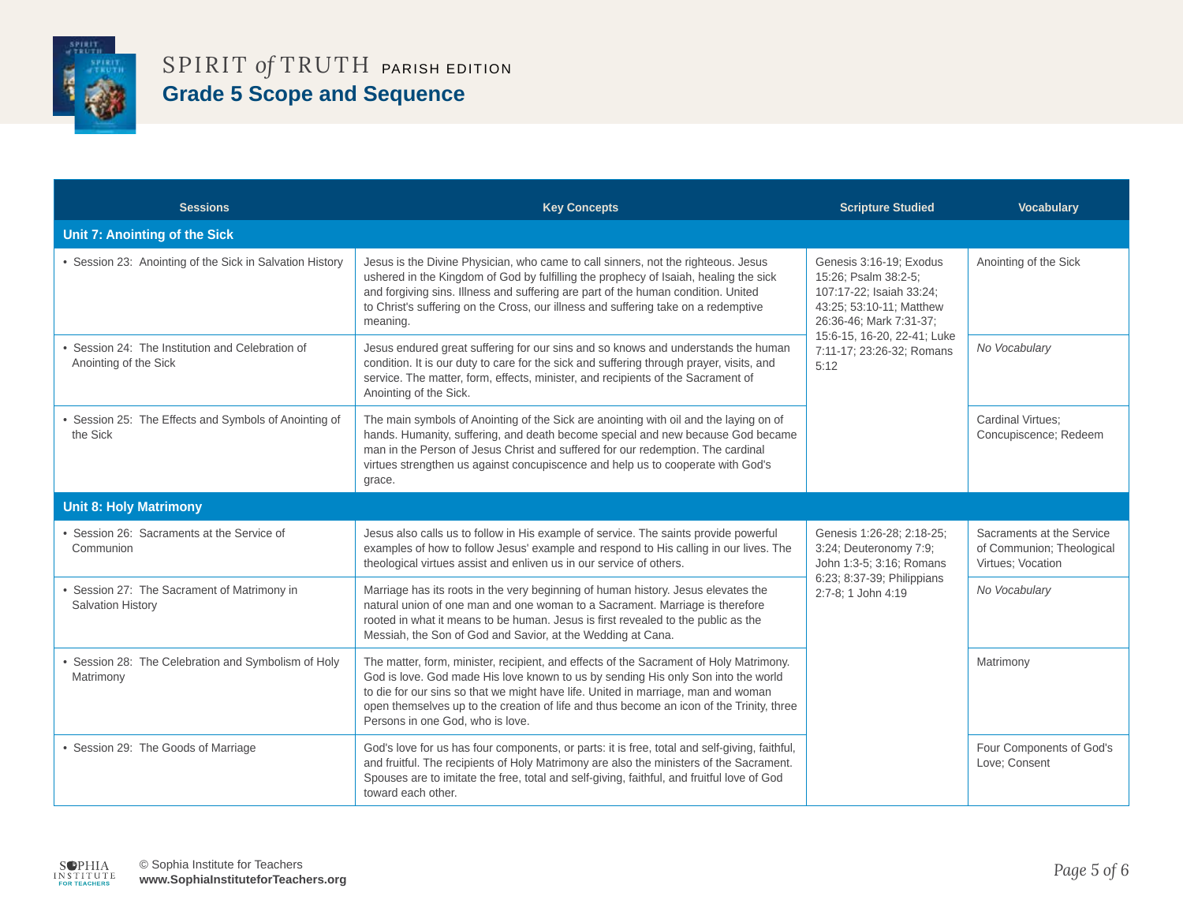

| <b>Sessions</b>                                                           | <b>Key Concepts</b>                                                                                                                                                                                                                                                                                                                                                                              | <b>Scripture Studied</b>                                                                                                                                                                               | <b>Vocabulary</b>                                                           |
|---------------------------------------------------------------------------|--------------------------------------------------------------------------------------------------------------------------------------------------------------------------------------------------------------------------------------------------------------------------------------------------------------------------------------------------------------------------------------------------|--------------------------------------------------------------------------------------------------------------------------------------------------------------------------------------------------------|-----------------------------------------------------------------------------|
| Unit 7: Anointing of the Sick                                             |                                                                                                                                                                                                                                                                                                                                                                                                  |                                                                                                                                                                                                        |                                                                             |
| • Session 23: Anointing of the Sick in Salvation History                  | Jesus is the Divine Physician, who came to call sinners, not the righteous. Jesus<br>ushered in the Kingdom of God by fulfilling the prophecy of Isaiah, healing the sick<br>and forgiving sins. Illness and suffering are part of the human condition. United<br>to Christ's suffering on the Cross, our illness and suffering take on a redemptive<br>meaning.                                 | Genesis 3:16-19; Exodus<br>15:26; Psalm 38:2-5;<br>107:17-22; Isaiah 33:24;<br>43:25; 53:10-11; Matthew<br>26:36-46; Mark 7:31-37;<br>15:6-15, 16-20, 22-41; Luke<br>7:11-17; 23:26-32; Romans<br>5:12 | Anointing of the Sick                                                       |
| • Session 24: The Institution and Celebration of<br>Anointing of the Sick | Jesus endured great suffering for our sins and so knows and understands the human<br>condition. It is our duty to care for the sick and suffering through prayer, visits, and<br>service. The matter, form, effects, minister, and recipients of the Sacrament of<br>Anointing of the Sick.                                                                                                      |                                                                                                                                                                                                        | No Vocabulary                                                               |
| • Session 25: The Effects and Symbols of Anointing of<br>the Sick         | The main symbols of Anointing of the Sick are anointing with oil and the laying on of<br>hands. Humanity, suffering, and death become special and new because God became<br>man in the Person of Jesus Christ and suffered for our redemption. The cardinal<br>virtues strengthen us against concupiscence and help us to cooperate with God's<br>grace.                                         |                                                                                                                                                                                                        | <b>Cardinal Virtues:</b><br>Concupiscence; Redeem                           |
| <b>Unit 8: Holy Matrimony</b>                                             |                                                                                                                                                                                                                                                                                                                                                                                                  |                                                                                                                                                                                                        |                                                                             |
| • Session 26: Sacraments at the Service of<br>Communion                   | Jesus also calls us to follow in His example of service. The saints provide powerful<br>examples of how to follow Jesus' example and respond to His calling in our lives. The<br>theological virtues assist and enliven us in our service of others.                                                                                                                                             | Genesis 1:26-28; 2:18-25;<br>3:24; Deuteronomy 7:9;<br>John 1:3-5; 3:16; Romans                                                                                                                        | Sacraments at the Service<br>of Communion; Theological<br>Virtues: Vocation |
| • Session 27: The Sacrament of Matrimony in<br><b>Salvation History</b>   | Marriage has its roots in the very beginning of human history. Jesus elevates the<br>natural union of one man and one woman to a Sacrament. Marriage is therefore<br>rooted in what it means to be human. Jesus is first revealed to the public as the<br>Messiah, the Son of God and Savior, at the Wedding at Cana.                                                                            | 6:23; 8:37-39; Philippians<br>2:7-8; 1 John 4:19                                                                                                                                                       | No Vocabulary                                                               |
| • Session 28: The Celebration and Symbolism of Holy<br>Matrimony          | The matter, form, minister, recipient, and effects of the Sacrament of Holy Matrimony.<br>God is love. God made His love known to us by sending His only Son into the world<br>to die for our sins so that we might have life. United in marriage, man and woman<br>open themselves up to the creation of life and thus become an icon of the Trinity, three<br>Persons in one God, who is love. |                                                                                                                                                                                                        | Matrimony                                                                   |
| • Session 29: The Goods of Marriage                                       | God's love for us has four components, or parts: it is free, total and self-giving, faithful,<br>and fruitful. The recipients of Holy Matrimony are also the ministers of the Sacrament.<br>Spouses are to imitate the free, total and self-giving, faithful, and fruitful love of God<br>toward each other.                                                                                     |                                                                                                                                                                                                        | Four Components of God's<br>Love; Consent                                   |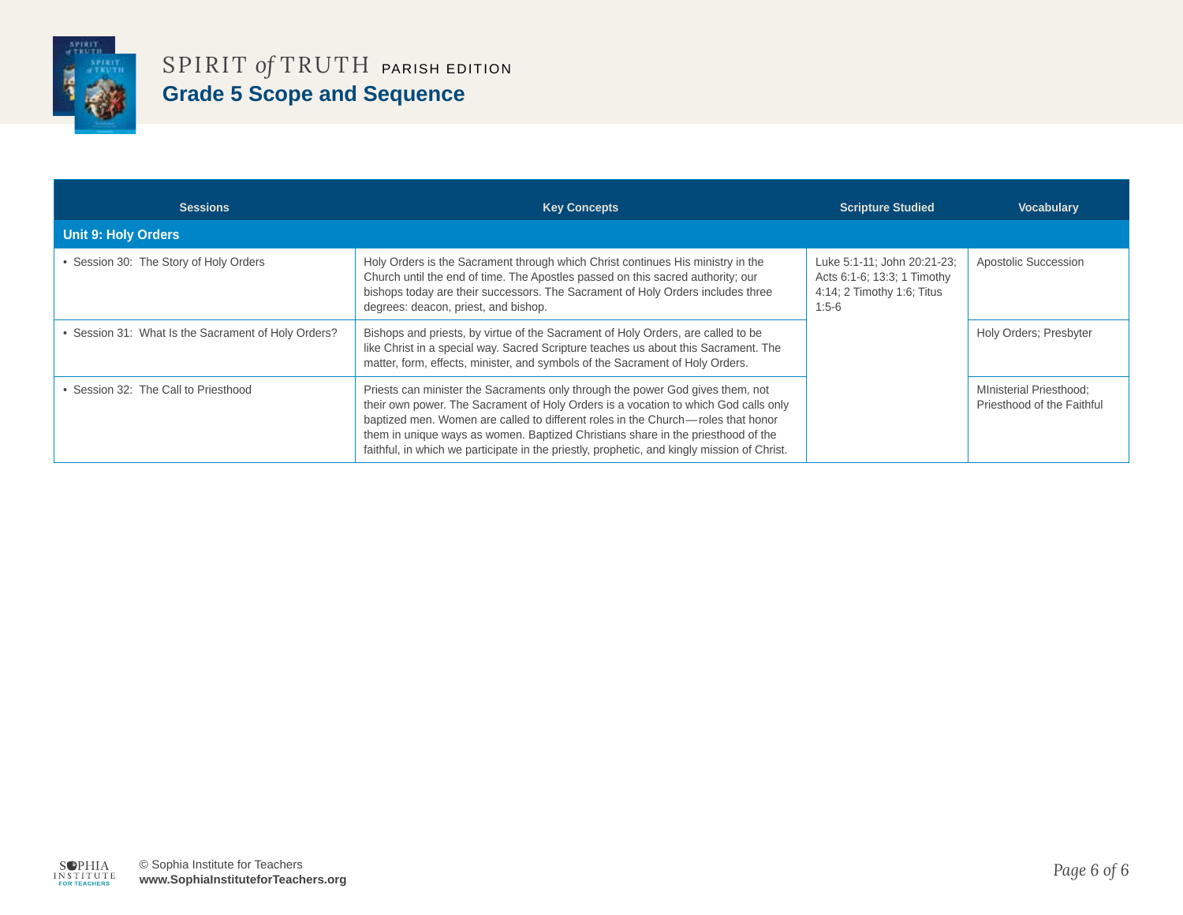

| <b>Sessions</b>                                     | <b>Key Concepts</b>                                                                                                                                                                                                                                                                                                                                                                                                                          | <b>Scripture Studied</b>                                                                            | <b>Vocabulary</b>                                            |
|-----------------------------------------------------|----------------------------------------------------------------------------------------------------------------------------------------------------------------------------------------------------------------------------------------------------------------------------------------------------------------------------------------------------------------------------------------------------------------------------------------------|-----------------------------------------------------------------------------------------------------|--------------------------------------------------------------|
| <b>Unit 9: Holy Orders</b>                          |                                                                                                                                                                                                                                                                                                                                                                                                                                              |                                                                                                     |                                                              |
| • Session 30: The Story of Holy Orders              | Holy Orders is the Sacrament through which Christ continues His ministry in the<br>Church until the end of time. The Apostles passed on this sacred authority; our<br>bishops today are their successors. The Sacrament of Holy Orders includes three<br>degrees: deacon, priest, and bishop.                                                                                                                                                | Luke 5:1-11; John 20:21-23;<br>Acts 6:1-6; 13:3; 1 Timothy<br>4:14; 2 Timothy 1:6; Titus<br>$1:5-6$ | Apostolic Succession                                         |
| • Session 31: What Is the Sacrament of Holy Orders? | Bishops and priests, by virtue of the Sacrament of Holy Orders, are called to be<br>like Christ in a special way. Sacred Scripture teaches us about this Sacrament. The<br>matter, form, effects, minister, and symbols of the Sacrament of Holy Orders.                                                                                                                                                                                     |                                                                                                     | Holy Orders; Presbyter                                       |
| • Session 32: The Call to Priesthood                | Priests can minister the Sacraments only through the power God gives them, not<br>their own power. The Sacrament of Holy Orders is a vocation to which God calls only<br>baptized men. Women are called to different roles in the Church—roles that honor<br>them in unique ways as women. Baptized Christians share in the priesthood of the<br>faithful, in which we participate in the priestly, prophetic, and kingly mission of Christ. |                                                                                                     | <b>MInisterial Priesthood:</b><br>Priesthood of the Faithful |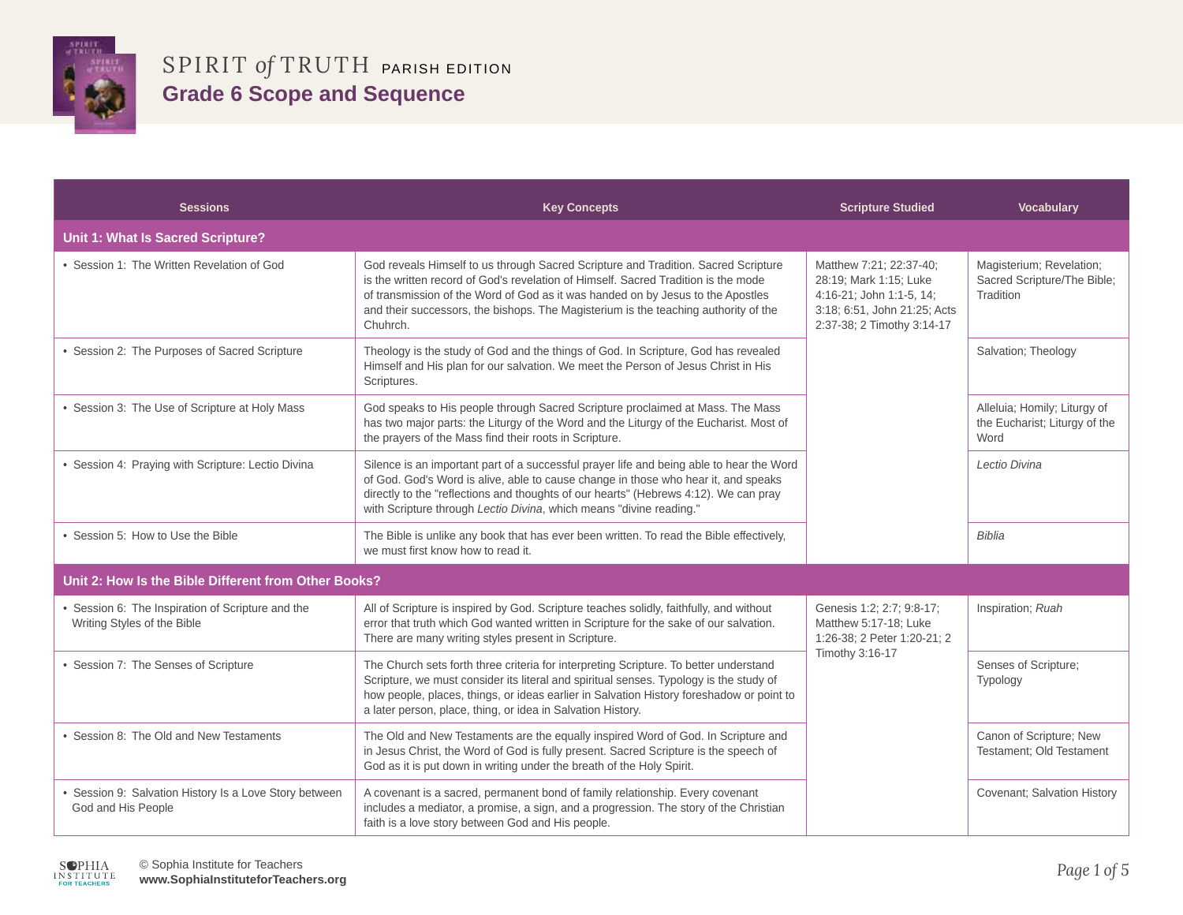

| <b>Sessions</b>                                                                | <b>Key Concepts</b>                                                                                                                                                                                                                                                                                                                                            | <b>Scripture Studied</b>                                                                                                                    | <b>Vocabulary</b>                                                     |
|--------------------------------------------------------------------------------|----------------------------------------------------------------------------------------------------------------------------------------------------------------------------------------------------------------------------------------------------------------------------------------------------------------------------------------------------------------|---------------------------------------------------------------------------------------------------------------------------------------------|-----------------------------------------------------------------------|
| Unit 1: What Is Sacred Scripture?                                              |                                                                                                                                                                                                                                                                                                                                                                |                                                                                                                                             |                                                                       |
| • Session 1: The Written Revelation of God                                     | God reveals Himself to us through Sacred Scripture and Tradition. Sacred Scripture<br>is the written record of God's revelation of Himself. Sacred Tradition is the mode<br>of transmission of the Word of God as it was handed on by Jesus to the Apostles<br>and their successors, the bishops. The Magisterium is the teaching authority of the<br>Chuhrch. | Matthew 7:21; 22:37-40;<br>28:19; Mark 1:15; Luke<br>4:16-21; John 1:1-5, 14;<br>3:18; 6:51, John 21:25; Acts<br>2:37-38; 2 Timothy 3:14-17 | Magisterium; Revelation;<br>Sacred Scripture/The Bible;<br>Tradition  |
| • Session 2: The Purposes of Sacred Scripture                                  | Theology is the study of God and the things of God. In Scripture, God has revealed<br>Himself and His plan for our salvation. We meet the Person of Jesus Christ in His<br>Scriptures.                                                                                                                                                                         |                                                                                                                                             | Salvation; Theology                                                   |
| • Session 3: The Use of Scripture at Holy Mass                                 | God speaks to His people through Sacred Scripture proclaimed at Mass. The Mass<br>has two major parts: the Liturgy of the Word and the Liturgy of the Eucharist. Most of<br>the prayers of the Mass find their roots in Scripture.                                                                                                                             |                                                                                                                                             | Alleluia; Homily; Liturgy of<br>the Eucharist; Liturgy of the<br>Word |
| • Session 4: Praying with Scripture: Lectio Divina                             | Silence is an important part of a successful prayer life and being able to hear the Word<br>of God. God's Word is alive, able to cause change in those who hear it, and speaks<br>directly to the "reflections and thoughts of our hearts" (Hebrews 4:12). We can pray<br>with Scripture through Lectio Divina, which means "divine reading."                  |                                                                                                                                             | Lectio Divina                                                         |
| • Session 5: How to Use the Bible                                              | The Bible is unlike any book that has ever been written. To read the Bible effectively,<br>we must first know how to read it.                                                                                                                                                                                                                                  |                                                                                                                                             | <b>Biblia</b>                                                         |
| Unit 2: How Is the Bible Different from Other Books?                           |                                                                                                                                                                                                                                                                                                                                                                |                                                                                                                                             |                                                                       |
| Session 6: The Inspiration of Scripture and the<br>Writing Styles of the Bible | All of Scripture is inspired by God. Scripture teaches solidly, faithfully, and without<br>error that truth which God wanted written in Scripture for the sake of our salvation.<br>There are many writing styles present in Scripture.                                                                                                                        | Genesis 1:2; 2:7; 9:8-17;<br>Matthew 5:17-18; Luke<br>1:26-38; 2 Peter 1:20-21; 2<br>Timothy 3:16-17                                        | Inspiration; Ruah                                                     |
| • Session 7: The Senses of Scripture                                           | The Church sets forth three criteria for interpreting Scripture. To better understand<br>Scripture, we must consider its literal and spiritual senses. Typology is the study of<br>how people, places, things, or ideas earlier in Salvation History foreshadow or point to<br>a later person, place, thing, or idea in Salvation History.                     |                                                                                                                                             | Senses of Scripture;<br>Typology                                      |
| • Session 8: The Old and New Testaments                                        | The Old and New Testaments are the equally inspired Word of God. In Scripture and<br>in Jesus Christ, the Word of God is fully present. Sacred Scripture is the speech of<br>God as it is put down in writing under the breath of the Holy Spirit.                                                                                                             |                                                                                                                                             | Canon of Scripture; New<br>Testament: Old Testament                   |
| • Session 9: Salvation History Is a Love Story between<br>God and His People   | A covenant is a sacred, permanent bond of family relationship. Every covenant<br>includes a mediator, a promise, a sign, and a progression. The story of the Christian<br>faith is a love story between God and His people.                                                                                                                                    |                                                                                                                                             | Covenant; Salvation History                                           |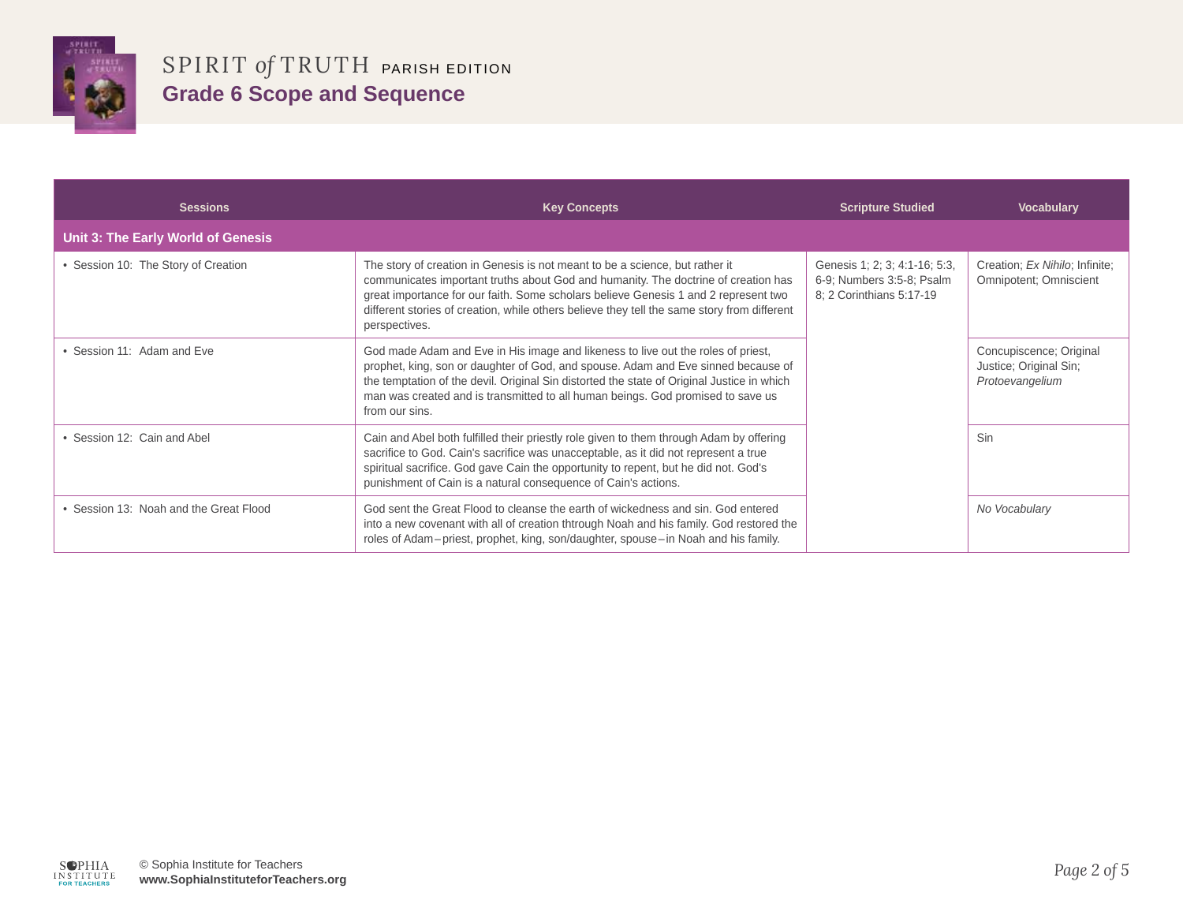

| <b>Sessions</b>                      | <b>Key Concepts</b>                                                                                                                                                                                                                                                                                                                                                       | <b>Scripture Studied</b>                                                               | <b>Vocabulary</b>                                                    |
|--------------------------------------|---------------------------------------------------------------------------------------------------------------------------------------------------------------------------------------------------------------------------------------------------------------------------------------------------------------------------------------------------------------------------|----------------------------------------------------------------------------------------|----------------------------------------------------------------------|
| Unit 3: The Early World of Genesis   |                                                                                                                                                                                                                                                                                                                                                                           |                                                                                        |                                                                      |
| • Session 10: The Story of Creation  | The story of creation in Genesis is not meant to be a science, but rather it<br>communicates important truths about God and humanity. The doctrine of creation has<br>great importance for our faith. Some scholars believe Genesis 1 and 2 represent two<br>different stories of creation, while others believe they tell the same story from different<br>perspectives. | Genesis 1; 2; 3; 4:1-16; 5:3,<br>6-9; Numbers 3:5-8; Psalm<br>8; 2 Corinthians 5:17-19 | Creation; Ex Nihilo; Infinite;<br>Omnipotent; Omniscient             |
| Session 11: Adam and Eve             | God made Adam and Eve in His image and likeness to live out the roles of priest,<br>prophet, king, son or daughter of God, and spouse. Adam and Eve sinned because of<br>the temptation of the devil. Original Sin distorted the state of Original Justice in which<br>man was created and is transmitted to all human beings. God promised to save us<br>from our sins.  |                                                                                        | Concupiscence; Original<br>Justice; Original Sin;<br>Protoevangelium |
| Session 12: Cain and Abel            | Cain and Abel both fulfilled their priestly role given to them through Adam by offering<br>sacrifice to God. Cain's sacrifice was unacceptable, as it did not represent a true<br>spiritual sacrifice. God gave Cain the opportunity to repent, but he did not. God's<br>punishment of Cain is a natural consequence of Cain's actions.                                   |                                                                                        | Sin                                                                  |
| Session 13: Noah and the Great Flood | God sent the Great Flood to cleanse the earth of wickedness and sin. God entered<br>into a new covenant with all of creation thtrough Noah and his family. God restored the<br>roles of Adam–priest, prophet, king, son/daughter, spouse–in Noah and his family.                                                                                                          |                                                                                        | No Vocabulary                                                        |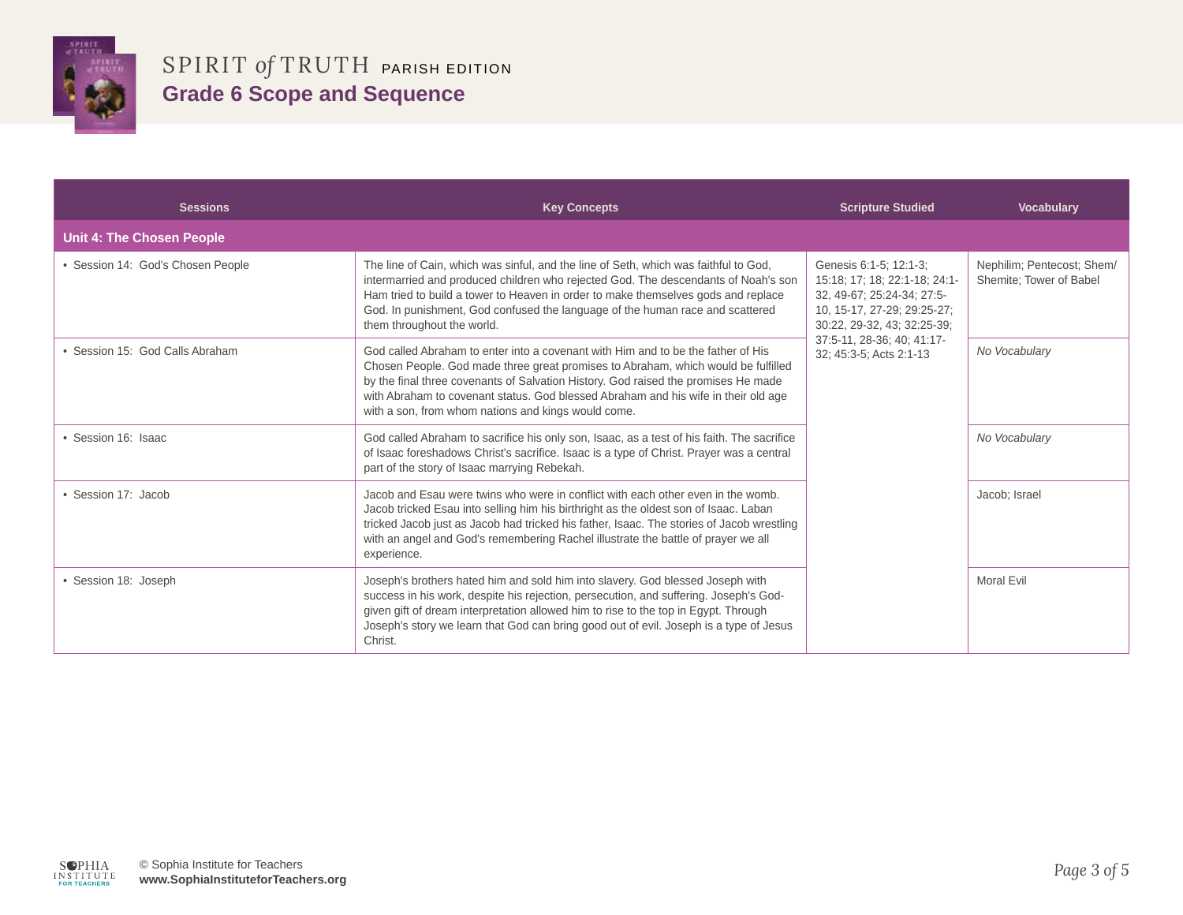

| <b>Sessions</b>                   | <b>Key Concepts</b>                                                                                                                                                                                                                                                                                                                                                                                      | <b>Scripture Studied</b>                                                                                                                                                                                     | <b>Vocabulary</b>                                     |
|-----------------------------------|----------------------------------------------------------------------------------------------------------------------------------------------------------------------------------------------------------------------------------------------------------------------------------------------------------------------------------------------------------------------------------------------------------|--------------------------------------------------------------------------------------------------------------------------------------------------------------------------------------------------------------|-------------------------------------------------------|
| Unit 4: The Chosen People         |                                                                                                                                                                                                                                                                                                                                                                                                          |                                                                                                                                                                                                              |                                                       |
| • Session 14: God's Chosen People | The line of Cain, which was sinful, and the line of Seth, which was faithful to God,<br>intermarried and produced children who rejected God. The descendants of Noah's son<br>Ham tried to build a tower to Heaven in order to make themselves gods and replace<br>God. In punishment, God confused the language of the human race and scattered<br>them throughout the world.                           | Genesis 6:1-5; 12:1-3;<br>15:18; 17; 18; 22:1-18; 24:1-<br>32, 49-67; 25:24-34; 27:5-<br>10, 15-17, 27-29; 29:25-27;<br>30:22, 29-32, 43; 32:25-39;<br>37:5-11, 28-36; 40; 41:17-<br>32; 45:3-5; Acts 2:1-13 | Nephilim; Pentecost; Shem/<br>Shemite; Tower of Babel |
| • Session 15: God Calls Abraham   | God called Abraham to enter into a covenant with Him and to be the father of His<br>Chosen People. God made three great promises to Abraham, which would be fulfilled<br>by the final three covenants of Salvation History. God raised the promises He made<br>with Abraham to covenant status. God blessed Abraham and his wife in their old age<br>with a son, from whom nations and kings would come. |                                                                                                                                                                                                              | No Vocabulary                                         |
| • Session 16: Isaac               | God called Abraham to sacrifice his only son, Isaac, as a test of his faith. The sacrifice<br>of Isaac foreshadows Christ's sacrifice. Isaac is a type of Christ. Prayer was a central<br>part of the story of Isaac marrying Rebekah.                                                                                                                                                                   |                                                                                                                                                                                                              | No Vocabulary                                         |
| • Session 17: Jacob               | Jacob and Esau were twins who were in conflict with each other even in the womb.<br>Jacob tricked Esau into selling him his birthright as the oldest son of Isaac. Laban<br>tricked Jacob just as Jacob had tricked his father, Isaac. The stories of Jacob wrestling<br>with an angel and God's remembering Rachel illustrate the battle of prayer we all<br>experience.                                |                                                                                                                                                                                                              | Jacob; Israel                                         |
| • Session 18: Joseph              | Joseph's brothers hated him and sold him into slavery. God blessed Joseph with<br>success in his work, despite his rejection, persecution, and suffering. Joseph's God-<br>given gift of dream interpretation allowed him to rise to the top in Egypt. Through<br>Joseph's story we learn that God can bring good out of evil. Joseph is a type of Jesus<br>Christ.                                      |                                                                                                                                                                                                              | Moral Evil                                            |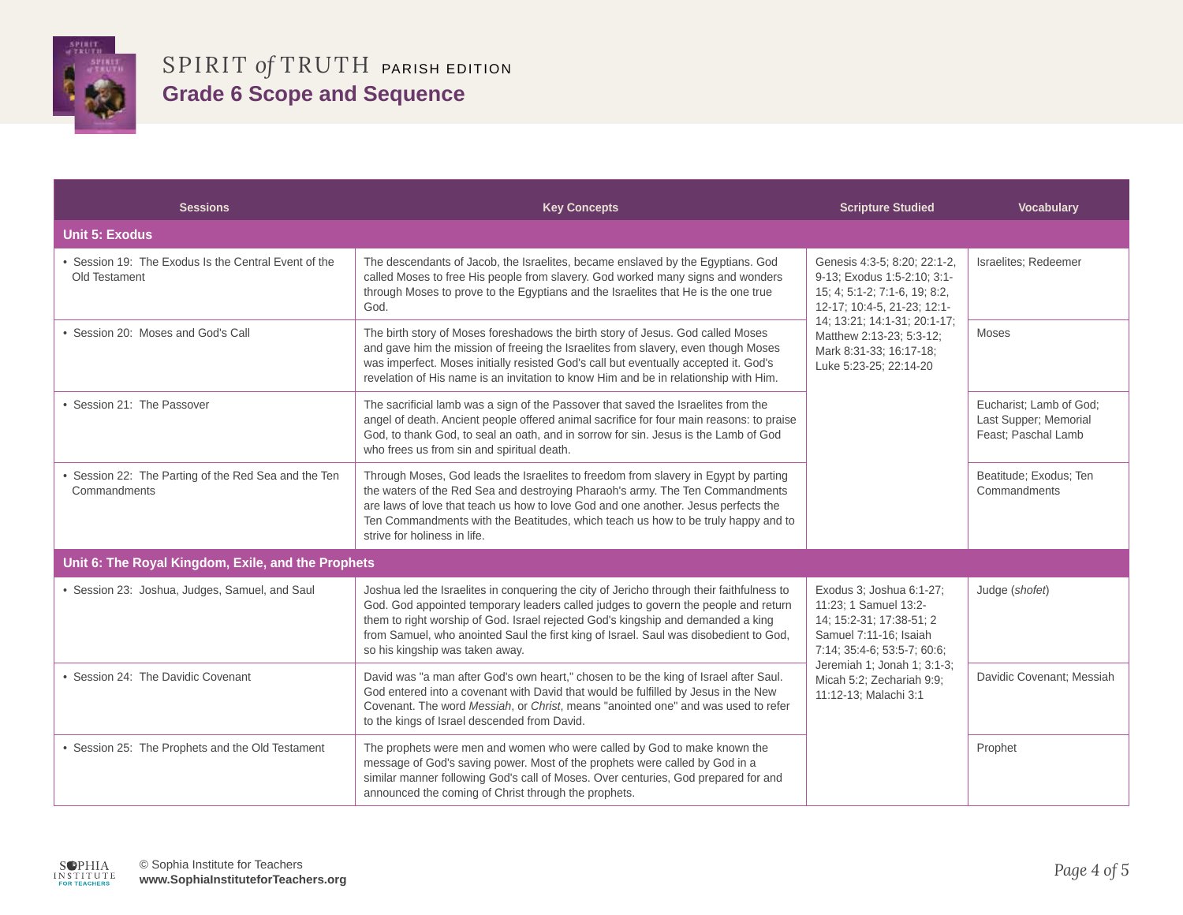

| <b>Sessions</b>                                                       | <b>Key Concepts</b>                                                                                                                                                                                                                                                                                                                                                                             | <b>Scripture Studied</b>                                                                                                                                                                                                                     | <b>Vocabulary</b>                                                       |
|-----------------------------------------------------------------------|-------------------------------------------------------------------------------------------------------------------------------------------------------------------------------------------------------------------------------------------------------------------------------------------------------------------------------------------------------------------------------------------------|----------------------------------------------------------------------------------------------------------------------------------------------------------------------------------------------------------------------------------------------|-------------------------------------------------------------------------|
| <b>Unit 5: Exodus</b>                                                 |                                                                                                                                                                                                                                                                                                                                                                                                 |                                                                                                                                                                                                                                              |                                                                         |
| • Session 19: The Exodus Is the Central Event of the<br>Old Testament | The descendants of Jacob, the Israelites, became enslaved by the Egyptians. God<br>called Moses to free His people from slavery. God worked many signs and wonders<br>through Moses to prove to the Egyptians and the Israelites that He is the one true<br>God.                                                                                                                                | Genesis 4:3-5; 8:20; 22:1-2,<br>9-13; Exodus 1:5-2:10; 3:1-<br>15; 4; 5:1-2; 7:1-6, 19; 8:2,<br>12-17; 10:4-5, 21-23; 12:1-<br>14; 13:21; 14:1-31; 20:1-17;<br>Matthew 2:13-23; 5:3-12;<br>Mark 8:31-33; 16:17-18;<br>Luke 5:23-25; 22:14-20 | Israelites; Redeemer                                                    |
| • Session 20: Moses and God's Call                                    | The birth story of Moses foreshadows the birth story of Jesus. God called Moses<br>and gave him the mission of freeing the Israelites from slavery, even though Moses<br>was imperfect. Moses initially resisted God's call but eventually accepted it. God's<br>revelation of His name is an invitation to know Him and be in relationship with Him.                                           |                                                                                                                                                                                                                                              | <b>Moses</b>                                                            |
| • Session 21: The Passover                                            | The sacrificial lamb was a sign of the Passover that saved the Israelites from the<br>angel of death. Ancient people offered animal sacrifice for four main reasons: to praise<br>God, to thank God, to seal an oath, and in sorrow for sin. Jesus is the Lamb of God<br>who frees us from sin and spiritual death.                                                                             |                                                                                                                                                                                                                                              | Eucharist; Lamb of God;<br>Last Supper; Memorial<br>Feast; Paschal Lamb |
| • Session 22: The Parting of the Red Sea and the Ten<br>Commandments  | Through Moses, God leads the Israelites to freedom from slavery in Egypt by parting<br>the waters of the Red Sea and destroying Pharaoh's army. The Ten Commandments<br>are laws of love that teach us how to love God and one another. Jesus perfects the<br>Ten Commandments with the Beatitudes, which teach us how to be truly happy and to<br>strive for holiness in life.                 |                                                                                                                                                                                                                                              | Beatitude; Exodus; Ten<br>Commandments                                  |
| Unit 6: The Royal Kingdom, Exile, and the Prophets                    |                                                                                                                                                                                                                                                                                                                                                                                                 |                                                                                                                                                                                                                                              |                                                                         |
| · Session 23: Joshua, Judges, Samuel, and Saul                        | Joshua led the Israelites in conquering the city of Jericho through their faithfulness to<br>God. God appointed temporary leaders called judges to govern the people and return<br>them to right worship of God. Israel rejected God's kingship and demanded a king<br>from Samuel, who anointed Saul the first king of Israel. Saul was disobedient to God,<br>so his kingship was taken away. | Exodus 3; Joshua 6:1-27;<br>11:23; 1 Samuel 13:2-<br>14: 15:2-31: 17:38-51: 2<br>Samuel 7:11-16; Isaiah<br>7:14; 35:4-6; 53:5-7; 60:6;<br>Jeremiah 1; Jonah 1; 3:1-3;<br>Micah 5:2; Zechariah 9:9;<br>11:12-13; Malachi 3:1                  | Judge (shofet)                                                          |
| • Session 24: The Davidic Covenant                                    | David was "a man after God's own heart," chosen to be the king of Israel after Saul.<br>God entered into a covenant with David that would be fulfilled by Jesus in the New<br>Covenant. The word Messiah, or Christ, means "anointed one" and was used to refer<br>to the kings of Israel descended from David.                                                                                 |                                                                                                                                                                                                                                              | Davidic Covenant; Messiah                                               |
| • Session 25: The Prophets and the Old Testament                      | The prophets were men and women who were called by God to make known the<br>message of God's saving power. Most of the prophets were called by God in a<br>similar manner following God's call of Moses. Over centuries, God prepared for and<br>announced the coming of Christ through the prophets.                                                                                           |                                                                                                                                                                                                                                              | Prophet                                                                 |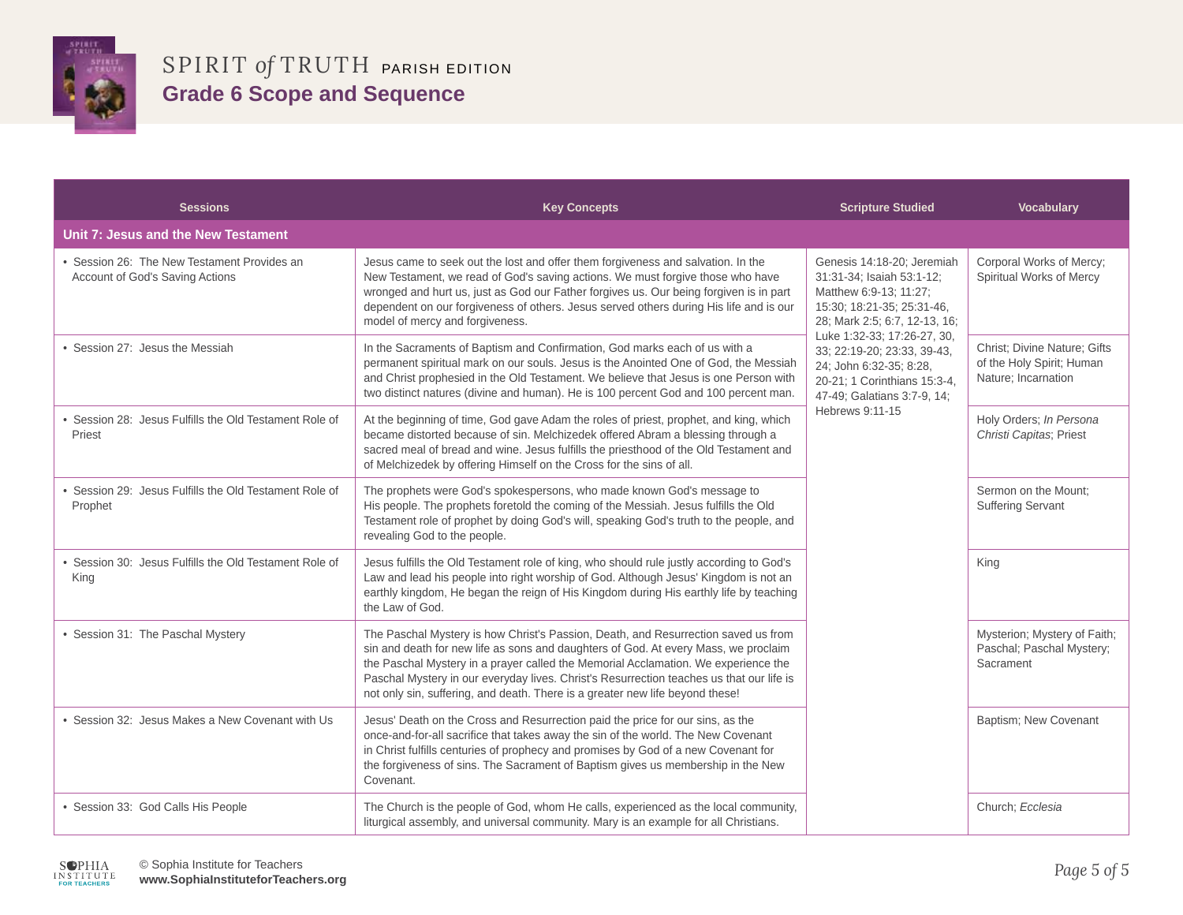

| <b>Sessions</b>                                                              | <b>Key Concepts</b>                                                                                                                                                                                                                                                                                                                                                                                                                          | <b>Scripture Studied</b>                                                                                                                                                                                                                                                                                                    | <b>Vocabulary</b>                                                                |
|------------------------------------------------------------------------------|----------------------------------------------------------------------------------------------------------------------------------------------------------------------------------------------------------------------------------------------------------------------------------------------------------------------------------------------------------------------------------------------------------------------------------------------|-----------------------------------------------------------------------------------------------------------------------------------------------------------------------------------------------------------------------------------------------------------------------------------------------------------------------------|----------------------------------------------------------------------------------|
| Unit 7: Jesus and the New Testament                                          |                                                                                                                                                                                                                                                                                                                                                                                                                                              |                                                                                                                                                                                                                                                                                                                             |                                                                                  |
| Session 26: The New Testament Provides an<br>Account of God's Saving Actions | Jesus came to seek out the lost and offer them forgiveness and salvation. In the<br>New Testament, we read of God's saving actions. We must forgive those who have<br>wronged and hurt us, just as God our Father forgives us. Our being forgiven is in part<br>dependent on our forgiveness of others. Jesus served others during His life and is our<br>model of mercy and forgiveness.                                                    | Genesis 14:18-20; Jeremiah<br>31:31-34; Isaiah 53:1-12;<br>Matthew 6:9-13; 11:27;<br>15:30; 18:21-35; 25:31-46,<br>28; Mark 2:5; 6:7, 12-13, 16;<br>Luke 1:32-33; 17:26-27, 30,<br>33; 22:19-20; 23:33, 39-43,<br>24; John 6:32-35; 8:28,<br>20-21; 1 Corinthians 15:3-4,<br>47-49; Galatians 3:7-9, 14;<br>Hebrews 9:11-15 | Corporal Works of Mercy;<br>Spiritual Works of Mercy                             |
| • Session 27: Jesus the Messiah                                              | In the Sacraments of Baptism and Confirmation, God marks each of us with a<br>permanent spiritual mark on our souls. Jesus is the Anointed One of God, the Messiah<br>and Christ prophesied in the Old Testament. We believe that Jesus is one Person with<br>two distinct natures (divine and human). He is 100 percent God and 100 percent man.                                                                                            |                                                                                                                                                                                                                                                                                                                             | Christ; Divine Nature; Gifts<br>of the Holy Spirit; Human<br>Nature; Incarnation |
| Session 28: Jesus Fulfills the Old Testament Role of<br>Priest               | At the beginning of time, God gave Adam the roles of priest, prophet, and king, which<br>became distorted because of sin. Melchizedek offered Abram a blessing through a<br>sacred meal of bread and wine. Jesus fulfills the priesthood of the Old Testament and<br>of Melchizedek by offering Himself on the Cross for the sins of all.                                                                                                    |                                                                                                                                                                                                                                                                                                                             | Holy Orders; In Persona<br>Christi Capitas; Priest                               |
| Session 29: Jesus Fulfills the Old Testament Role of<br>Prophet              | The prophets were God's spokespersons, who made known God's message to<br>His people. The prophets foretold the coming of the Messiah. Jesus fulfills the Old<br>Testament role of prophet by doing God's will, speaking God's truth to the people, and<br>revealing God to the people.                                                                                                                                                      |                                                                                                                                                                                                                                                                                                                             | Sermon on the Mount;<br><b>Suffering Servant</b>                                 |
| Session 30: Jesus Fulfills the Old Testament Role of<br>King                 | Jesus fulfills the Old Testament role of king, who should rule justly according to God's<br>Law and lead his people into right worship of God. Although Jesus' Kingdom is not an<br>earthly kingdom, He began the reign of His Kingdom during His earthly life by teaching<br>the Law of God.                                                                                                                                                |                                                                                                                                                                                                                                                                                                                             | King                                                                             |
| • Session 31: The Paschal Mystery                                            | The Paschal Mystery is how Christ's Passion, Death, and Resurrection saved us from<br>sin and death for new life as sons and daughters of God. At every Mass, we proclaim<br>the Paschal Mystery in a prayer called the Memorial Acclamation. We experience the<br>Paschal Mystery in our everyday lives. Christ's Resurrection teaches us that our life is<br>not only sin, suffering, and death. There is a greater new life beyond these! |                                                                                                                                                                                                                                                                                                                             | Mysterion; Mystery of Faith;<br>Paschal; Paschal Mystery;<br>Sacrament           |
| • Session 32: Jesus Makes a New Covenant with Us                             | Jesus' Death on the Cross and Resurrection paid the price for our sins, as the<br>once-and-for-all sacrifice that takes away the sin of the world. The New Covenant<br>in Christ fulfills centuries of prophecy and promises by God of a new Covenant for<br>the forgiveness of sins. The Sacrament of Baptism gives us membership in the New<br>Covenant.                                                                                   |                                                                                                                                                                                                                                                                                                                             | Baptism; New Covenant                                                            |
| · Session 33: God Calls His People                                           | The Church is the people of God, whom He calls, experienced as the local community,<br>liturgical assembly, and universal community. Mary is an example for all Christians.                                                                                                                                                                                                                                                                  |                                                                                                                                                                                                                                                                                                                             | Church; Ecclesia                                                                 |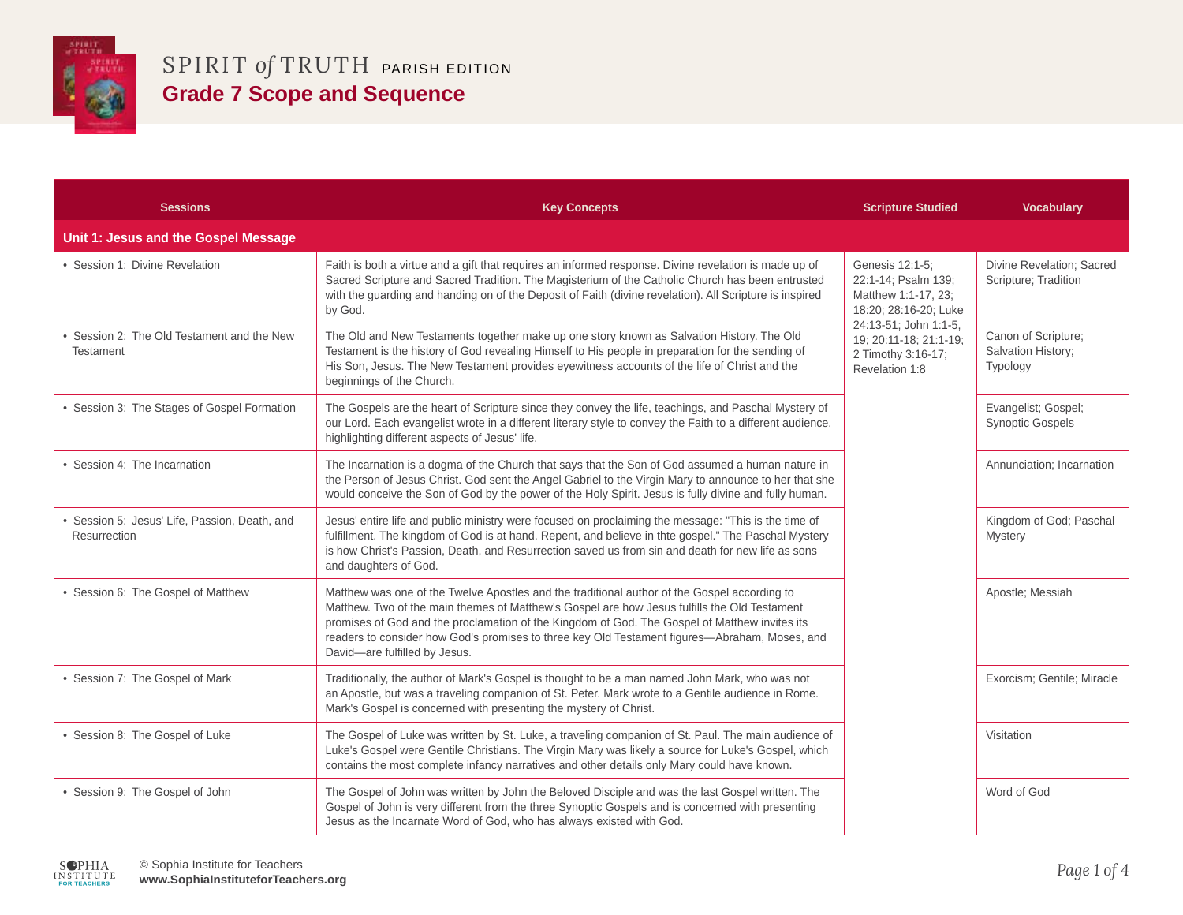

| <b>Sessions</b>                                              | <b>Key Concepts</b>                                                                                                                                                                                                                                                                                                                                                                                                             | <b>Scripture Studied</b>                                                                | <b>Vocabulary</b>                                     |
|--------------------------------------------------------------|---------------------------------------------------------------------------------------------------------------------------------------------------------------------------------------------------------------------------------------------------------------------------------------------------------------------------------------------------------------------------------------------------------------------------------|-----------------------------------------------------------------------------------------|-------------------------------------------------------|
| Unit 1: Jesus and the Gospel Message                         |                                                                                                                                                                                                                                                                                                                                                                                                                                 |                                                                                         |                                                       |
| • Session 1: Divine Revelation                               | Faith is both a virtue and a gift that requires an informed response. Divine revelation is made up of<br>Sacred Scripture and Sacred Tradition. The Magisterium of the Catholic Church has been entrusted<br>with the guarding and handing on of the Deposit of Faith (divine revelation). All Scripture is inspired<br>by God.                                                                                                 | Genesis 12:1-5;<br>22:1-14; Psalm 139;<br>Matthew 1:1-17, 23;<br>18:20; 28:16-20; Luke  | Divine Revelation; Sacred<br>Scripture; Tradition     |
| Session 2: The Old Testament and the New<br><b>Testament</b> | The Old and New Testaments together make up one story known as Salvation History. The Old<br>Testament is the history of God revealing Himself to His people in preparation for the sending of<br>His Son, Jesus. The New Testament provides eyewitness accounts of the life of Christ and the<br>beginnings of the Church.                                                                                                     | 24:13-51; John 1:1-5,<br>19: 20:11-18: 21:1-19:<br>2 Timothy 3:16-17;<br>Revelation 1:8 | Canon of Scripture;<br>Salvation History;<br>Typology |
| • Session 3: The Stages of Gospel Formation                  | The Gospels are the heart of Scripture since they convey the life, teachings, and Paschal Mystery of<br>our Lord. Each evangelist wrote in a different literary style to convey the Faith to a different audience,<br>highlighting different aspects of Jesus' life.                                                                                                                                                            |                                                                                         | Evangelist; Gospel;<br><b>Synoptic Gospels</b>        |
| • Session 4: The Incarnation                                 | The Incarnation is a dogma of the Church that says that the Son of God assumed a human nature in<br>the Person of Jesus Christ. God sent the Angel Gabriel to the Virgin Mary to announce to her that she<br>would conceive the Son of God by the power of the Holy Spirit. Jesus is fully divine and fully human.                                                                                                              |                                                                                         | Annunciation; Incarnation                             |
| Session 5: Jesus' Life, Passion, Death, and<br>Resurrection  | Jesus' entire life and public ministry were focused on proclaiming the message: "This is the time of<br>fulfillment. The kingdom of God is at hand. Repent, and believe in thte gospel." The Paschal Mystery<br>is how Christ's Passion, Death, and Resurrection saved us from sin and death for new life as sons<br>and daughters of God.                                                                                      |                                                                                         | Kingdom of God; Paschal<br>Mystery                    |
| • Session 6: The Gospel of Matthew                           | Matthew was one of the Twelve Apostles and the traditional author of the Gospel according to<br>Matthew. Two of the main themes of Matthew's Gospel are how Jesus fulfills the Old Testament<br>promises of God and the proclamation of the Kingdom of God. The Gospel of Matthew invites its<br>readers to consider how God's promises to three key Old Testament figures-Abraham, Moses, and<br>David-are fulfilled by Jesus. |                                                                                         | Apostle; Messiah                                      |
| • Session 7: The Gospel of Mark                              | Traditionally, the author of Mark's Gospel is thought to be a man named John Mark, who was not<br>an Apostle, but was a traveling companion of St. Peter. Mark wrote to a Gentile audience in Rome.<br>Mark's Gospel is concerned with presenting the mystery of Christ.                                                                                                                                                        |                                                                                         | Exorcism; Gentile; Miracle                            |
| · Session 8: The Gospel of Luke                              | The Gospel of Luke was written by St. Luke, a traveling companion of St. Paul. The main audience of<br>Luke's Gospel were Gentile Christians. The Virgin Mary was likely a source for Luke's Gospel, which<br>contains the most complete infancy narratives and other details only Mary could have known.                                                                                                                       |                                                                                         | Visitation                                            |
| • Session 9: The Gospel of John                              | The Gospel of John was written by John the Beloved Disciple and was the last Gospel written. The<br>Gospel of John is very different from the three Synoptic Gospels and is concerned with presenting<br>Jesus as the Incarnate Word of God, who has always existed with God.                                                                                                                                                   |                                                                                         | Word of God                                           |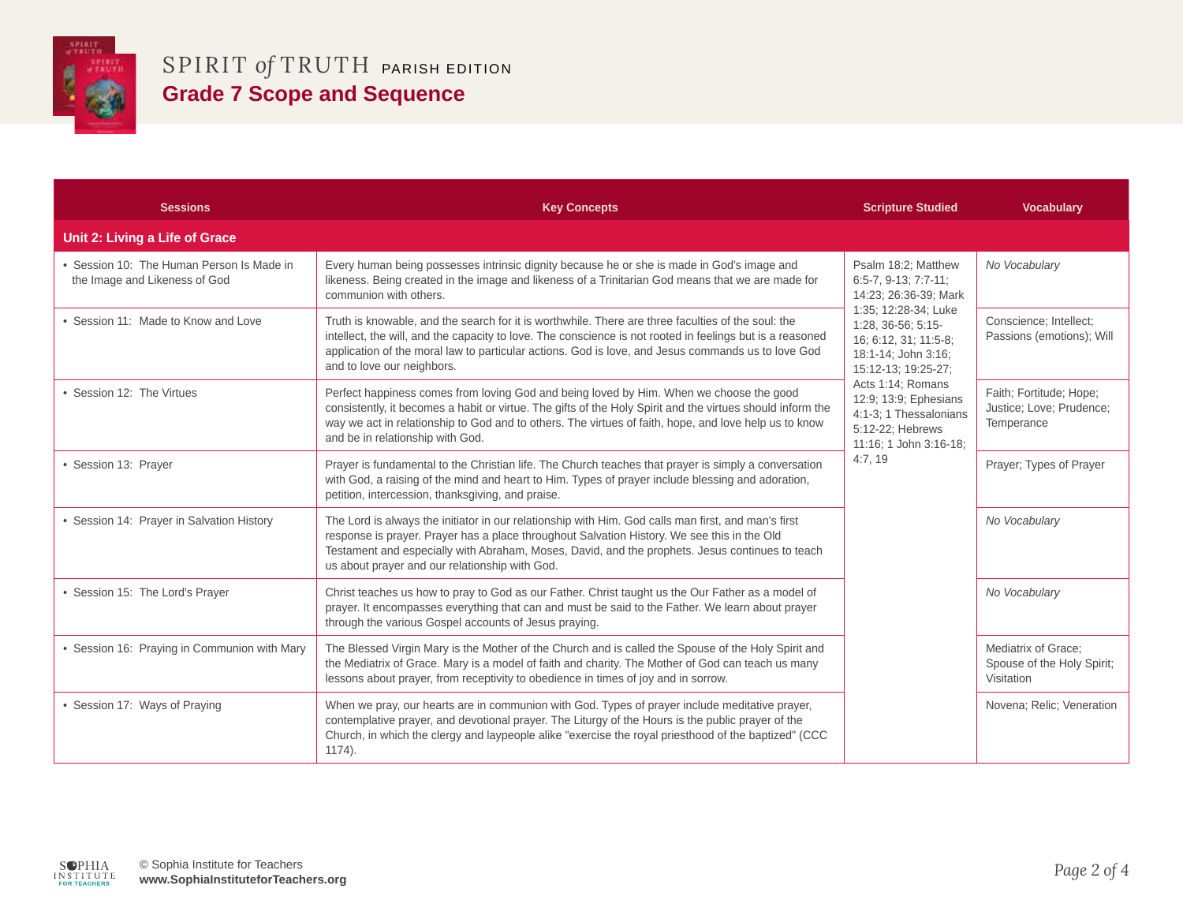

| <b>Sessions</b>                                                            | <b>Key Concepts</b>                                                                                                                                                                                                                                                                                                                                     | <b>Scripture Studied</b>                                                                                                                                                                                                                                                                                                    | <b>Vocabulary</b>                                                 |
|----------------------------------------------------------------------------|---------------------------------------------------------------------------------------------------------------------------------------------------------------------------------------------------------------------------------------------------------------------------------------------------------------------------------------------------------|-----------------------------------------------------------------------------------------------------------------------------------------------------------------------------------------------------------------------------------------------------------------------------------------------------------------------------|-------------------------------------------------------------------|
| Unit 2: Living a Life of Grace                                             |                                                                                                                                                                                                                                                                                                                                                         |                                                                                                                                                                                                                                                                                                                             |                                                                   |
| • Session 10: The Human Person Is Made in<br>the Image and Likeness of God | Every human being possesses intrinsic dignity because he or she is made in God's image and<br>likeness. Being created in the image and likeness of a Trinitarian God means that we are made for<br>communion with others.                                                                                                                               | Psalm 18:2; Matthew<br>$6:5-7, 9-13; 7:7-11;$<br>14:23; 26:36-39; Mark<br>1:35; 12:28-34; Luke<br>1:28, 36-56; 5:15-<br>16; 6:12, 31; 11:5-8;<br>18:1-14; John 3:16;<br>15:12-13; 19:25-27;<br>Acts 1:14; Romans<br>12:9; 13:9; Ephesians<br>4:1-3: 1 Thessalonians<br>5:12-22; Hebrews<br>11:16; 1 John 3:16-18;<br>4:7,19 | No Vocabulary                                                     |
| • Session 11: Made to Know and Love                                        | Truth is knowable, and the search for it is worthwhile. There are three faculties of the soul: the<br>intellect, the will, and the capacity to love. The conscience is not rooted in feelings but is a reasoned<br>application of the moral law to particular actions. God is love, and Jesus commands us to love God<br>and to love our neighbors.     |                                                                                                                                                                                                                                                                                                                             | Conscience; Intellect;<br>Passions (emotions); Will               |
| • Session 12: The Virtues                                                  | Perfect happiness comes from loving God and being loved by Him. When we choose the good<br>consistently, it becomes a habit or virtue. The gifts of the Holy Spirit and the virtues should inform the<br>way we act in relationship to God and to others. The virtues of faith, hope, and love help us to know<br>and be in relationship with God.      |                                                                                                                                                                                                                                                                                                                             | Faith; Fortitude; Hope;<br>Justice; Love; Prudence;<br>Temperance |
| · Session 13: Prayer                                                       | Prayer is fundamental to the Christian life. The Church teaches that prayer is simply a conversation<br>with God, a raising of the mind and heart to Him. Types of prayer include blessing and adoration,<br>petition, intercession, thanksgiving, and praise.                                                                                          |                                                                                                                                                                                                                                                                                                                             | Prayer; Types of Prayer                                           |
| • Session 14: Prayer in Salvation History                                  | The Lord is always the initiator in our relationship with Him. God calls man first, and man's first<br>response is prayer. Prayer has a place throughout Salvation History. We see this in the Old<br>Testament and especially with Abraham, Moses, David, and the prophets. Jesus continues to teach<br>us about prayer and our relationship with God. |                                                                                                                                                                                                                                                                                                                             | No Vocabulary                                                     |
| • Session 15: The Lord's Prayer                                            | Christ teaches us how to pray to God as our Father. Christ taught us the Our Father as a model of<br>prayer. It encompasses everything that can and must be said to the Father. We learn about prayer<br>through the various Gospel accounts of Jesus praying.                                                                                          |                                                                                                                                                                                                                                                                                                                             | No Vocabulary                                                     |
| • Session 16: Praying in Communion with Mary                               | The Blessed Virgin Mary is the Mother of the Church and is called the Spouse of the Holy Spirit and<br>the Mediatrix of Grace. Mary is a model of faith and charity. The Mother of God can teach us many<br>lessons about prayer, from receptivity to obedience in times of joy and in sorrow.                                                          |                                                                                                                                                                                                                                                                                                                             | Mediatrix of Grace;<br>Spouse of the Holy Spirit;<br>Visitation   |
| • Session 17: Ways of Praying                                              | When we pray, our hearts are in communion with God. Types of prayer include meditative prayer,<br>contemplative prayer, and devotional prayer. The Liturgy of the Hours is the public prayer of the<br>Church, in which the clergy and laypeople alike "exercise the royal priesthood of the baptized" (CCC<br>1174).                                   |                                                                                                                                                                                                                                                                                                                             | Novena; Relic; Veneration                                         |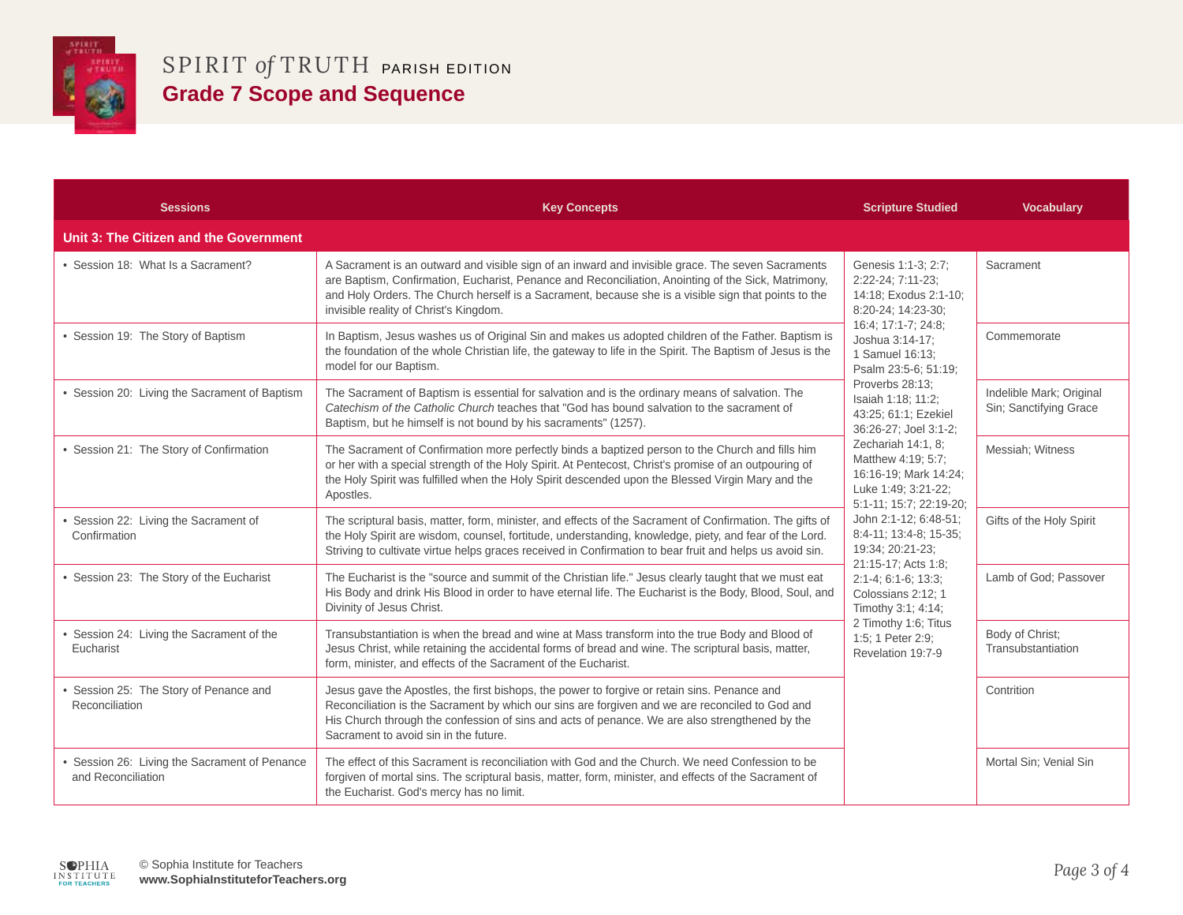

| <b>Sessions</b>                                                   | <b>Key Concepts</b>                                                                                                                                                                                                                                                                                                                                        | <b>Scripture Studied</b>                                                                                                                                                                                                                                                                                                                                                                                                                                                                                                                                                                                                            | <b>Vocabulary</b>                                  |
|-------------------------------------------------------------------|------------------------------------------------------------------------------------------------------------------------------------------------------------------------------------------------------------------------------------------------------------------------------------------------------------------------------------------------------------|-------------------------------------------------------------------------------------------------------------------------------------------------------------------------------------------------------------------------------------------------------------------------------------------------------------------------------------------------------------------------------------------------------------------------------------------------------------------------------------------------------------------------------------------------------------------------------------------------------------------------------------|----------------------------------------------------|
| Unit 3: The Citizen and the Government                            |                                                                                                                                                                                                                                                                                                                                                            |                                                                                                                                                                                                                                                                                                                                                                                                                                                                                                                                                                                                                                     |                                                    |
| • Session 18: What Is a Sacrament?                                | A Sacrament is an outward and visible sign of an inward and invisible grace. The seven Sacraments<br>are Baptism, Confirmation, Eucharist, Penance and Reconciliation, Anointing of the Sick, Matrimony,<br>and Holy Orders. The Church herself is a Sacrament, because she is a visible sign that points to the<br>invisible reality of Christ's Kingdom. | Genesis 1:1-3; 2:7;<br>2:22-24; 7:11-23;<br>14:18; Exodus 2:1-10;<br>8:20-24; 14:23-30;<br>16:4; 17:1-7; 24:8;<br>Joshua 3:14-17:<br>1 Samuel 16:13:<br>Psalm 23:5-6; 51:19;<br>Proverbs 28:13:<br>Isaiah 1:18; 11:2;<br>43:25; 61:1; Ezekiel<br>36:26-27; Joel 3:1-2;<br>Zechariah 14:1, 8:<br>Matthew 4:19; 5:7;<br>16:16-19; Mark 14:24;<br>Luke 1:49; 3:21-22;<br>5:1-11; 15:7; 22:19-20;<br>John 2:1-12; 6:48-51;<br>8:4-11; 13:4-8; 15-35;<br>19:34; 20:21-23;<br>21:15-17; Acts 1:8;<br>$2:1-4$ ; 6:1-6; 13:3;<br>Colossians 2:12; 1<br>Timothy 3:1; 4:14;<br>2 Timothy 1:6; Titus<br>1:5: 1 Peter 2:9:<br>Revelation 19:7-9 | Sacrament                                          |
| • Session 19: The Story of Baptism                                | In Baptism, Jesus washes us of Original Sin and makes us adopted children of the Father. Baptism is<br>the foundation of the whole Christian life, the gateway to life in the Spirit. The Baptism of Jesus is the<br>model for our Baptism.                                                                                                                |                                                                                                                                                                                                                                                                                                                                                                                                                                                                                                                                                                                                                                     | Commemorate                                        |
| • Session 20: Living the Sacrament of Baptism                     | The Sacrament of Baptism is essential for salvation and is the ordinary means of salvation. The<br>Catechism of the Catholic Church teaches that "God has bound salvation to the sacrament of<br>Baptism, but he himself is not bound by his sacraments" (1257).                                                                                           |                                                                                                                                                                                                                                                                                                                                                                                                                                                                                                                                                                                                                                     | Indelible Mark; Original<br>Sin; Sanctifying Grace |
| • Session 21: The Story of Confirmation                           | The Sacrament of Confirmation more perfectly binds a baptized person to the Church and fills him<br>or her with a special strength of the Holy Spirit. At Pentecost, Christ's promise of an outpouring of<br>the Holy Spirit was fulfilled when the Holy Spirit descended upon the Blessed Virgin Mary and the<br>Apostles.                                |                                                                                                                                                                                                                                                                                                                                                                                                                                                                                                                                                                                                                                     | Messiah; Witness                                   |
| Session 22: Living the Sacrament of<br>Confirmation               | The scriptural basis, matter, form, minister, and effects of the Sacrament of Confirmation. The gifts of<br>the Holy Spirit are wisdom, counsel, fortitude, understanding, knowledge, piety, and fear of the Lord.<br>Striving to cultivate virtue helps graces received in Confirmation to bear fruit and helps us avoid sin.                             |                                                                                                                                                                                                                                                                                                                                                                                                                                                                                                                                                                                                                                     | Gifts of the Holy Spirit                           |
| • Session 23: The Story of the Eucharist                          | The Eucharist is the "source and summit of the Christian life." Jesus clearly taught that we must eat<br>His Body and drink His Blood in order to have eternal life. The Eucharist is the Body, Blood, Soul, and<br>Divinity of Jesus Christ.                                                                                                              |                                                                                                                                                                                                                                                                                                                                                                                                                                                                                                                                                                                                                                     | Lamb of God; Passover                              |
| Session 24: Living the Sacrament of the<br>Eucharist              | Transubstantiation is when the bread and wine at Mass transform into the true Body and Blood of<br>Jesus Christ, while retaining the accidental forms of bread and wine. The scriptural basis, matter,<br>form, minister, and effects of the Sacrament of the Eucharist.                                                                                   |                                                                                                                                                                                                                                                                                                                                                                                                                                                                                                                                                                                                                                     | Body of Christ;<br>Transubstantiation              |
| Session 25: The Story of Penance and<br>Reconciliation            | Jesus gave the Apostles, the first bishops, the power to forgive or retain sins. Penance and<br>Reconciliation is the Sacrament by which our sins are forgiven and we are reconciled to God and<br>His Church through the confession of sins and acts of penance. We are also strengthened by the<br>Sacrament to avoid sin in the future.                 |                                                                                                                                                                                                                                                                                                                                                                                                                                                                                                                                                                                                                                     | Contrition                                         |
| Session 26: Living the Sacrament of Penance<br>and Reconciliation | The effect of this Sacrament is reconciliation with God and the Church. We need Confession to be<br>forgiven of mortal sins. The scriptural basis, matter, form, minister, and effects of the Sacrament of<br>the Eucharist. God's mercy has no limit.                                                                                                     |                                                                                                                                                                                                                                                                                                                                                                                                                                                                                                                                                                                                                                     | Mortal Sin; Venial Sin                             |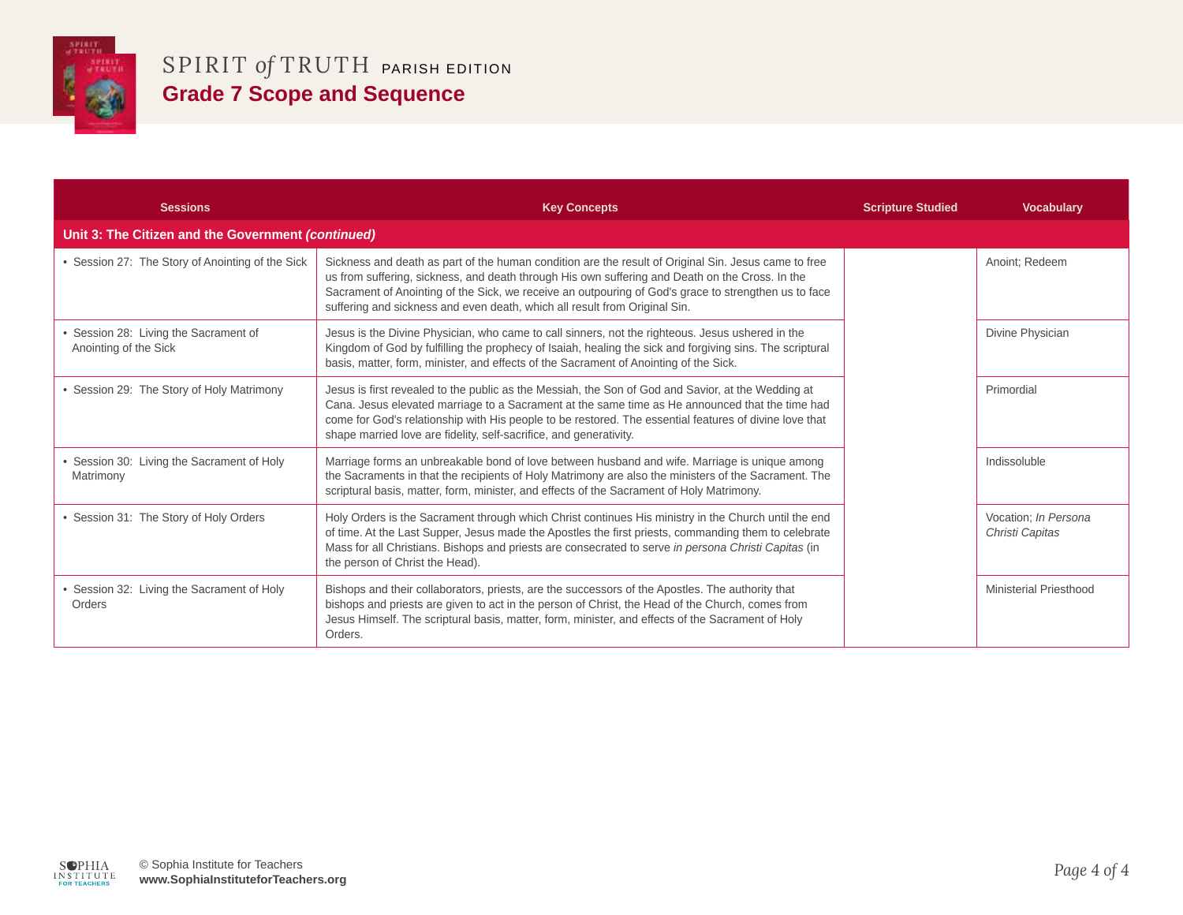

| <b>Sessions</b>                                              | <b>Key Concepts</b>                                                                                                                                                                                                                                                                                                                                                                           | <b>Scripture Studied</b> | <b>Vocabulary</b>                       |
|--------------------------------------------------------------|-----------------------------------------------------------------------------------------------------------------------------------------------------------------------------------------------------------------------------------------------------------------------------------------------------------------------------------------------------------------------------------------------|--------------------------|-----------------------------------------|
| Unit 3: The Citizen and the Government (continued)           |                                                                                                                                                                                                                                                                                                                                                                                               |                          |                                         |
| • Session 27: The Story of Anointing of the Sick             | Sickness and death as part of the human condition are the result of Original Sin. Jesus came to free<br>us from suffering, sickness, and death through His own suffering and Death on the Cross. In the<br>Sacrament of Anointing of the Sick, we receive an outpouring of God's grace to strengthen us to face<br>suffering and sickness and even death, which all result from Original Sin. |                          | Anoint; Redeem                          |
| Session 28: Living the Sacrament of<br>Anointing of the Sick | Jesus is the Divine Physician, who came to call sinners, not the righteous. Jesus ushered in the<br>Kingdom of God by fulfilling the prophecy of Isaiah, healing the sick and forgiving sins. The scriptural<br>basis, matter, form, minister, and effects of the Sacrament of Anointing of the Sick.                                                                                         |                          | Divine Physician                        |
| Session 29: The Story of Holy Matrimony                      | Jesus is first revealed to the public as the Messiah, the Son of God and Savior, at the Wedding at<br>Cana. Jesus elevated marriage to a Sacrament at the same time as He announced that the time had<br>come for God's relationship with His people to be restored. The essential features of divine love that<br>shape married love are fidelity, self-sacrifice, and generativity.         |                          | Primordial                              |
| Session 30: Living the Sacrament of Holy<br>Matrimony        | Marriage forms an unbreakable bond of love between husband and wife. Marriage is unique among<br>the Sacraments in that the recipients of Holy Matrimony are also the ministers of the Sacrament. The<br>scriptural basis, matter, form, minister, and effects of the Sacrament of Holy Matrimony.                                                                                            |                          | Indissoluble                            |
| Session 31: The Story of Holy Orders                         | Holy Orders is the Sacrament through which Christ continues His ministry in the Church until the end<br>of time. At the Last Supper, Jesus made the Apostles the first priests, commanding them to celebrate<br>Mass for all Christians. Bishops and priests are consecrated to serve in persona Christi Capitas (in<br>the person of Christ the Head).                                       |                          | Vocation; In Persona<br>Christi Capitas |
| Session 32: Living the Sacrament of Holy<br>Orders           | Bishops and their collaborators, priests, are the successors of the Apostles. The authority that<br>bishops and priests are given to act in the person of Christ, the Head of the Church, comes from<br>Jesus Himself. The scriptural basis, matter, form, minister, and effects of the Sacrament of Holy<br>Orders.                                                                          |                          | Ministerial Priesthood                  |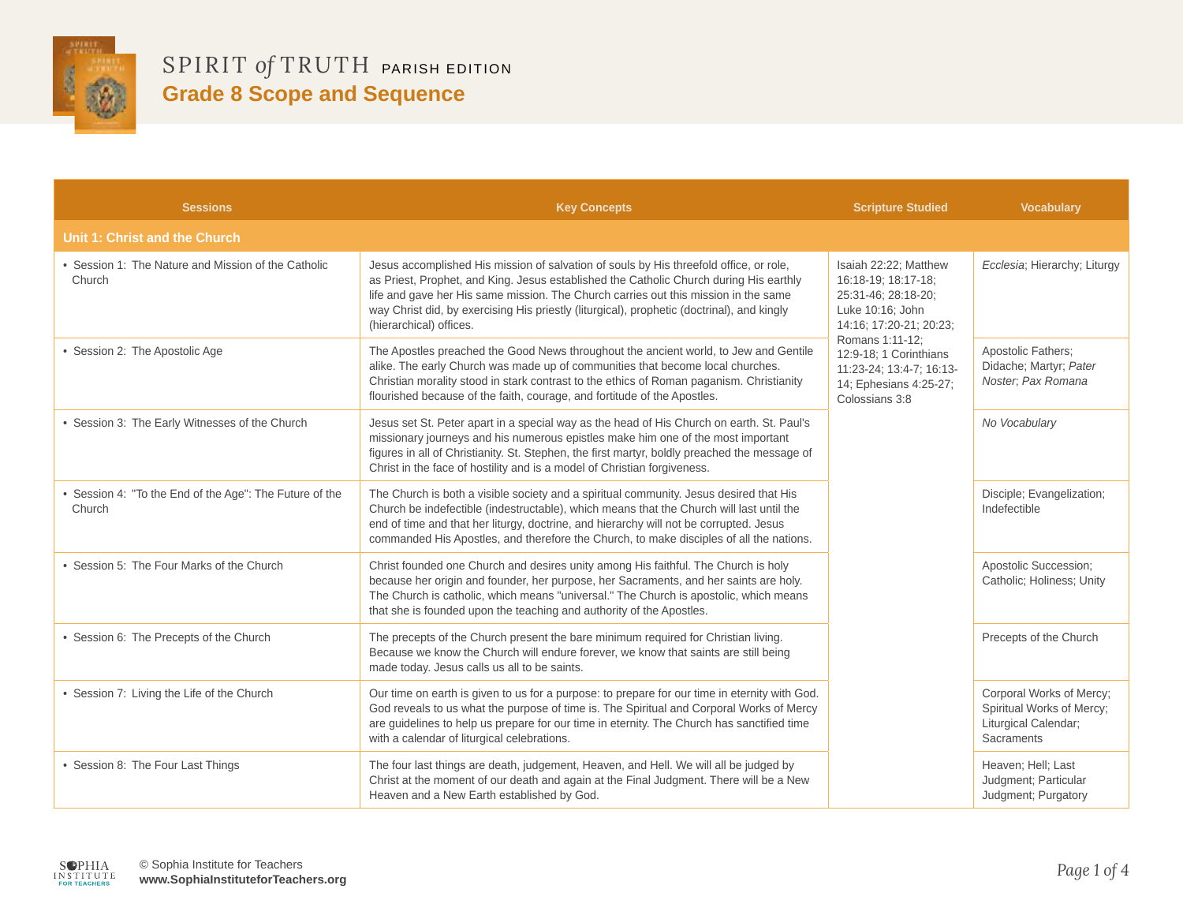

| <b>Sessions</b>                                                 | <b>Key Concepts</b>                                                                                                                                                                                                                                                                                                                                                                              | <b>Scripture Studied</b>                                                                                                                                                                                                                | <b>Vocabulary</b>                                                                                  |
|-----------------------------------------------------------------|--------------------------------------------------------------------------------------------------------------------------------------------------------------------------------------------------------------------------------------------------------------------------------------------------------------------------------------------------------------------------------------------------|-----------------------------------------------------------------------------------------------------------------------------------------------------------------------------------------------------------------------------------------|----------------------------------------------------------------------------------------------------|
| Unit 1: Christ and the Church                                   |                                                                                                                                                                                                                                                                                                                                                                                                  |                                                                                                                                                                                                                                         |                                                                                                    |
| • Session 1: The Nature and Mission of the Catholic<br>Church   | Jesus accomplished His mission of salvation of souls by His threefold office, or role,<br>as Priest, Prophet, and King. Jesus established the Catholic Church during His earthly<br>life and gave her His same mission. The Church carries out this mission in the same<br>way Christ did, by exercising His priestly (liturgical), prophetic (doctrinal), and kingly<br>(hierarchical) offices. | Isaiah 22:22; Matthew<br>16:18-19; 18:17-18;<br>25:31-46; 28:18-20;<br>Luke 10:16; John<br>14:16; 17:20-21; 20:23;<br>Romans 1:11-12;<br>12:9-18: 1 Corinthians<br>11:23-24; 13:4-7; 16:13-<br>14; Ephesians 4:25-27;<br>Colossians 3:8 | Ecclesia; Hierarchy; Liturgy                                                                       |
| • Session 2: The Apostolic Age                                  | The Apostles preached the Good News throughout the ancient world, to Jew and Gentile<br>alike. The early Church was made up of communities that become local churches.<br>Christian morality stood in stark contrast to the ethics of Roman paganism. Christianity<br>flourished because of the faith, courage, and fortitude of the Apostles.                                                   |                                                                                                                                                                                                                                         | Apostolic Fathers;<br>Didache; Martyr; Pater<br>Noster; Pax Romana                                 |
| • Session 3: The Early Witnesses of the Church                  | Jesus set St. Peter apart in a special way as the head of His Church on earth. St. Paul's<br>missionary journeys and his numerous epistles make him one of the most important<br>figures in all of Christianity. St. Stephen, the first martyr, boldly preached the message of<br>Christ in the face of hostility and is a model of Christian forgiveness.                                       |                                                                                                                                                                                                                                         | No Vocabulary                                                                                      |
| Session 4: "To the End of the Age": The Future of the<br>Church | The Church is both a visible society and a spiritual community. Jesus desired that His<br>Church be indefectible (indestructable), which means that the Church will last until the<br>end of time and that her liturgy, doctrine, and hierarchy will not be corrupted. Jesus<br>commanded His Apostles, and therefore the Church, to make disciples of all the nations.                          |                                                                                                                                                                                                                                         | Disciple; Evangelization;<br>Indefectible                                                          |
| • Session 5: The Four Marks of the Church                       | Christ founded one Church and desires unity among His faithful. The Church is holy<br>because her origin and founder, her purpose, her Sacraments, and her saints are holy.<br>The Church is catholic, which means "universal." The Church is apostolic, which means<br>that she is founded upon the teaching and authority of the Apostles.                                                     |                                                                                                                                                                                                                                         | Apostolic Succession;<br>Catholic: Holiness: Unity                                                 |
| • Session 6: The Precepts of the Church                         | The precepts of the Church present the bare minimum required for Christian living.<br>Because we know the Church will endure forever, we know that saints are still being<br>made today. Jesus calls us all to be saints.                                                                                                                                                                        |                                                                                                                                                                                                                                         | Precepts of the Church                                                                             |
| • Session 7: Living the Life of the Church                      | Our time on earth is given to us for a purpose: to prepare for our time in eternity with God.<br>God reveals to us what the purpose of time is. The Spiritual and Corporal Works of Mercy<br>are guidelines to help us prepare for our time in eternity. The Church has sanctified time<br>with a calendar of liturgical celebrations.                                                           |                                                                                                                                                                                                                                         | Corporal Works of Mercy;<br>Spiritual Works of Mercy;<br>Liturgical Calendar;<br><b>Sacraments</b> |
| • Session 8: The Four Last Things                               | The four last things are death, judgement, Heaven, and Hell. We will all be judged by<br>Christ at the moment of our death and again at the Final Judgment. There will be a New<br>Heaven and a New Earth established by God.                                                                                                                                                                    |                                                                                                                                                                                                                                         | Heaven; Hell; Last<br>Judgment; Particular<br>Judgment; Purgatory                                  |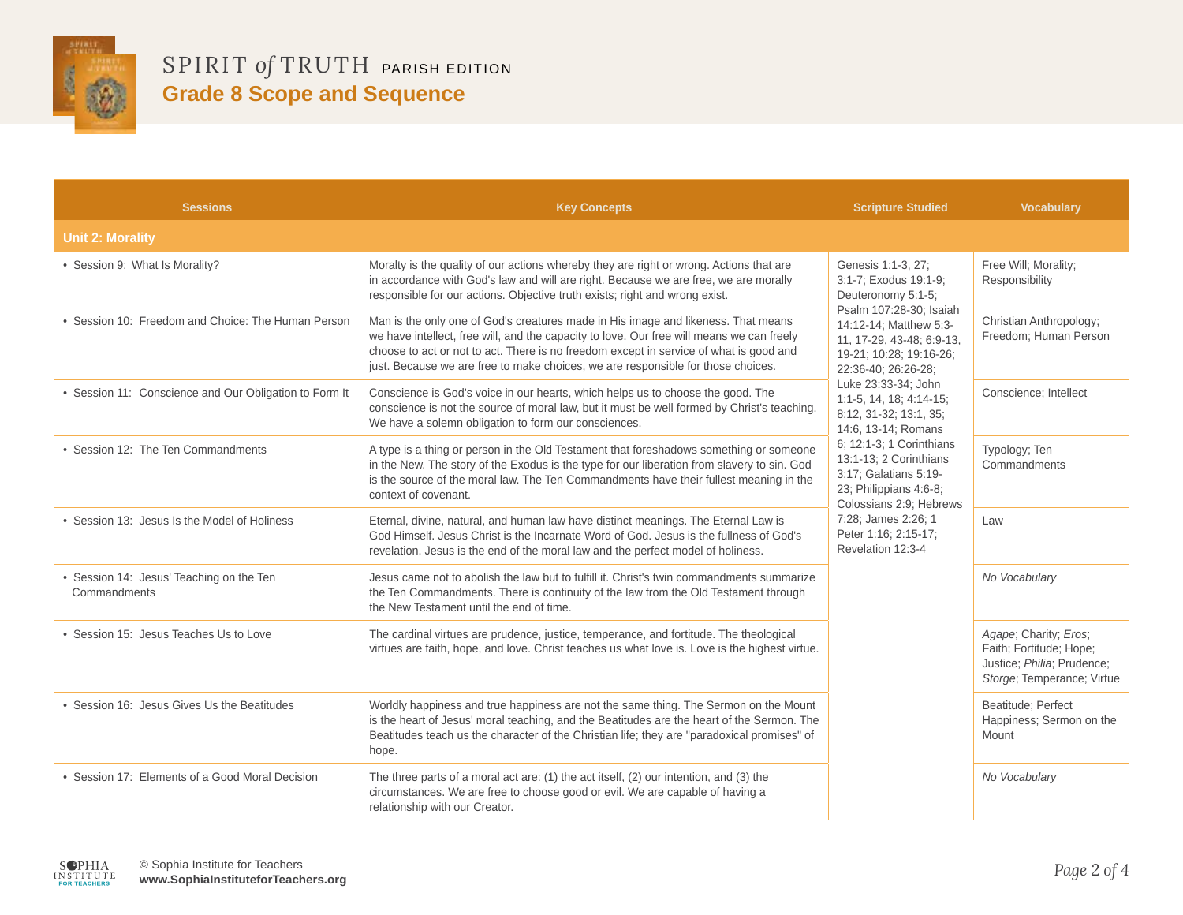

| <b>Sessions</b>                                          | <b>Key Concepts</b>                                                                                                                                                                                                                                                                                                                                          | <b>Scripture Studied</b>                                                                                                                                                                                                                                                                                                                                                                                                                                                                                           | <b>Vocabulary</b>                                                                                            |
|----------------------------------------------------------|--------------------------------------------------------------------------------------------------------------------------------------------------------------------------------------------------------------------------------------------------------------------------------------------------------------------------------------------------------------|--------------------------------------------------------------------------------------------------------------------------------------------------------------------------------------------------------------------------------------------------------------------------------------------------------------------------------------------------------------------------------------------------------------------------------------------------------------------------------------------------------------------|--------------------------------------------------------------------------------------------------------------|
| <b>Unit 2: Morality</b>                                  |                                                                                                                                                                                                                                                                                                                                                              |                                                                                                                                                                                                                                                                                                                                                                                                                                                                                                                    |                                                                                                              |
| • Session 9: What Is Morality?                           | Moralty is the quality of our actions whereby they are right or wrong. Actions that are<br>in accordance with God's law and will are right. Because we are free, we are morally<br>responsible for our actions. Objective truth exists; right and wrong exist.                                                                                               | Genesis 1:1-3, 27;<br>3:1-7; Exodus 19:1-9;<br>Deuteronomy 5:1-5;<br>Psalm 107:28-30; Isaiah<br>14:12-14: Matthew 5:3-<br>11, 17-29, 43-48; 6:9-13,<br>19-21; 10:28; 19:16-26;<br>22:36-40; 26:26-28;<br>Luke 23:33-34; John<br>$1:1-5, 14, 18; 4:14-15;$<br>8:12, 31-32; 13:1, 35;<br>14:6, 13-14; Romans<br>6; 12:1-3; 1 Corinthians<br>13:1-13: 2 Corinthians<br>3:17; Galatians 5:19-<br>23; Philippians 4:6-8;<br>Colossians 2:9; Hebrews<br>7:28; James 2:26; 1<br>Peter 1:16; 2:15-17;<br>Revelation 12:3-4 | Free Will; Morality;<br>Responsibility                                                                       |
| • Session 10: Freedom and Choice: The Human Person       | Man is the only one of God's creatures made in His image and likeness. That means<br>we have intellect, free will, and the capacity to love. Our free will means we can freely<br>choose to act or not to act. There is no freedom except in service of what is good and<br>just. Because we are free to make choices, we are responsible for those choices. |                                                                                                                                                                                                                                                                                                                                                                                                                                                                                                                    | Christian Anthropology;<br>Freedom; Human Person                                                             |
| • Session 11: Conscience and Our Obligation to Form It   | Conscience is God's voice in our hearts, which helps us to choose the good. The<br>conscience is not the source of moral law, but it must be well formed by Christ's teaching.<br>We have a solemn obligation to form our consciences.                                                                                                                       |                                                                                                                                                                                                                                                                                                                                                                                                                                                                                                                    | Conscience: Intellect                                                                                        |
| • Session 12: The Ten Commandments                       | A type is a thing or person in the Old Testament that foreshadows something or someone<br>in the New. The story of the Exodus is the type for our liberation from slavery to sin. God<br>is the source of the moral law. The Ten Commandments have their fullest meaning in the<br>context of covenant.                                                      |                                                                                                                                                                                                                                                                                                                                                                                                                                                                                                                    | Typology; Ten<br>Commandments                                                                                |
| • Session 13: Jesus Is the Model of Holiness             | Eternal, divine, natural, and human law have distinct meanings. The Eternal Law is<br>God Himself, Jesus Christ is the Incarnate Word of God, Jesus is the fullness of God's<br>revelation. Jesus is the end of the moral law and the perfect model of holiness.                                                                                             |                                                                                                                                                                                                                                                                                                                                                                                                                                                                                                                    | Law                                                                                                          |
| • Session 14: Jesus' Teaching on the Ten<br>Commandments | Jesus came not to abolish the law but to fulfill it. Christ's twin commandments summarize<br>the Ten Commandments. There is continuity of the law from the Old Testament through<br>the New Testament until the end of time.                                                                                                                                 |                                                                                                                                                                                                                                                                                                                                                                                                                                                                                                                    | No Vocabulary                                                                                                |
| • Session 15: Jesus Teaches Us to Love                   | The cardinal virtues are prudence, justice, temperance, and fortitude. The theological<br>virtues are faith, hope, and love. Christ teaches us what love is. Love is the highest virtue.                                                                                                                                                                     |                                                                                                                                                                                                                                                                                                                                                                                                                                                                                                                    | Agape; Charity; Eros;<br>Faith; Fortitude; Hope;<br>Justice; Philia; Prudence;<br>Storge; Temperance; Virtue |
| • Session 16: Jesus Gives Us the Beatitudes              | Worldly happiness and true happiness are not the same thing. The Sermon on the Mount<br>is the heart of Jesus' moral teaching, and the Beatitudes are the heart of the Sermon. The<br>Beatitudes teach us the character of the Christian life; they are "paradoxical promises" of<br>hope.                                                                   |                                                                                                                                                                                                                                                                                                                                                                                                                                                                                                                    | Beatitude; Perfect<br>Happiness; Sermon on the<br>Mount                                                      |
| • Session 17: Elements of a Good Moral Decision          | The three parts of a moral act are: (1) the act itself, (2) our intention, and (3) the<br>circumstances. We are free to choose good or evil. We are capable of having a<br>relationship with our Creator.                                                                                                                                                    |                                                                                                                                                                                                                                                                                                                                                                                                                                                                                                                    | No Vocabulary                                                                                                |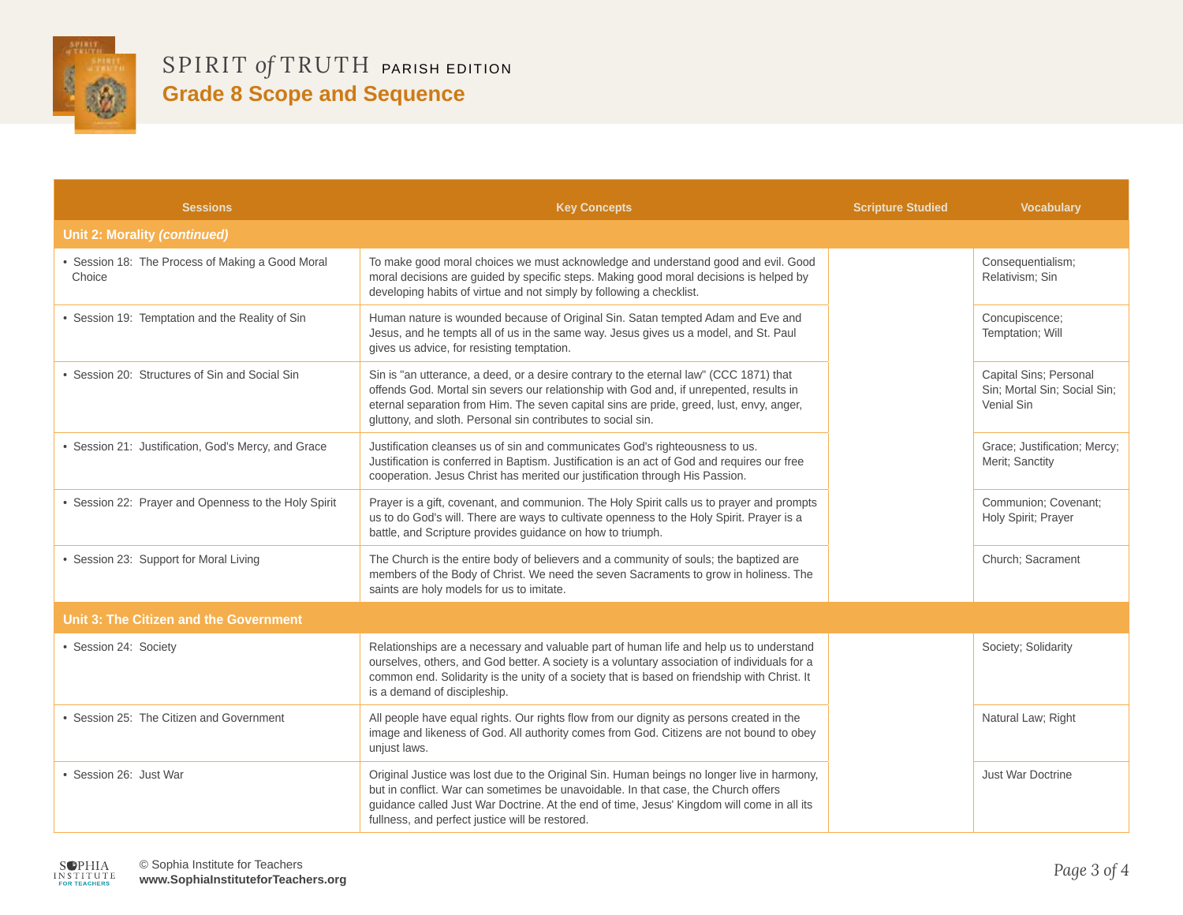

| <b>Sessions</b>                                          | <b>Key Concepts</b>                                                                                                                                                                                                                                                                                                                           | <b>Scripture Studied</b> | <b>Vocabulary</b>                                                    |
|----------------------------------------------------------|-----------------------------------------------------------------------------------------------------------------------------------------------------------------------------------------------------------------------------------------------------------------------------------------------------------------------------------------------|--------------------------|----------------------------------------------------------------------|
| <b>Unit 2: Morality (continued)</b>                      |                                                                                                                                                                                                                                                                                                                                               |                          |                                                                      |
| Session 18: The Process of Making a Good Moral<br>Choice | To make good moral choices we must acknowledge and understand good and evil. Good<br>moral decisions are guided by specific steps. Making good moral decisions is helped by<br>developing habits of virtue and not simply by following a checklist.                                                                                           |                          | Consequentialism;<br>Relativism; Sin                                 |
| • Session 19: Temptation and the Reality of Sin          | Human nature is wounded because of Original Sin. Satan tempted Adam and Eve and<br>Jesus, and he tempts all of us in the same way. Jesus gives us a model, and St. Paul<br>gives us advice, for resisting temptation.                                                                                                                         |                          | Concupiscence;<br>Temptation; Will                                   |
| • Session 20: Structures of Sin and Social Sin           | Sin is "an utterance, a deed, or a desire contrary to the eternal law" (CCC 1871) that<br>offends God. Mortal sin severs our relationship with God and, if unrepented, results in<br>eternal separation from Him. The seven capital sins are pride, greed, lust, envy, anger,<br>gluttony, and sloth. Personal sin contributes to social sin. |                          | Capital Sins; Personal<br>Sin; Mortal Sin; Social Sin;<br>Venial Sin |
| • Session 21: Justification, God's Mercy, and Grace      | Justification cleanses us of sin and communicates God's righteousness to us.<br>Justification is conferred in Baptism. Justification is an act of God and requires our free<br>cooperation. Jesus Christ has merited our justification through His Passion.                                                                                   |                          | Grace; Justification; Mercy;<br>Merit; Sanctity                      |
| • Session 22: Prayer and Openness to the Holy Spirit     | Prayer is a gift, covenant, and communion. The Holy Spirit calls us to prayer and prompts<br>us to do God's will. There are ways to cultivate openness to the Holy Spirit. Prayer is a<br>battle, and Scripture provides guidance on how to triumph.                                                                                          |                          | Communion; Covenant;<br>Holy Spirit; Prayer                          |
| • Session 23: Support for Moral Living                   | The Church is the entire body of believers and a community of souls; the baptized are<br>members of the Body of Christ. We need the seven Sacraments to grow in holiness. The<br>saints are holy models for us to imitate.                                                                                                                    |                          | Church; Sacrament                                                    |
| Unit 3: The Citizen and the Government                   |                                                                                                                                                                                                                                                                                                                                               |                          |                                                                      |
| • Session 24: Society                                    | Relationships are a necessary and valuable part of human life and help us to understand<br>ourselves, others, and God better. A society is a voluntary association of individuals for a<br>common end. Solidarity is the unity of a society that is based on friendship with Christ. It<br>is a demand of discipleship.                       |                          | Society; Solidarity                                                  |
| • Session 25: The Citizen and Government                 | All people have equal rights. Our rights flow from our dignity as persons created in the<br>image and likeness of God. All authority comes from God. Citizens are not bound to obey<br>unjust laws.                                                                                                                                           |                          | Natural Law; Right                                                   |
| · Session 26: Just War                                   | Original Justice was lost due to the Original Sin. Human beings no longer live in harmony,<br>but in conflict. War can sometimes be unavoidable. In that case, the Church offers<br>guidance called Just War Doctrine. At the end of time, Jesus' Kingdom will come in all its<br>fullness, and perfect justice will be restored.             |                          | Just War Doctrine                                                    |